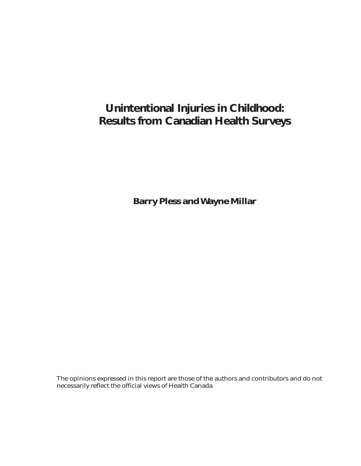## **Unintentional Injuries in Childhood: Results from Canadian Health Surveys**

**Barry Pless and Wayne Millar**

The opinions expressed in this report are those of the authors and contributors and do not necessarily reflect the official views of Health Canada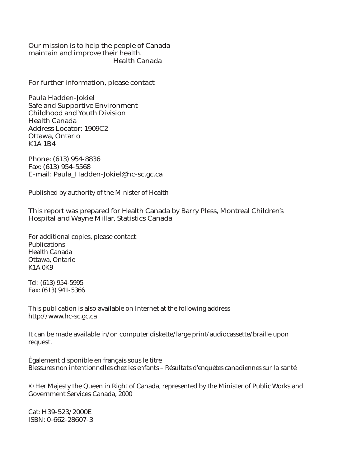Our mission is to help the people of Canada maintain and improve their health. *Health Canada*

For further information, please contact

Paula Hadden-Jokiel Safe and Supportive Environment Childhood and Youth Division Health Canada Address Locator: 1909C2 Ottawa, Ontario K1A 1B4

Phone: (613) 954-8836 Fax: (613) 954-5568 E-mail: Paula\_Hadden-Jokiel@hc-sc.gc.ca

Published by authority of the Minister of Health

This report was prepared for Health Canada by Barry Pless, Montreal Children's Hospital and Wayne Millar, Statistics Canada

For additional copies, please contact: **Publications** Health Canada Ottawa, Ontario K1A 0K9

Tel: (613) 954-5995 Fax: (613) 941-5366

This publication is also available on Internet at the following address http://www.hc-sc.gc.ca

It can be made available in/on computer diskette/large print/audiocassette/braille upon request.

Également disponible en français sous le titre *Blessures non intentionnelles chez les enfants – Résultats d'enquêtes canadiennes sur la santé*

© Her Majesty the Queen in Right of Canada, represented by the Minister of Public Works and Government Services Canada, 2000

Cat: H39-523/2000E ISBN: 0-662-28607-3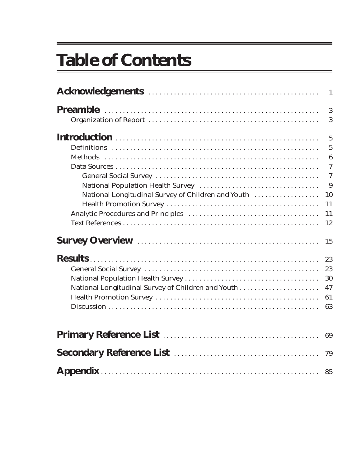# **Table of Contents**

|                                                    | 3               |
|----------------------------------------------------|-----------------|
|                                                    | 3               |
|                                                    | $5\phantom{.0}$ |
|                                                    | $5\phantom{.0}$ |
|                                                    | $\bf{6}$        |
|                                                    | $\overline{7}$  |
|                                                    | $\overline{7}$  |
|                                                    | 9               |
| National Longitudinal Survey of Children and Youth | 10              |
|                                                    | 11              |
|                                                    | 11              |
|                                                    | 12              |
|                                                    | 15              |
|                                                    | 23              |
|                                                    | 23              |
|                                                    | 30              |
| National Longitudinal Survey of Children and Youth | 47              |
|                                                    | 61              |
|                                                    | 63              |
|                                                    | 69              |
|                                                    |                 |
|                                                    | 79              |
|                                                    |                 |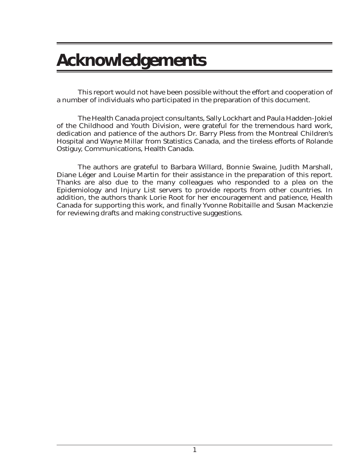## **Acknowledgements**

This report would not have been possible without the effort and cooperation of a number of individuals who participated in the preparation of this document.

The Health Canada project consultants, Sally Lockhart and Paula Hadden-Jokiel of the Childhood and Youth Division, were grateful for the tremendous hard work, dedication and patience of the authors Dr. Barry Pless from the Montreal Children's Hospital and Wayne Millar from Statistics Canada, and the tireless efforts of Rolande Ostiguy, Communications, Health Canada.

The authors are grateful to Barbara Willard, Bonnie Swaine, Judith Marshall, Diane Léger and Louise Martin for their assistance in the preparation of this report. Thanks are also due to the many colleagues who responded to a plea on the Epidemiology and Injury List servers to provide reports from other countries. In addition, the authors thank Lorie Root for her encouragement and patience, Health Canada for supporting this work, and finally Yvonne Robitaille and Susan Mackenzie for reviewing drafts and making constructive suggestions.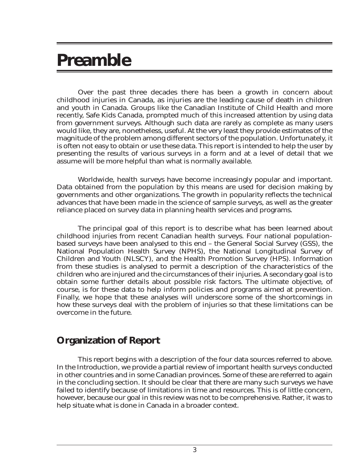## **Preamble**

Over the past three decades there has been a growth in concern about childhood injuries in Canada, as injuries are the leading cause of death in children and youth in Canada. Groups like the Canadian Institute of Child Health and more recently, Safe Kids Canada, prompted much of this increased attention by using data from government surveys. Although such data are rarely as complete as many users would like, they are, nonetheless, useful. At the very least they provide estimates of the magnitude of the problem among different sectors of the population. Unfortunately, it is often not easy to obtain or use these data. This report is intended to help the user by presenting the results of various surveys in a form and at a level of detail that we assume will be more helpful than what is normally available.

Worldwide, health surveys have become increasingly popular and important. Data obtained from the population by this means are used for decision making by governments and other organizations. The growth in popularity reflects the technical advances that have been made in the science of sample surveys, as well as the greater reliance placed on survey data in planning health services and programs.

The principal goal of this report is to describe what has been learned about childhood injuries from recent Canadian health surveys. Four national populationbased surveys have been analysed to this end – the General Social Survey (GSS), the National Population Health Survey (NPHS), the National Longitudinal Survey of Children and Youth (NLSCY), and the Health Promotion Survey (HPS). Information from these studies is analysed to permit a description of the characteristics of the children who are injured and the circumstances of their injuries. A secondary goal is to obtain some further details about possible risk factors. The ultimate objective, of course, is for these data to help inform policies and programs aimed at prevention. Finally, we hope that these analyses will underscore some of the shortcomings in how these surveys deal with the problem of injuries so that these limitations can be overcome in the future.

## **Organization of Report**

This report begins with a description of the four data sources referred to above. In the Introduction, we provide a partial review of important health surveys conducted in other countries and in some Canadian provinces. Some of these are referred to again in the concluding section. It should be clear that there are many such surveys we have failed to identify because of limitations in time and resources. This is of little concern, however, because our goal in this review was not to be comprehensive. Rather, it was to help situate what is done in Canada in a broader context.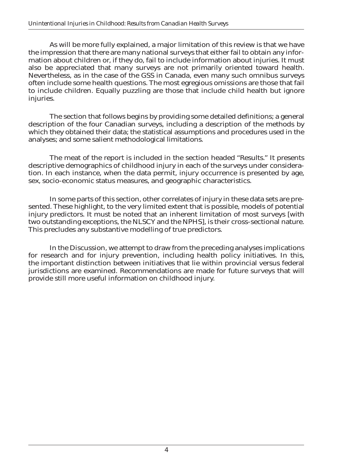As will be more fully explained, a major limitation of this review is that we have the impression that there are many national surveys that either fail to obtain any information about children or, if they do, fail to include information about injuries. It must also be appreciated that many surveys are not primarily oriented toward health. Nevertheless, as in the case of the GSS in Canada, even many such omnibus surveys often include some health questions. The most egregious omissions are those that fail to include children. Equally puzzling are those that include child health but ignore injuries.

The section that follows begins by providing some detailed definitions; a general description of the four Canadian surveys, including a description of the methods by which they obtained their data; the statistical assumptions and procedures used in the analyses; and some salient methodological limitations.

The meat of the report is included in the section headed "Results." It presents descriptive demographics of childhood injury in each of the surveys under consideration. In each instance, when the data permit, injury occurrence is presented by age, sex, socio-economic status measures, and geographic characteristics.

In some parts of this section, other correlates of injury in these data sets are presented. These highlight, to the very limited extent that is possible, models of potential injury predictors. It must be noted that an inherent limitation of most surveys [with two outstanding exceptions, the NLSCY and the NPHS], is their cross-sectional nature. This precludes any substantive modelling of true predictors.

In the Discussion, we attempt to draw from the preceding analyses implications for research and for injury prevention, including health policy initiatives. In this, the important distinction between initiatives that lie within provincial versus federal jurisdictions are examined. Recommendations are made for future surveys that will provide still more useful information on childhood injury.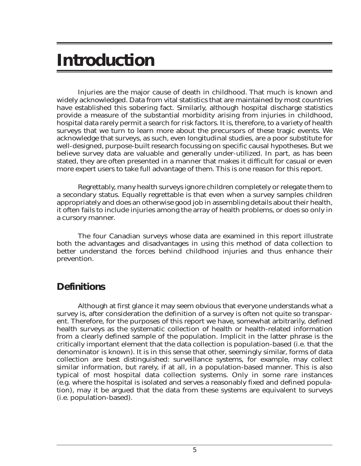## **Introduction**

Injuries are the major cause of death in childhood. That much is known and widely acknowledged. Data from vital statistics that are maintained by most countries have established this sobering fact. Similarly, although hospital discharge statistics provide a measure of the substantial morbidity arising from injuries in childhood, hospital data rarely permit a search for risk factors. It is, therefore, to a variety of health surveys that we turn to learn more about the precursors of these tragic events. We acknowledge that surveys, as such, even longitudinal studies, are a poor substitute for well-designed, purpose-built research focussing on specific causal hypotheses. But we believe survey data are valuable and generally under-utilized. In part, as has been stated, they are often presented in a manner that makes it difficult for casual or even more expert users to take full advantage of them. This is one reason for this report.

Regrettably, many health surveys ignore children completely or relegate them to a secondary status. Equally regrettable is that even when a survey samples children appropriately and does an otherwise good job in assembling details about their health, it often fails to include injuries among the array of health problems, or does so only in a cursory manner.

The four Canadian surveys whose data are examined in this report illustrate both the advantages and disadvantages in using this method of data collection to better understand the forces behind childhood injuries and thus enhance their prevention.

## **Definitions**

Although at first glance it may seem obvious that everyone understands what a survey is, after consideration the definition of a survey is often not quite so transparent. Therefore, for the purposes of this report we have, somewhat arbitrarily, defined health surveys as the systematic collection of health or health-related information from a clearly defined sample of the population. Implicit in the latter phrase is the critically important element that the data collection is population-based (i.e. that the denominator is known). It is in this sense that other, seemingly similar, forms of data collection are best distinguished: surveillance systems, for example, may collect similar information, but rarely, if at all, in a population-based manner. This is also typical of most hospital data collection systems. Only in some rare instances (e.g. where the hospital is isolated and serves a reasonably fixed and defined population), may it be argued that the data from these systems are equivalent to surveys (i.e. population-based).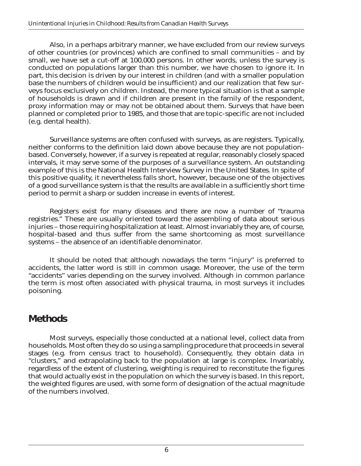Also, in a perhaps arbitrary manner, we have excluded from our review surveys of other countries (or provinces) which are confined to small communities – and by small, we have set a cut-off at 100,000 persons. In other words, unless the survey is conducted on populations larger than this number, we have chosen to ignore it. In part, this decision is driven by our interest in children (and with a smaller population base the numbers of children would be insufficient) and our realization that few surveys focus exclusively on children. Instead, the more typical situation is that a sample of households is drawn and if children are present in the family of the respondent, proxy information may or may not be obtained about them. Surveys that have been planned or completed prior to 1985, and those that are topic-specific are not included (e.g. dental health).

Surveillance systems are often confused with surveys, as are registers. Typically, neither conforms to the definition laid down above because they are not populationbased. Conversely, however, if a survey is repeated at regular, reasonably closely spaced intervals, it may serve some of the purposes of a surveillance system. An outstanding example of this is the National Health Interview Survey in the United States. In spite of this positive quality, it nevertheless falls short, however, because one of the objectives of a good surveillance system is that the results are available in a sufficiently short time period to permit a sharp or sudden increase in events of interest.

Registers exist for many diseases and there are now a number of "trauma registries." These are usually oriented toward the assembling of data about serious injuries – those requiring hospitalization at least. Almost invariably they are, of course, hospital-based and thus suffer from the same shortcoming as most surveillance systems – the absence of an identifiable denominator.

It should be noted that although nowadays the term "injury" is preferred to accidents, the latter word is still in common usage. Moreover, the use of the term "accidents" varies depending on the survey involved. Although in common parlance the term is most often associated with physical trauma, in most surveys it includes poisoning.

## **Methods**

Most surveys, especially those conducted at a national level, collect data from households. Most often they do so using a sampling procedure that proceeds in several stages (e.g. from census tract to household). Consequently, they obtain data in "clusters," and extrapolating back to the population at large is complex. Invariably, regardless of the extent of clustering, weighting is required to reconstitute the figures that would actually exist in the population on which the survey is based. In this report, the weighted figures are used, with some form of designation of the actual magnitude of the numbers involved.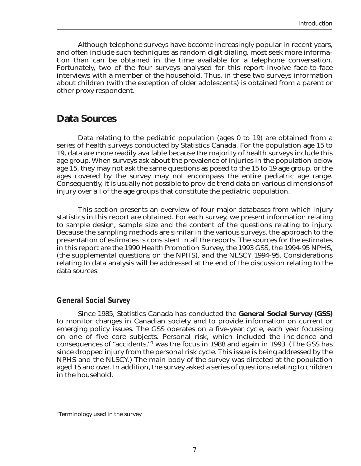Although telephone surveys have become increasingly popular in recent years, and often include such techniques as random digit dialing, most seek more information than can be obtained in the time available for a telephone conversation. Fortunately, two of the four surveys analysed for this report involve face-to-face interviews with a member of the household. Thus, in these two surveys information about children (with the exception of older adolescents) is obtained from a parent or other proxy respondent.

## **Data Sources**

Data relating to the pediatric population (ages 0 to 19) are obtained from a series of health surveys conducted by Statistics Canada. For the population age 15 to 19, data are more readily available because the majority of health surveys include this age group. When surveys ask about the prevalence of injuries in the population below age 15, they may not ask the same questions as posed to the 15 to 19 age group, or the ages covered by the survey may not encompass the entire pediatric age range. Consequently, it is usually not possible to provide trend data on various dimensions of injury over all of the age groups that constitute the pediatric population.

This section presents an overview of four major databases from which injury statistics in this report are obtained. For each survey, we present information relating to sample design, sample size and the content of the questions relating to injury. Because the sampling methods are similar in the various surveys, the approach to the presentation of estimates is consistent in all the reports. The sources for the estimates in this report are the 1990 Health Promotion Survey, the 1993 GSS, the 1994-95 NPHS, (the supplemental questions on the NPHS), and the NLSCY 1994-95. Considerations relating to data analysis will be addressed at the end of the discussion relating to the data sources.

#### *General Social Survey*

Since 1985, Statistics Canada has conducted the **General Social Survey (GSS)**  to monitor changes in Canadian society and to provide information on current or emerging policy issues. The GSS operates on a five-year cycle, each year focussing on one of five core subjects. Personal risk, which included the incidence and consequences of "accidents,"1 was the focus in 1988 and again in 1993. (The GSS has since dropped injury from the personal risk cycle. This issue is being addressed by the NPHS and the NLSCY.) The main body of the survey was directed at the population aged 15 and over. In addition, the survey asked a series of questions relating to children in the household.

<sup>1</sup>Terminology used in the survey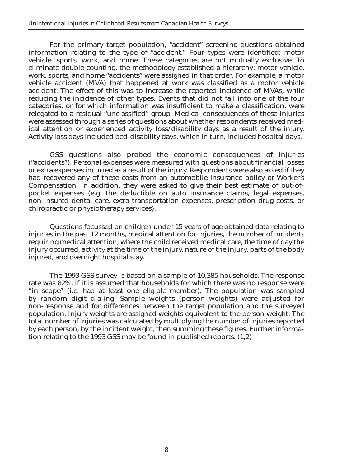For the primary target population, "accident" screening questions obtained information relating to the type of "accident." Four types were identified: motor vehicle, sports, work, and home. These categories are not mutually exclusive. To eliminate double counting, the methodology established a hierarchy: motor vehicle, work, sports, and home "accidents" were assigned in that order. For example, a motor vehicle accident (MVA) that happened at work was classified as a motor vehicle accident. The effect of this was to increase the reported incidence of MVAs, while reducing the incidence of other types. Events that did not fall into one of the four categories, or for which information was insufficient to make a classification, were relegated to a residual "unclassified" group. Medical consequences of these injuries were assessed through a series of questions about whether respondents received medical attention or experienced activity loss/disability days as a result of the injury. Activity loss days included bed-disability days, which in turn, included hospital days.

GSS questions also probed the economic consequences of injuries ("accidents"). Personal expenses were measured with questions about financial losses or extra expenses incurred as a result of the injury. Respondents were also asked if they had recovered any of these costs from an automobile insurance policy or Worker's Compensation. In addition, they were asked to give their best estimate of out-ofpocket expenses (e.g. the deductible on auto insurance claims, legal expenses, non-insured dental care, extra transportation expenses, prescription drug costs, or chiropractic or physiotherapy services).

Questions focussed on children under 15 years of age obtained data relating to injuries in the past 12 months, medical attention for injuries, the number of incidents requiring medical attention, where the child received medical care, the time of day the injury occurred, activity at the time of the injury, nature of the injury, parts of the body injured, and overnight hospital stay.

The 1993 GSS survey is based on a sample of 10,385 households. The response rate was 82%, if it is assumed that households for which there was no response were "in scope" (i.e. had at least one eligible member). The population was sampled by random digit dialing. Sample weights (person weights) were adjusted for non-response and for differences between the target population and the surveyed population. Injury weights are assigned weights equivalent to the person weight. The total number of injuries was calculated by multiplying the number of injuries reported by each person, by the incident weight, then summing these figures. Further information relating to the 1993 GSS may be found in published reports. (1,2)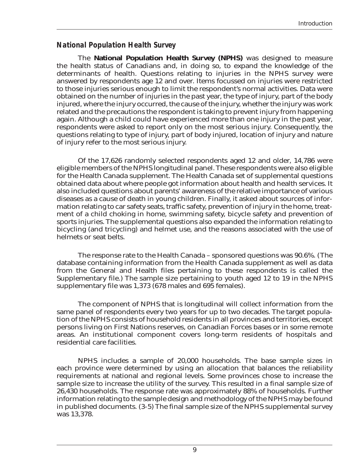## *National Population Health Survey*

The **National Population Health Survey (NPHS)** was designed to measure the health status of Canadians and, in doing so, to expand the knowledge of the determinants of health. Questions relating to injuries in the NPHS survey were answered by respondents age 12 and over. Items focussed on injuries were restricted to those injuries serious enough to limit the respondent's normal activities. Data were obtained on the number of injuries in the past year, the type of injury, part of the body injured, where the injury occurred, the cause of the injury, whether the injury was work related and the precautions the respondent is taking to prevent injury from happening again. Although a child could have experienced more than one injury in the past year, respondents were asked to report only on the most serious injury. Consequently, the questions relating to type of injury, part of body injured, location of injury and nature of injury refer to the most serious injury.

Of the 17,626 randomly selected respondents aged 12 and older, 14,786 were eligible members of the NPHS longitudinal panel. These respondents were also eligible for the Health Canada supplement. The Health Canada set of supplemental questions obtained data about where people got information about health and health services. It also included questions about parents' awareness of the relative importance of various diseases as a cause of death in young children. Finally, it asked about sources of information relating to car safety seats, traffic safety, prevention of injury in the home, treatment of a child choking in home, swimming safety, bicycle safety and prevention of sports injuries. The supplemental questions also expanded the information relating to bicycling (and tricycling) and helmet use, and the reasons associated with the use of helmets or seat belts.

The response rate to the Health Canada – sponsored questions was 90.6%. (The database containing information from the Health Canada supplement as well as data from the General and Health files pertaining to these respondents is called the Supplementary file.) The sample size pertaining to youth aged 12 to 19 in the NPHS supplementary file was 1,373 (678 males and 695 females).

The component of NPHS that is longitudinal will collect information from the same panel of respondents every two years for up to two decades. The target population of the NPHS consists of household residents in all provinces and territories, except persons living on First Nations reserves, on Canadian Forces bases or in some remote areas. An institutional component covers long-term residents of hospitals and residential care facilities.

NPHS includes a sample of 20,000 households. The base sample sizes in each province were determined by using an allocation that balances the reliability requirements at national and regional levels. Some provinces chose to increase the sample size to increase the utility of the survey. This resulted in a final sample size of 26,430 households. The response rate was approximately 88% of households. Further information relating to the sample design and methodology of the NPHS may be found in published documents. (3-5) The final sample size of the NPHS supplemental survey was 13,378.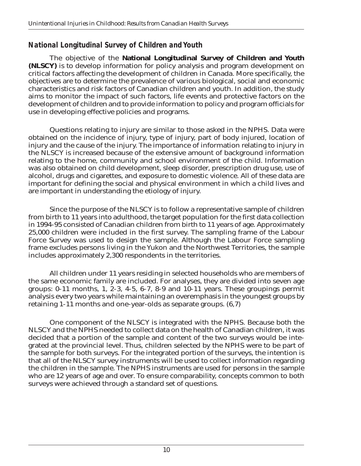## *National Longitudinal Survey of Children and Youth*

The objective of the **National Longitudinal Survey of Children and Youth (NLSCY)** is to develop information for policy analysis and program development on critical factors affecting the development of children in Canada. More specifically, the objectives are to determine the prevalence of various biological, social and economic characteristics and risk factors of Canadian children and youth. In addition, the study aims to monitor the impact of such factors, life events and protective factors on the development of children and to provide information to policy and program officials for use in developing effective policies and programs.

Questions relating to injury are similar to those asked in the NPHS. Data were obtained on the incidence of injury, type of injury, part of body injured, location of injury and the cause of the injury. The importance of information relating to injury in the NLSCY is increased because of the extensive amount of background information relating to the home, community and school environment of the child. Information was also obtained on child development, sleep disorder, prescription drug use, use of alcohol, drugs and cigarettes, and exposure to domestic violence. All of these data are important for defining the social and physical environment in which a child lives and are important in understanding the etiology of injury.

Since the purpose of the NLSCY is to follow a representative sample of children from birth to 11 years into adulthood, the target population for the first data collection in 1994-95 consisted of Canadian children from birth to 11 years of age. Approximately 25,000 children were included in the first survey. The sampling frame of the Labour Force Survey was used to design the sample. Although the Labour Force sampling frame excludes persons living in the Yukon and the Northwest Territories, the sample includes approximately 2,300 respondents in the territories.

All children under 11 years residing in selected households who are members of the same economic family are included. For analyses, they are divided into seven age groups: 0-11 months, 1, 2-3, 4-5, 6-7, 8-9 and 10-11 years. These groupings permit analysis every two years while maintaining an overemphasis in the youngest groups by retaining 1-11 months and one-year-olds as separate groups. (6,7)

One component of the NLSCY is integrated with the NPHS. Because both the NLSCY and the NPHS needed to collect data on the health of Canadian children, it was decided that a portion of the sample and content of the two surveys would be integrated at the provincial level. Thus, children selected by the NPHS were to be part of the sample for both surveys. For the integrated portion of the surveys, the intention is that all of the NLSCY survey instruments will be used to collect information regarding the children in the sample. The NPHS instruments are used for persons in the sample who are 12 years of age and over. To ensure comparability, concepts common to both surveys were achieved through a standard set of questions.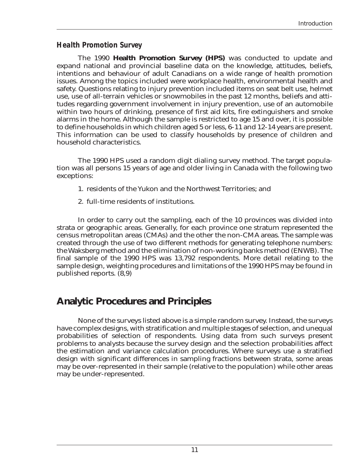## *Health Promotion Survey*

The 1990 **Health Promotion Survey (HPS)** was conducted to update and expand national and provincial baseline data on the knowledge, attitudes, beliefs, intentions and behaviour of adult Canadians on a wide range of health promotion issues. Among the topics included were workplace health, environmental health and safety. Questions relating to injury prevention included items on seat belt use, helmet use, use of all-terrain vehicles or snowmobiles in the past 12 months, beliefs and attitudes regarding government involvement in injury prevention, use of an automobile within two hours of drinking, presence of first aid kits, fire extinguishers and smoke alarms in the home. Although the sample is restricted to age 15 and over, it is possible to define households in which children aged 5 or less, 6-11 and 12-14 years are present. This information can be used to classify households by presence of children and household characteristics.

The 1990 HPS used a random digit dialing survey method. The target population was all persons 15 years of age and older living in Canada with the following two exceptions:

- 1. residents of the Yukon and the Northwest Territories; and
- 2. full-time residents of institutions.

In order to carry out the sampling, each of the 10 provinces was divided into strata or geographic areas. Generally, for each province one stratum represented the census metropolitan areas (CMAs) and the other the non-CMA areas. The sample was created through the use of two different methods for generating telephone numbers: the Waksberg method and the elimination of non-working banks method (ENWB). The final sample of the 1990 HPS was 13,792 respondents. More detail relating to the sample design, weighting procedures and limitations of the 1990 HPS may be found in published reports. (8,9)

## **Analytic Procedures and Principles**

None of the surveys listed above is a simple random survey. Instead, the surveys have complex designs, with stratification and multiple stages of selection, and unequal probabilities of selection of respondents. Using data from such surveys present problems to analysts because the survey design and the selection probabilities affect the estimation and variance calculation procedures. Where surveys use a stratified design with significant differences in sampling fractions between strata, some areas may be over-represented in their sample (relative to the population) while other areas may be under-represented.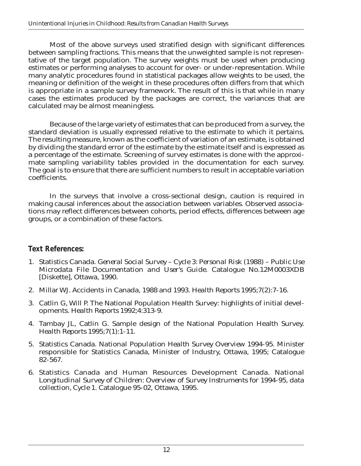Most of the above surveys used stratified design with significant differences between sampling fractions. This means that the unweighted sample is not representative of the target population. The survey weights must be used when producing estimates or performing analyses to account for over- or under-representation. While many analytic procedures found in statistical packages allow weights to be used, the meaning or definition of the weight in these procedures often differs from that which is appropriate in a sample survey framework. The result of this is that while in many cases the estimates produced by the packages are correct, the variances that are calculated may be almost meaningless.

Because of the large variety of estimates that can be produced from a survey, the standard deviation is usually expressed relative to the estimate to which it pertains. The resulting measure, known as the coefficient of variation of an estimate, is obtained by dividing the standard error of the estimate by the estimate itself and is expressed as a percentage of the estimate. Screening of survey estimates is done with the approximate sampling variability tables provided in the documentation for each survey. The goal is to ensure that there are sufficient numbers to result in acceptable variation coefficients.

In the surveys that involve a cross-sectional design, caution is required in making causal inferences about the association between variables. Observed associations may reflect differences between cohorts, period effects, differences between age groups, or a combination of these factors.

## *Text References:*

- 1. Statistics Canada. *General Social Survey Cycle 3: Personal Risk (1988) Public Use Microdata File Documentation and User's Guide*. Catalogue No.12M0003XDB [Diskette], Ottawa, 1990.
- 2. Millar WJ. Accidents in Canada, 1988 and 1993. *Health Reports* 1995;7(2):7-16.
- 3. Catlin G, Will P. The National Population Health Survey: highlights of initial developments. *Health Reports* 1992;4:313-9.
- 4. Tambay JL, Catlin G. Sample design of the National Population Health Survey. *Health Reports* 1995;7(1):1-11.
- 5. Statistics Canada. *National Population Health Survey Overview 1994-95*. Minister responsible for Statistics Canada, Minister of Industry, Ottawa, 1995; Catalogue 82-567.
- 6. Statistics Canada and Human Resources Development Canada. *National Longitudinal Survey of Children: Overview of Survey Instruments for 1994-95, data collection, Cycle 1*. Catalogue 95-02, Ottawa, 1995.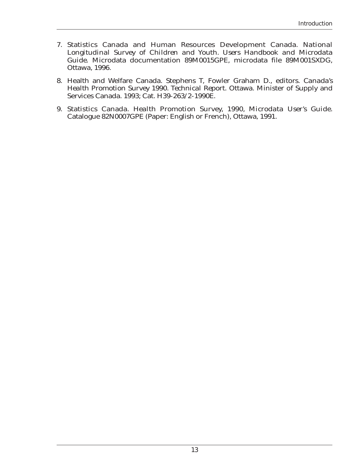- 7. Statistics Canada and Human Resources Development Canada. *National Longitudinal Survey of Children and Youth. Users Handbook and Microdata Guide*. Microdata documentation 89M0015GPE, microdata file 89M001SXDG, Ottawa, 1996.
- 8. Health and Welfare Canada. Stephens T, Fowler Graham D., editors. *Canada's Health Promotion Survey 1990. Technical Report*. Ottawa. Minister of Supply and Services Canada. 1993; Cat. H39-263/2-1990E.
- 9. Statistics Canada. *Health Promotion Survey, 1990, Microdata User's Guide*. Catalogue 82N0007GPE (Paper: English or French), Ottawa, 1991.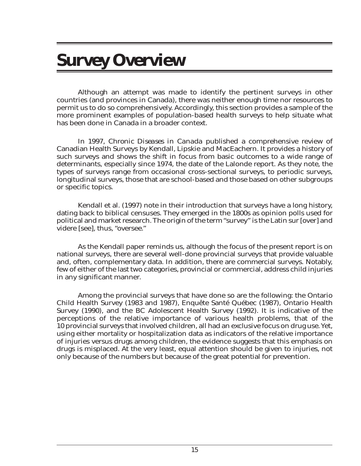## **Survey Overview**

Although an attempt was made to identify the pertinent surveys in other countries (and provinces in Canada), there was neither enough time nor resources to permit us to do so comprehensively. Accordingly, this section provides a sample of the more prominent examples of population-based health surveys to help situate what has been done in Canada in a broader context.

In 1997, *Chronic Diseases in Canada* published a comprehensive review of Canadian Health Surveys by Kendall, Lipskie and MacEachern. It provides a history of such surveys and shows the shift in focus from basic outcomes to a wide range of determinants, especially since 1974, the date of the Lalonde report. As they note, the types of surveys range from occasional cross-sectional surveys, to periodic surveys, longitudinal surveys, those that are school-based and those based on other subgroups or specific topics.

Kendall et al. (1997) note in their introduction that surveys have a long history, dating back to biblical censuses. They emerged in the 1800s as opinion polls used for political and market research. The origin of the term "survey" is the Latin sur [over] and videre [see], thus, "oversee."

As the Kendall paper reminds us, although the focus of the present report is on national surveys, there are several well-done provincial surveys that provide valuable and, often, complementary data. In addition, there are commercial surveys. Notably, few of either of the last two categories, provincial or commercial, address child injuries in any significant manner.

Among the provincial surveys that have done so are the following: the Ontario Child Health Survey (1983 and 1987), Enquête Santé Québec (1987), Ontario Health Survey (1990), and the BC Adolescent Health Survey (1992). It is indicative of the perceptions of the relative importance of various health problems, that of the 10 provincial surveys that involved children, all had an exclusive focus on drug use. Yet, using either mortality or hospitalization data as indicators of the relative importance of injuries versus drugs among children, the evidence suggests that this emphasis on drugs is misplaced. At the very least, equal attention should be given to injuries, not only because of the numbers but because of the great potential for prevention.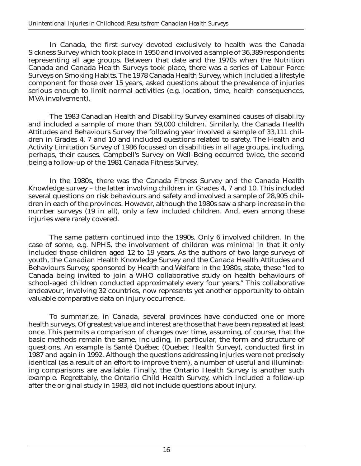In Canada, the first survey devoted exclusively to health was the Canada Sickness Survey which took place in 1950 and involved a sample of 36,389 respondents representing all age groups. Between that date and the 1970s when the Nutrition Canada and Canada Health Surveys took place, there was a series of Labour Force Surveys on Smoking Habits. The 1978 Canada Health Survey, which included a lifestyle component for those over 15 years, asked questions about the prevalence of injuries serious enough to limit normal activities (e.g. location, time, health consequences, MVA involvement).

The 1983 Canadian Health and Disability Survey examined causes of disability and included a sample of more than 59,000 children. Similarly, the Canada Health Attitudes and Behaviours Survey the following year involved a sample of 33,111 children in Grades 4, 7 and 10 and included questions related to safety. The Health and Activity Limitation Survey of 1986 focussed on disabilities in all age groups, including, perhaps, their causes. Campbell's Survey on Well-Being occurred twice, the second being a follow-up of the 1981 Canada Fitness Survey.

In the 1980s, there was the Canada Fitness Survey and the Canada Health Knowledge survey – the latter involving children in Grades 4, 7 and 10. This included several questions on risk behaviours and safety and involved a sample of 28,905 children in each of the provinces. However, although the 1980s saw a sharp increase in the number surveys (19 in all), only a few included children. And, even among these injuries were rarely covered.

The same pattern continued into the 1990s. Only 6 involved children. In the case of some, e.g. NPHS, the involvement of children was minimal in that it only included those children aged 12 to 19 years. As the authors of two large surveys of youth, the Canadian Health Knowledge Survey and the Canada Health Attitudes and Behaviours Survey, sponsored by Health and Welfare in the 1980s, state, these "led to Canada being invited to join a WHO collaborative study on health behaviours of school-aged children conducted approximately every four years." This collaborative endeavour, involving 32 countries, now represents yet another opportunity to obtain valuable comparative data on injury occurrence.

To summarize, in *Canada*, several provinces have conducted one or more health surveys. Of greatest value and interest are those that have been repeated at least once. This permits a comparison of changes over time, assuming, of course, that the basic methods remain the same, including, in particular, the form and structure of questions. An example is Santé Québec (Quebec Health Survey), conducted first in 1987 and again in 1992. Although the questions addressing injuries were not precisely identical (as a result of an effort to improve them), a number of useful and illuminating comparisons are available. Finally, the Ontario Health Survey is another such example. Regrettably, the Ontario Child Health Survey, which included a follow-up after the original study in 1983, did not include questions about injury.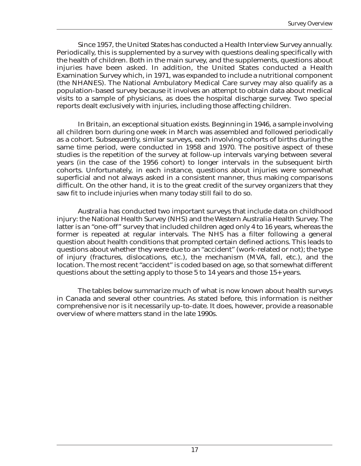Since 1957, the *United States* has conducted a Health Interview Survey annually. Periodically, this is supplemented by a survey with questions dealing specifically with the health of children. Both in the main survey, and the supplements, questions about injuries have been asked. In addition, the United States conducted a Health Examination Survey which, in 1971, was expanded to include a nutritional component (the NHANES). The National Ambulatory Medical Care survey may also qualify as a population-based survey because it involves an attempt to obtain data about medical visits to a sample of physicians, as does the hospital discharge survey. Two special reports dealt exclusively with injuries, including those affecting children.

In *Britain*, an exceptional situation exists. Beginning in 1946, a sample involving all children born during one week in March was assembled and followed periodically as a cohort. Subsequently, similar surveys, each involving cohorts of births during the same time period, were conducted in 1958 and 1970. The positive aspect of these studies is the repetition of the survey at follow-up intervals varying between several years (in the case of the 1956 cohort) to longer intervals in the subsequent birth cohorts. Unfortunately, in each instance, questions about injuries were somewhat superficial and not always asked in a consistent manner, thus making comparisons difficult. On the other hand, it is to the great credit of the survey organizers that they saw fit to include injuries when many today still fail to do so.

*Australia* has conducted two important surveys that include data on childhood injury: the National Health Survey (NHS) and the Western Australia Health Survey. The latter is an "one-off" survey that included children aged only 4 to 16 years, whereas the former is repeated at regular intervals. The NHS has a filter following a general question about health conditions that prompted certain defined actions. This leads to questions about whether they were due to an "accident" (work-related or not); the type of injury (fractures, dislocations, etc.), the mechanism (MVA, fall, etc.), and the location. The most recent "accident" is coded based on age, so that somewhat different questions about the setting apply to those 5 to 14 years and those 15+ years.

The tables below summarize much of what is now known about health surveys in Canada and several other countries. As stated before, this information is neither comprehensive nor is it necessarily up-to-date. It does, however, provide a reasonable overview of where matters stand in the late 1990s.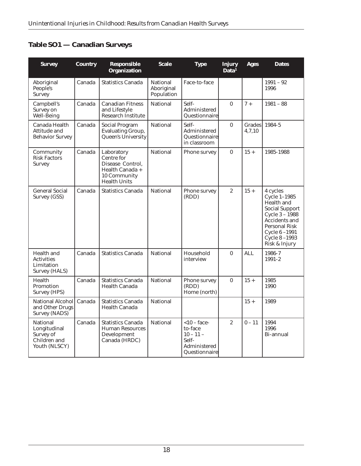## **Table SO1 — Canadian Surveys**

| <b>Survey</b>                                                                 | <b>Country</b> | <b>Responsible</b><br><b>Organization</b>                                                              | <b>Scale</b>                                | <b>Type</b>                                                                        | <b>Injury</b><br>Data <sup>1</sup> | Ages                    | <b>Dates</b>                                                                                                                                                                      |
|-------------------------------------------------------------------------------|----------------|--------------------------------------------------------------------------------------------------------|---------------------------------------------|------------------------------------------------------------------------------------|------------------------------------|-------------------------|-----------------------------------------------------------------------------------------------------------------------------------------------------------------------------------|
| Aboriginal<br>People's<br>Survey                                              | Canada         | <b>Statistics Canada</b>                                                                               | <b>National</b><br>Aboriginal<br>Population | Face-to-face                                                                       |                                    |                         | $1991 - 92$<br>1996                                                                                                                                                               |
| Campbell's<br>Survey on<br>Well-Being                                         | Canada         | <b>Canadian Fitness</b><br>and Lifestyle<br>Research Institute                                         | <b>National</b>                             | Self-<br>Administered<br>Questionnaire                                             | $\mathbf{0}$                       | $7 +$                   | $1981 - 88$                                                                                                                                                                       |
| Canada Health<br>Attitude and<br><b>Behavior Survey</b>                       | Canada         | <b>Social Program</b><br><b>Evaluating Group,</b><br>Queen's University                                | <b>National</b>                             | Self-<br>Administered<br>Questionnaire<br>in classroom                             | $\bf{0}$                           | <b>Grades</b><br>4.7.10 | 1984-5                                                                                                                                                                            |
| Community<br><b>Risk Factors</b><br><b>Survey</b>                             | Canada         | Laboratory<br>Centre for<br>Disease Control,<br>Health Canada +<br>10 Community<br><b>Health Units</b> | <b>National</b>                             | Phone survey                                                                       | $\bf{0}$                           | $15 +$                  | 1985-1988                                                                                                                                                                         |
| <b>General Social</b><br>Survey (GSS)                                         | Canada         | <b>Statistics Canada</b>                                                                               | <b>National</b>                             | Phone survey<br>(RDD)                                                              | $\overline{c}$                     | $15 +$                  | 4 cycles<br>Cycle $1-1985$<br>Health and<br><b>Social Support</b><br>Cycle $3 - 1988$<br>Accidents and<br><b>Personal Risk</b><br>Cycle 6-1991<br>Cycle $8-1993$<br>Risk & Injury |
| Health and<br><b>Activities</b><br>Limitation<br><b>Survey (HALS)</b>         | Canada         | <b>Statistics Canada</b>                                                                               | <b>National</b>                             | Household<br>interview                                                             | $\mathbf{0}$                       | <b>ALL</b>              | 1986-7<br>$1991 - 2$                                                                                                                                                              |
| Health<br>Promotion<br><b>Survey (HPS)</b>                                    | Canada         | <b>Statistics Canada</b><br><b>Health Canada</b>                                                       | <b>National</b>                             | Phone survey<br>(RDD)<br>Home (north)                                              | $\bf{0}$                           | $15 +$                  | 1985<br>1990                                                                                                                                                                      |
| <b>National Alcohol</b><br>and Other Drugs<br>Survey (NADS)                   | Canada         | <b>Statistics Canada</b><br><b>Health Canada</b>                                                       | <b>National</b>                             |                                                                                    |                                    | $15 +$                  | 1989                                                                                                                                                                              |
| <b>National</b><br>Longitudinal<br>Survey of<br>Children and<br>Youth (NLSCY) | Canada         | <b>Statistics Canada</b><br><b>Human Resources</b><br>Development<br>Canada (HRDC)                     | <b>National</b>                             | $< 10 -$ face-<br>to-face<br>$10 - 11 -$<br>Self-<br>Administered<br>Questionnaire | $\overline{2}$                     | $0 - 11$                | 1994<br>1996<br>Bi-annual                                                                                                                                                         |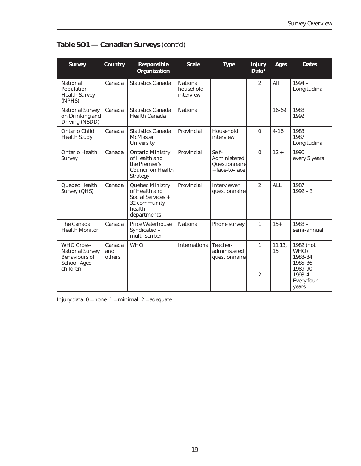| <b>Survey</b>                                                                                  | <b>Country</b>          | <b>Responsible</b><br><b>Organization</b>                                                                | <b>Scale</b>                              | <b>Type</b>                                              | <b>Injury</b><br>Data <sup>1</sup> | <b>Ages</b>  | <b>Dates</b>                                                                               |
|------------------------------------------------------------------------------------------------|-------------------------|----------------------------------------------------------------------------------------------------------|-------------------------------------------|----------------------------------------------------------|------------------------------------|--------------|--------------------------------------------------------------------------------------------|
| <b>National</b><br>Population<br><b>Health Survey</b><br>(NPHS)                                | Canada                  | <b>Statistics Canada</b>                                                                                 | <b>National</b><br>household<br>interview |                                                          | $\overline{2}$                     | All          | $1994 -$<br>Longitudinal                                                                   |
| <b>National Survey</b><br>on Drinking and<br>Driving (NSDD)                                    | Canada                  | <b>Statistics Canada</b><br>Health Canada                                                                | <b>National</b>                           |                                                          |                                    | 16-69        | 1988<br>1992                                                                               |
| <b>Ontario Child</b><br><b>Health Study</b>                                                    | Canada                  | <b>Statistics Canada</b><br><b>McMaster</b><br>University                                                | Provincial                                | Household<br>interview                                   | $\mathbf{0}$                       | $4 - 16$     | 1983<br>1987<br>Longitudinal                                                               |
| Ontario Health<br><b>Survey</b>                                                                | Canada                  | <b>Ontario Ministry</b><br>of Health and<br>the Premier's<br><b>Council on Health</b><br><b>Strategy</b> | Provincial                                | Self-<br>Administered<br>Questionnaire<br>+ face-to-face | $\mathbf{0}$                       | $12 +$       | 1990<br>every 5 years                                                                      |
| Quebec Health<br>Survey (QHS)                                                                  | Canada                  | <b>Quebec Ministry</b><br>of Health and<br>Social Services +<br>32 community<br>health<br>departments    | Provincial                                | <b>Interviewer</b><br>questionnaire                      | $\overline{2}$                     | <b>ALL</b>   | 1987<br>$1992 - 3$                                                                         |
| The Canada<br><b>Health Monitor</b>                                                            | Canada                  | <b>Price Waterhouse</b><br>Syndicated -<br>multi-scriber                                                 | <b>National</b>                           | Phone survey                                             | $\mathbf{1}$                       | $15+$        | $1988 -$<br>semi-annual                                                                    |
| <b>WHO Cross-</b><br><b>National Survey</b><br><b>Behaviours of</b><br>School-Aged<br>children | Canada<br>and<br>others | <b>WHO</b>                                                                                               | International Teacher-                    | administered<br>questionnaire                            | $\mathbf{1}$<br>$\boldsymbol{2}$   | 11,13,<br>15 | 1982 (not<br>WHO)<br>1983-84<br>1985-86<br>1989-90<br>1993-4<br><b>Every four</b><br>years |

## **Table SO1 — Canadian Surveys** *(cont'd)*

Injury data:  $0 = none$  1 = minimal 2 = adequate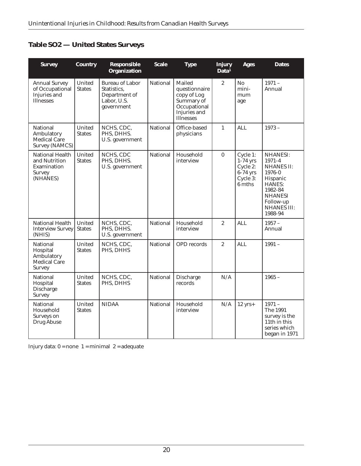|  |  |  |  | <b>Table SO2 - United States Surveys</b> |
|--|--|--|--|------------------------------------------|
|--|--|--|--|------------------------------------------|

| <b>Survey</b>                                                                       | <b>Country</b>                 | <b>Responsible</b><br><b>Organization</b>                                           | <b>Scale</b>    | <b>Type</b>                                                                                              | <b>Injury</b><br>Data <sup>1</sup> | <b>Ages</b>                                                            | <b>Dates</b>                                                                                                                                                     |
|-------------------------------------------------------------------------------------|--------------------------------|-------------------------------------------------------------------------------------|-----------------|----------------------------------------------------------------------------------------------------------|------------------------------------|------------------------------------------------------------------------|------------------------------------------------------------------------------------------------------------------------------------------------------------------|
| <b>Annual Survey</b><br>of Occupational<br>Injuries and<br><b>Illnesses</b>         | United<br><b>States</b>        | <b>Bureau of Labor</b><br>Statistics,<br>Department of<br>Labor, U.S.<br>government | <b>National</b> | Mailed<br>questionnaire<br>copy of Log<br>Summary of<br>Occupational<br>Injuries and<br><b>Illnesses</b> | $\overline{2}$                     | No<br>mini-<br>mum<br>age                                              | $1971 -$<br>Annual                                                                                                                                               |
| National<br>Ambulatory<br><b>Medical Care</b><br><b>Survey (NAMCS)</b>              | United<br><b>States</b>        | NCHS, CDC,<br>PHS, DHHS.<br>U.S. government                                         | National        | Office-based<br>physicians                                                                               | $\mathbf{1}$                       | <b>ALL</b>                                                             | $1973 -$                                                                                                                                                         |
| <b>National Health</b><br>and Nutrition<br>Examination<br><b>Survey</b><br>(NHANES) | United<br><b>States</b>        | NCHS, CDC<br>PHS, DHHS.<br>U.S. government                                          | National        | Household<br>interview                                                                                   | $\mathbf{0}$                       | Cycle 1:<br>$1-74$ yrs<br>Cycle 2:<br>$6-74$ yrs<br>Cycle 3:<br>6 mths | <b>NHANESI:</b><br>1971-4<br><b>NHANES II:</b><br>1976-0<br>Hispanic<br><b>HANES:</b><br>1982-84<br><b>NHANESI</b><br>Follow-up<br><b>NHANES III:</b><br>1988-94 |
| <b>National Health</b><br><b>Interview Survey</b><br>(NHIS)                         | United<br><b>States</b>        | NCHS, CDC,<br>PHS. DHHS.<br>U.S. government                                         | National        | Household<br>interview                                                                                   | $\overline{2}$                     | <b>ALL</b>                                                             | $1957 -$<br>Annual                                                                                                                                               |
| <b>National</b><br>Hospital<br>Ambulatory<br><b>Medical Care</b><br><b>Survey</b>   | <b>United</b><br><b>States</b> | NCHS, CDC,<br>PHS, DHHS                                                             | <b>National</b> | <b>OPD</b> records                                                                                       | $\overline{2}$                     | <b>ALL</b>                                                             | $1991 -$                                                                                                                                                         |
| <b>National</b><br>Hospital<br><b>Discharge</b><br><b>Survey</b>                    | United<br><b>States</b>        | NCHS, CDC,<br>PHS, DHHS                                                             | National        | <b>Discharge</b><br>records                                                                              | N/A                                |                                                                        | $1965 -$                                                                                                                                                         |
| National<br>Household<br>Surveys on<br><b>Drug Abuse</b>                            | United<br><b>States</b>        | <b>NIDAA</b>                                                                        | National        | Household<br>interview                                                                                   | N/A                                | $12$ yrs+                                                              | $1971 -$<br><b>The 1991</b><br>survey is the<br>11 <sup>th</sup> in this<br>series which<br>began in 1971                                                        |

Injury data:  $0 = none$  1 = minimal 2 = adequate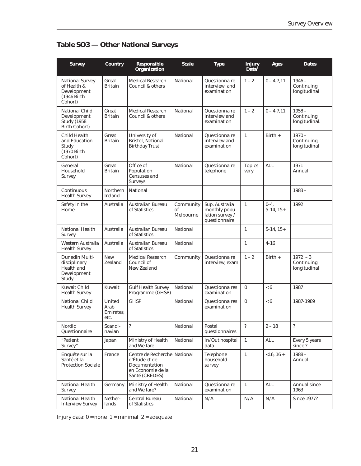| <b>Survey</b>                                                                        | <b>Country</b>                             | <b>Responsible</b><br><b>Organization</b>                                                             | <b>Scale</b>                 | <b>Type</b>                                                         | Injury<br>Data <sup>1</sup> | <b>Ages</b>           | <b>Dates</b>                             |
|--------------------------------------------------------------------------------------|--------------------------------------------|-------------------------------------------------------------------------------------------------------|------------------------------|---------------------------------------------------------------------|-----------------------------|-----------------------|------------------------------------------|
| <b>National Survey</b><br>of Health &<br>Development<br>(1946 Birth<br>Cohort)       | Great<br><b>Britain</b>                    | <b>Medical Research</b><br>Council & others                                                           | <b>National</b>              | Questionnaire<br>interview and<br>examination                       | $1 - 2$                     | $0 - 4, 7, 11$        | $1946 -$<br>Continuing<br>longitudinal   |
| <b>National Child</b><br>Development<br><b>Study</b> (1958)<br><b>Birth Cohort</b> ) | Great<br><b>Britain</b>                    | <b>Medical Research</b><br>Council & others                                                           | <b>National</b>              | Questionnaire<br>interview and<br>examination                       | $1 - 2$                     | $0 - 4, 7, 11$        | $1958 -$<br>Continuing<br>longitudinal.  |
| <b>Child Health</b><br>and Education<br>Study<br>(1970 Birth<br>Cohort)              | Great<br><b>Britain</b>                    | University of<br>Bristol, National<br><b>Birthday Trust</b>                                           | <b>National</b>              | Questionnaire<br>interview and<br>examination                       | $\mathbf{1}$                | $Birth +$             | $1970 -$<br>Continuing,<br>longitudinal  |
| General<br>Household<br>Survey                                                       | Great<br><b>Britain</b>                    | Office of<br>Population<br>Censuses and<br><b>Surveys</b>                                             | National                     | Questionnaire<br>telephone                                          | <b>Topics</b><br>vary       | <b>ALL</b>            | 1971<br>Annual                           |
| Continuous<br><b>Health Survey</b>                                                   | Northern<br>Ireland                        | National                                                                                              |                              |                                                                     |                             |                       | $1983 -$                                 |
| Safety in the<br>Home                                                                | Australia                                  | <b>Australian Bureau</b><br>of Statistics                                                             | Community<br>оf<br>Melbourne | Sup. Australia<br>monthly popu-<br>lation survey /<br>questionnaire | $\mathbf{1}$                | $0-4,$<br>$5-14, 15+$ | 1992                                     |
| National Health<br>Survey                                                            | Australia                                  | <b>Australian Bureau</b><br>of Statistics                                                             | <b>National</b>              |                                                                     | $\mathbf{1}$                | $5-14, 15+$           |                                          |
| Western Australia<br><b>Health Survey</b>                                            | Australia                                  | Australian Bureau<br>of Statistics                                                                    | <b>National</b>              |                                                                     | $\mathbf{1}$                | $4 - 16$              |                                          |
| Dunedin Multi-<br>disciplinary<br>Health and<br>Development<br>Study                 | <b>New</b><br>Zealand                      | <b>Medical Research</b><br>Council of<br><b>New Zealand</b>                                           | Community                    | Questionnaire<br>interview, exam                                    | $1 - 2$                     | $Birth +$             | $1972 - 3$<br>Continuing<br>longitudinal |
| <b>Kuwait Child</b><br><b>Health Survey</b>                                          | Kuwait                                     | <b>Gulf Health Survey</b><br>Programme (GHSP)                                                         | National                     | <b>Questionnaires</b><br>examination                                | $\bf{0}$                    | < 6                   | 1987                                     |
| <b>National Child</b><br><b>Health Survey</b>                                        | <b>United</b><br>Arab<br>Emirates.<br>etc. | <b>GHSP</b>                                                                                           | <b>National</b>              | Questionnaires<br>examination                                       | $\bf{0}$                    | < 6                   | 1987-1989                                |
| Nordic<br>Questionnaire                                                              | Scandi-<br>navian                          | $\ddot{?}$                                                                                            | National                     | Postal<br>questionnaires                                            | $\ddot{?}$                  | $2 - 18$              | $\boldsymbol{\mathcal{P}}$               |
| "Patient<br>Survey"                                                                  | Japan                                      | Ministry of Health<br>and Welfare                                                                     | National                     | In/Out hospital<br>data                                             | $\mathbf{1}$                | <b>ALL</b>            | Every 5 years<br>since?                  |
| Enquête sur la<br>Santé et la<br><b>Protection Sociale</b>                           | France                                     | Centre de Recherche National<br>d'Étude et de<br>Documentation<br>en Économie de la<br>Santé (CREDES) |                              | Telephone<br>household<br>survey                                    | $\mathbf 1$                 | $<16, 16 +$           | $1988 -$<br>Annual                       |
| National Health<br><b>Survey</b>                                                     | Germany                                    | Ministry of Health<br>and Welfare?                                                                    | National                     | Questionnaire<br>examination                                        | $\mathbf{1}$                | <b>ALL</b>            | Annual since<br>1963                     |
| National Health<br><b>Interview Survey</b>                                           | Nether-<br>lands                           | <b>Central Bureau</b><br>of Statistics                                                                | National                     | N/A                                                                 | N/A                         | $\rm N/A$             | <b>Since 1977?</b>                       |

## **Table SO3 — Other National Surveys**

Injury data:  $0 =$  none  $1 =$  minimal  $2 =$  adequate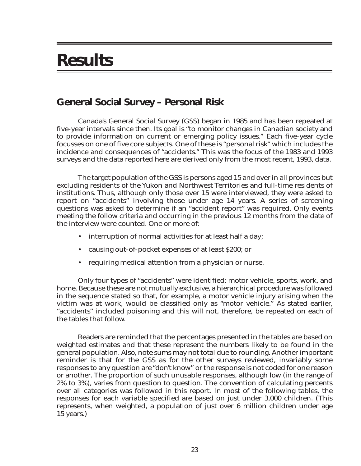## **Results**

## **General Social Survey – Personal Risk**

Canada's General Social Survey (GSS) began in 1985 and has been repeated at five-year intervals since then. Its goal is "to monitor changes in Canadian society and to provide information on current or emerging policy issues." Each five-year cycle focusses on one of five core subjects. One of these is "personal risk" which includes the incidence and consequences of "accidents." This was the focus of the 1983 and 1993 surveys and the data reported here are derived only from the most recent, 1993, data.

The target population of the GSS is persons aged 15 and over in all provinces but excluding residents of the Yukon and Northwest Territories and full-time residents of institutions. Thus, although only those over 15 were interviewed, they were asked to report on "accidents" involving those under age 14 years. A series of screening questions was asked to determine if an "accident report" was required. Only events meeting the follow criteria and occurring in the previous 12 months from the date of the interview were counted. One or more of:

- interruption of normal activities for at least half a day;
- causing out-of-pocket expenses of at least \$200; or
- requiring medical attention from a physician or nurse.

Only four types of "accidents" were identified: motor vehicle, sports, work, and home. Because these are not mutually exclusive, a hierarchical procedure was followed in the sequence stated so that, for example, a motor vehicle injury arising when the victim was at work, would be classified only as "motor vehicle." As stated earlier, "accidents" included poisoning and this will not, therefore, be repeated on each of the tables that follow.

Readers are reminded that the percentages presented in the tables are based on weighted estimates and that these represent the numbers likely to be found in the general population. Also, note sums may not total due to rounding. Another important reminder is that for the GSS as for the other surveys reviewed, invariably some responses to any question are "don't know" or the response is not coded for one reason or another. The proportion of such unusable responses, although low (in the range of 2% to 3%), varies from question to question. The convention of calculating percents over all categories was followed in this report. In most of the following tables, the responses for each variable specified are based on just under 3,000 children. (This represents, when weighted, a population of just over 6 million children under age 15 years.)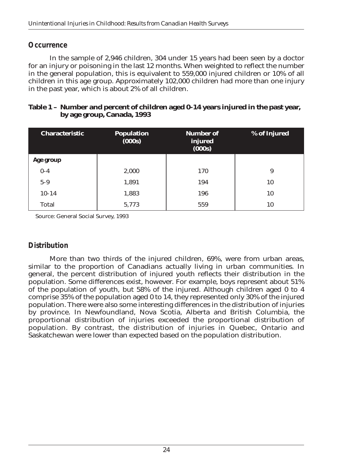### *Occurrence*

In the sample of 2,946 children, 304 under 15 years had been seen by a doctor for an injury or poisoning in the last 12 months. When weighted to reflect the number in the general population, this is equivalent to 559,000 injured children or 10% of all children in this age group. Approximately 102,000 children had more than one injury in the past year, which is about 2% of all children.

| Table 1 - Number and percent of children aged 0-14 years injured in the past year, |
|------------------------------------------------------------------------------------|
| by age group, Canada, 1993                                                         |

| <b>Characteristic</b> | <b>Population</b><br>(000s) | <b>Number of</b><br>injured<br>(000s) | % of Injured |
|-----------------------|-----------------------------|---------------------------------------|--------------|
| Age group             |                             |                                       |              |
| $0-4$                 | 2,000                       | 170                                   | 9            |
| $5-9$                 | 1,891                       | 194                                   | 10           |
| $10 - 14$             | 1,883                       | 196                                   | 10           |
| <b>Total</b>          | 5,773                       | 559                                   | 10           |

Source: General Social Survey, 1993

## *Distribution*

More than two thirds of the injured children, 69%, were from urban areas, similar to the proportion of Canadians actually living in urban communities. In general, the percent distribution of injured youth reflects their distribution in the population. Some differences exist, however. For example, boys represent about 51% of the population of youth, but 58% of the injured. Although children aged 0 to 4 comprise 35% of the population aged 0 to 14, they represented only 30% of the injured population. There were also some interesting differences in the distribution of injuries by province. In Newfoundland, Nova Scotia, Alberta and British Columbia, the proportional distribution of injuries exceeded the proportional distribution of population. By contrast, the distribution of injuries in Quebec, Ontario and Saskatchewan were lower than expected based on the population distribution.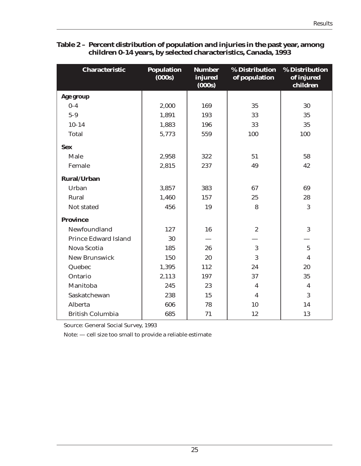| <b>Characteristic</b>       | <b>Population</b><br>(000s) | <b>Number</b><br>injured<br>(000s) | % Distribution<br>of population | <b>% Distribution</b><br>of injured<br>children |
|-----------------------------|-----------------------------|------------------------------------|---------------------------------|-------------------------------------------------|
| Age group                   |                             |                                    |                                 |                                                 |
| $0 - 4$                     | 2,000                       | 169                                | 35                              | 30                                              |
| $5-9$                       | 1,891                       | 193                                | 33                              | 35                                              |
| $10 - 14$                   | 1,883                       | 196                                | 33                              | 35                                              |
| <b>Total</b>                | 5,773                       | 559                                | 100                             | 100                                             |
| <b>Sex</b>                  |                             |                                    |                                 |                                                 |
| Male                        | 2,958                       | 322                                | 51                              | 58                                              |
| Female                      | 2,815                       | 237                                | 49                              | 42                                              |
| <b>Rural/Urban</b>          |                             |                                    |                                 |                                                 |
| Urban                       | 3,857                       | 383                                | 67                              | 69                                              |
| Rural                       | 1,460                       | 157                                | 25                              | 28                                              |
| Not stated                  | 456                         | 19                                 | 8                               | 3                                               |
| <b>Province</b>             |                             |                                    |                                 |                                                 |
| Newfoundland                | 127                         | 16                                 | $\boldsymbol{2}$                | 3                                               |
| <b>Prince Edward Island</b> | 30                          |                                    |                                 |                                                 |
| <b>Nova Scotia</b>          | 185                         | 26                                 | 3                               | $\overline{5}$                                  |
| <b>New Brunswick</b>        | 150                         | 20                                 | 3                               | $\overline{\mathbf{4}}$                         |
| Quebec                      | 1,395                       | 112                                | 24                              | 20                                              |
| Ontario                     | 2,113                       | 197                                | 37                              | 35                                              |
| Manitoba                    | 245                         | 23                                 | $\boldsymbol{4}$                | $\boldsymbol{4}$                                |
| Saskatchewan                | 238                         | 15                                 | $\boldsymbol{4}$                | 3                                               |
| Alberta                     | 606                         | 78                                 | 10                              | 14                                              |
| <b>British Columbia</b>     | 685                         | 71                                 | 12                              | 13                                              |

#### **Table 2 – Percent distribution of population and injuries in the past year, among children 0-14 years, by selected characteristics, Canada, 1993**

Source: General Social Survey, 1993

Note: — cell size too small to provide a reliable estimate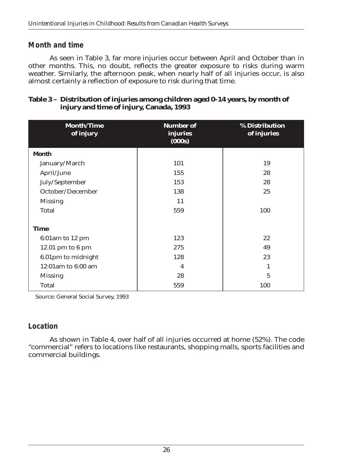## *Month and time*

As seen in Table 3, far more injuries occur between April and October than in other months. This, no doubt, reflects the greater exposure to risks during warm weather. Similarly, the afternoon peak, when nearly half of all injuries occur, is also almost certainly a reflection of exposure to risk during that time.

#### **Table 3 – Distribution of injuries among children aged 0-14 years, by month of injury and time of injury, Canada, 1993**

| <b>Month/Time</b><br>of injury | <b>Number of</b><br>injuries<br>(000s) | % Distribution<br>of injuries |
|--------------------------------|----------------------------------------|-------------------------------|
| <b>Month</b>                   |                                        |                               |
| January/March                  | 101                                    | 19                            |
| April/June                     | 155                                    | 28                            |
| July/September                 | 153                                    | 28                            |
| October/December               | 138                                    | 25                            |
| <b>Missing</b>                 | 11                                     |                               |
| <b>Total</b>                   | 559                                    | 100                           |
|                                |                                        |                               |
| <b>Time</b>                    |                                        |                               |
| 6:01am to 12 pm                | 123                                    | 22                            |
| 12.01 pm to 6 pm               | 275                                    | 49                            |
| 6.01pm to midnight             | 128                                    | 23                            |
| 12:01am to 6:00 am             | $\overline{\mathbf{4}}$                | 1                             |
| <b>Missing</b>                 | 28                                     | $\overline{5}$                |
| <b>Total</b>                   | 559                                    | 100                           |

Source: General Social Survey, 1993

## *Location*

As shown in Table 4, over half of all injuries occurred at home (52%). The code "commercial" refers to locations like restaurants, shopping malls, sports facilities and commercial buildings.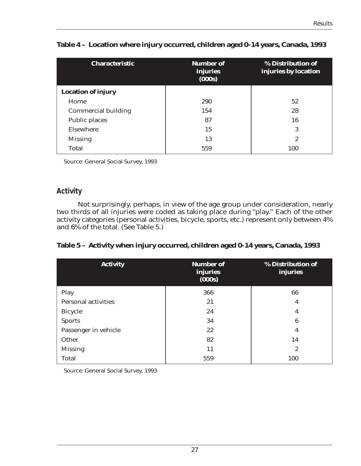| <b>Characteristic</b>      | <b>Number of</b><br>injuries<br>(000s) | % Distribution of<br>injuries by location |
|----------------------------|----------------------------------------|-------------------------------------------|
| <b>Location of injury</b>  |                                        |                                           |
| Home                       | 290                                    | 52                                        |
| <b>Commercial building</b> | 154                                    | 28                                        |
| <b>Public places</b>       | 87                                     | 16                                        |
| Elsewhere                  | 15                                     | 3                                         |
| <b>Missing</b>             | 13                                     | $\mathbf{2}$                              |
| Total                      | 559                                    | 100                                       |

## **Table 4 – Location where injury occurred, children aged 0-14 years, Canada, 1993**

Source: General Social Survey, 1993

## *Activity*

Not surprisingly, perhaps, in view of the age group under consideration, nearly two thirds of all injuries were coded as taking place during "play." Each of the other activity categories (personal activities, bicycle, sports, etc.) represent only between 4% and 6% of the total. (See Table 5.)

| Table 5 – Activity when injury occurred, children aged 0-14 years, Canada, 1993 |  |  |
|---------------------------------------------------------------------------------|--|--|
|                                                                                 |  |  |

| <b>Activity</b>            | <b>Number of</b><br><b>injuries</b><br>(000s) | % Distribution of<br>injuries |
|----------------------------|-----------------------------------------------|-------------------------------|
| Play                       | 366                                           | 66                            |
| <b>Personal activities</b> | 21                                            | 4                             |
| <b>Bicycle</b>             | 24                                            | 4                             |
| <b>Sports</b>              | 34                                            | 6                             |
| Passenger in vehicle       | 22                                            | 4                             |
| Other                      | 82                                            | 14                            |
| <b>Missing</b>             | 11                                            | $\boldsymbol{2}$              |
| <b>Total</b>               | 559                                           | 100                           |

Source: General Social Survey, 1993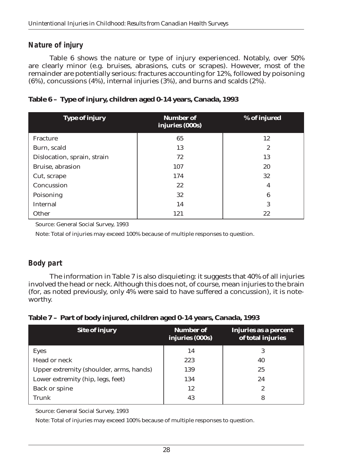## *Nature of injury*

Table 6 shows the nature or type of injury experienced. Notably, over 50% are clearly minor (e.g. bruises, abrasions, cuts or scrapes). However, most of the remainder are potentially serious: fractures accounting for 12%, followed by poisoning (6%), concussions (4%), internal injuries (3%), and burns and scalds (2%).

|  |  | Table 6 – Type of injury, children aged 0-14 years, Canada, 1993 |  |  |
|--|--|------------------------------------------------------------------|--|--|
|  |  |                                                                  |  |  |

| <b>Type of injury</b>       | <b>Number of</b><br>injuries (000s) | % of injured |
|-----------------------------|-------------------------------------|--------------|
| Fracture                    | 65                                  | 12           |
| Burn, scald                 | 13                                  | $\mathbf{2}$ |
| Dislocation, sprain, strain | 72                                  | 13           |
| Bruise, abrasion            | 107                                 | 20           |
| Cut, scrape                 | 174                                 | 32           |
| Concussion                  | $22\,$                              | 4            |
| Poisoning                   | 32                                  | 6            |
| Internal                    | 14                                  | 3            |
| Other                       | 121                                 | 22           |

Source: General Social Survey, 1993

Note: Total of injuries may exceed 100% because of multiple responses to question.

## *Body part*

The information in Table 7 is also disquieting: it suggests that 40% of all injuries involved the head or neck. Although this does not, of course, mean injuries to the brain (for, as noted previously, only 4% were said to have suffered a concussion), it is noteworthy.

#### **Table 7 – Part of body injured, children aged 0-14 years, Canada, 1993**

| <b>Site of injury</b>                   | <b>Number of</b><br>injuries (000s) | Injuries as a percent<br>of total injuries |
|-----------------------------------------|-------------------------------------|--------------------------------------------|
| <b>Eyes</b>                             | 14                                  | 3                                          |
| Head or neck                            | 223                                 | 40                                         |
| Upper extremity (shoulder, arms, hands) | 139                                 | 25                                         |
| Lower extremity (hip, legs, feet)       | 134                                 | 24                                         |
| <b>Back or spine</b>                    | 12                                  | 2                                          |
| <b>Trunk</b>                            | 43                                  | 8                                          |

Source: General Social Survey, 1993

Note: Total of injuries may exceed 100% because of multiple responses to question.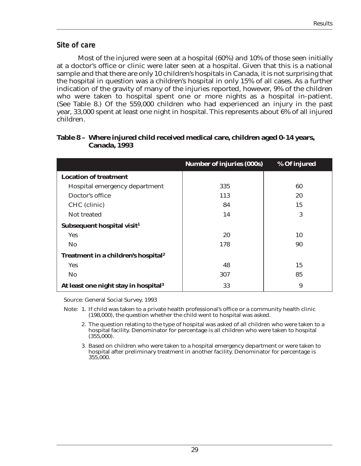#### *Site of care*

Most of the injured were seen at a hospital (60%) and 10% of those seen initially at a doctor's office or clinic were later seen at a hospital. Given that this is a national sample and that there are only 10 children's hospitals in Canada, it is not surprising that the hospital in question was a children's hospital in only 15% of all cases. As a further indication of the gravity of many of the injuries reported, however, 9% of the children who were taken to hospital spent one or more nights as a hospital in-patient. (See Table 8.) Of the 559,000 children who had experienced an injury in the past year, 33,000 spent at least one night in hospital. This represents about 6% of all injured children.

|                                                  | <b>Number of injuries (000s)</b> | % Of injured |
|--------------------------------------------------|----------------------------------|--------------|
| <b>Location of treatment</b>                     |                                  |              |
| Hospital emergency department                    | 335                              | 60           |
| Doctor's office                                  | 113                              | 20           |
| CHC (clinic)                                     | 84                               | 15           |
| Not treated                                      | 14                               | 3            |
| Subsequent hospital visit <sup>1</sup>           |                                  |              |
| <b>Yes</b>                                       | 20                               | 10           |
| <b>No</b>                                        | 178                              | 90           |
| Treatment in a children's hospital <sup>2</sup>  |                                  |              |
| Yes                                              | 48                               | 15           |
| <b>No</b>                                        | 307                              | 85           |
| At least one night stay in hospital <sup>3</sup> | 33                               | 9            |

#### **Table 8 – Where injured child received medical care, children aged 0-14 years, Canada, 1993**

Source: General Social Survey, 1993

- Note: 1. If child was taken to a private health professional's office or a community health clinic (198,000), the question whether the child went to hospital was asked.
	- 2. The question relating to the type of hospital was asked of all children who were taken to a hospital facility. Denominator for percentage is all children who were taken to hospital  $(355,000)$ .
	- 3. Based on children who were taken to a hospital emergency department or were taken to hospital after preliminary treatment in another facility. Denominator for percentage is 355,000.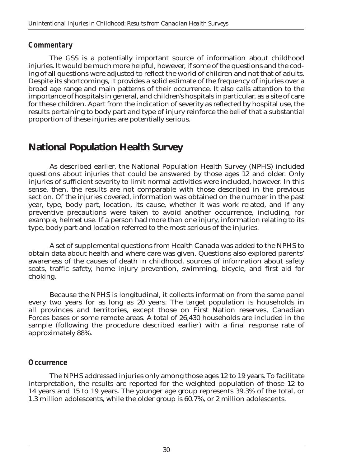## *Commentary*

The GSS is a potentially important source of information about childhood injuries. It would be much more helpful, however, if some of the questions and the coding of all questions were adjusted to reflect the world of children and not that of adults. Despite its shortcomings, it provides a solid estimate of the frequency of injuries over a broad age range and main patterns of their occurrence. It also calls attention to the importance of hospitals in general, and children's hospitals in particular, as a site of care for these children. Apart from the indication of severity as reflected by hospital use, the results pertaining to body part and type of injury reinforce the belief that a substantial proportion of these injuries are potentially serious.

## **National Population Health Survey**

As described earlier, the National Population Health Survey (NPHS) included questions about injuries that could be answered by those ages 12 and older. Only injuries of sufficient severity to limit normal activities were included, however. In this sense, then, the results are not comparable with those described in the previous section. Of the injuries covered, information was obtained on the number in the past year, type, body part, location, its cause, whether it was work related, and if any preventive precautions were taken to avoid another occurrence, including, for example, helmet use. If a person had more than one injury, information relating to its type, body part and location referred to the most serious of the injuries.

A set of supplemental questions from Health Canada was added to the NPHS to obtain data about health and where care was given. Questions also explored parents' awareness of the causes of death in childhood, sources of information about safety seats, traffic safety, home injury prevention, swimming, bicycle, and first aid for choking.

Because the NPHS is longitudinal, it collects information from the same panel every two years for as long as 20 years. The target population is households in all provinces and territories, except those on First Nation reserves, Canadian Forces bases or some remote areas. A total of 26,430 households are included in the sample (following the procedure described earlier) with a final response rate of approximately 88%.

## *Occurrence*

The NPHS addressed injuries only among those ages 12 to 19 years. To facilitate interpretation, the results are reported for the weighted population of those 12 to 14 years and 15 to 19 years. The younger age group represents 39.3% of the total, or 1.3 million adolescents, while the older group is 60.7%, or 2 million adolescents.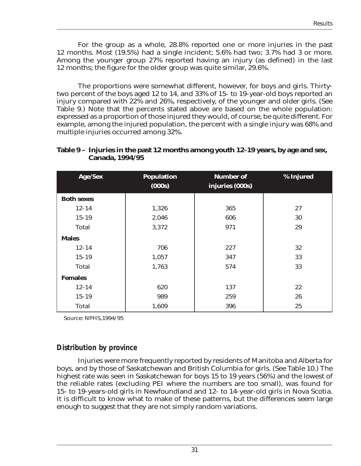For the group as a whole, 28.8% reported one or more injuries in the past 12 months. Most (19.5%) had a single incident; 5.6% had two; 3.7% had 3 or more. Among the younger group 27% reported having an injury (as defined) in the last 12 months; the figure for the older group was quite similar, 29.6%.

The proportions were somewhat different, however, for boys and girls. Thirtytwo percent of the boys aged 12 to 14, and 33% of 15- to 19-year-old boys reported an injury compared with 22% and 26%, respectively, of the younger and older girls. (See Table 9.) Note that the percents stated above are based on the whole population: expressed as a proportion of those injured they would, of course, be quite different. For example, among the injured population, the percent with a single injury was 68% and multiple injuries occurred among 32%.

| <b>Age/Sex</b>    | <b>Population</b><br>(000s) | <b>Number of</b><br>injuries (000s) | % Injured |
|-------------------|-----------------------------|-------------------------------------|-----------|
| <b>Both sexes</b> |                             |                                     |           |
| $12 - 14$         | 1,326                       | 365                                 | 27        |
| $15 - 19$         | 2,046                       | 606                                 | 30        |
| <b>Total</b>      | 3,372                       | 971                                 | 29        |
| <b>Males</b>      |                             |                                     |           |
| $12 - 14$         | 706                         | 227                                 | 32        |
| $15 - 19$         | 1,057                       | 347                                 | 33        |
| <b>Total</b>      | 1,763                       | 574                                 | 33        |
| <b>Females</b>    |                             |                                     |           |
| $12 - 14$         | 620                         | 137                                 | 22        |
| $15 - 19$         | 989                         | 259                                 | 26        |
| <b>Total</b>      | 1,609                       | 396                                 | 25        |

**Table 9 – Injuries in the past 12 months among youth 12-19 years, by age and sex, Canada, 1994/95** 

Source: NPHS,1994/95

## *Distribution by province*

Injuries were more frequently reported by residents of Manitoba and Alberta for boys, and by those of Saskatchewan and British Columbia for girls. (See Table 10.) The highest rate was seen in Saskatchewan for boys 15 to 19 years (56%) and the lowest of the reliable rates (excluding PEI where the numbers are too small), was found for 15- to 19-years-old girls in Newfoundland and 12- to 14-year-old girls in Nova Scotia. It is difficult to know what to make of these patterns, but the differences seem large enough to suggest that they are not simply random variations.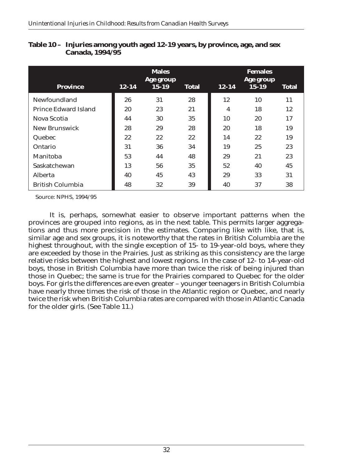| <b>Province</b>         | $12 - 14$ | <b>Males</b><br>Age group<br>$15 - 19$ | <b>Total</b> | $12 - 14$ | <b>Females</b><br>Age group<br>$15 - 19$ | <b>Total</b> |
|-------------------------|-----------|----------------------------------------|--------------|-----------|------------------------------------------|--------------|
| Newfoundland            | 26        | 31                                     | 28           | 12        | 10                                       | 11           |
| Prince Edward Island    | 20        | 23                                     | 21           | 4         | 18                                       | 12           |
| Nova Scotia             | 44        | 30                                     | 35           | 10        | 20                                       | 17           |
| New Brunswick           | 28        | 29                                     | 28           | 20        | 18                                       | 19           |
| Quebec                  | 22        | 22                                     | 22           | 14        | 22                                       | 19           |
| Ontario                 | 31        | 36                                     | 34           | 19        | 25                                       | 23           |
| Manitoba                | 53        | 44                                     | 48           | 29        | 21                                       | 23           |
| Saskatchewan            | 13        | 56                                     | 35           | 52        | 40                                       | 45           |
| <b>Alberta</b>          | 40        | 45                                     | 43           | 29        | 33                                       | 31           |
| <b>British Columbia</b> | 48        | 32                                     | 39           | 40        | 37                                       | 38           |

| Table 10 – Injuries among youth aged 12-19 years, by province, age, and sex |
|-----------------------------------------------------------------------------|
| <b>Canada, 1994/95</b>                                                      |

Source: NPHS, 1994/95

It is, perhaps, somewhat easier to observe important patterns when the provinces are grouped into regions, as in the next table. This permits larger aggregations and thus more precision in the estimates. Comparing like with like, that is, similar age and sex groups, it is noteworthy that the rates in British Columbia are the highest throughout, with the single exception of 15- to 19-year-old boys, where they are exceeded by those in the Prairies. Just as striking as this consistency are the large relative risks between the highest and lowest regions. In the case of 12- to 14-year-old boys, those in British Columbia have more than twice the risk of being injured than those in Quebec; the same is true for the Prairies compared to Quebec for the older boys. For girls the differences are even greater – younger teenagers in British Columbia have nearly three times the risk of those in the Atlantic region or Quebec, and nearly twice the risk when British Columbia rates are compared with those in Atlantic Canada for the older girls. (See Table 11.)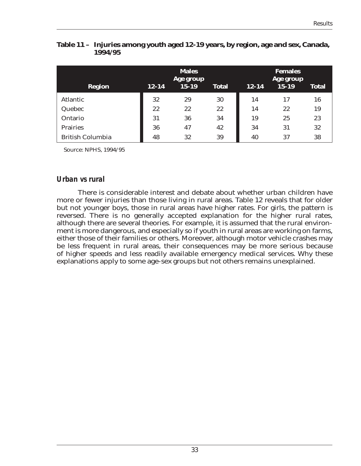| <b>Region</b>           | <b>Males</b><br>Age group<br>$15 - 19$<br>$12 - 14$<br><b>Total</b> |    |    | $12 - 14$ | <b>Females</b><br>Age group<br>$15 - 19$ | <b>Total</b> |
|-------------------------|---------------------------------------------------------------------|----|----|-----------|------------------------------------------|--------------|
| <b>Atlantic</b>         | 32                                                                  | 29 | 30 | 14        | 17                                       | 16           |
| Quebec                  | 22                                                                  | 22 | 22 | 14        | 22                                       | 19           |
| Ontario                 | 31                                                                  | 36 | 34 | 19        | 25                                       | 23           |
| <b>Prairies</b>         | 36                                                                  | 47 | 42 | 34        | 31                                       | 32           |
| <b>British Columbia</b> | 48                                                                  | 32 | 39 | 40        | 37                                       | 38           |

**Table 11 – Injuries among youth aged 12-19 years, by region, age and sex, Canada, 1994/95**

Source: NPHS, 1994/95

### *Urban vs rural*

There is considerable interest and debate about whether urban children have more or fewer injuries than those living in rural areas. Table 12 reveals that for older but not younger boys, those in rural areas have higher rates. For girls, the pattern is reversed. There is no generally accepted explanation for the higher rural rates, although there are several theories. For example, it is assumed that the rural environment is more dangerous, and especially so if youth in rural areas are working on farms, either those of their families or others. Moreover, although motor vehicle crashes may be less frequent in rural areas, their consequences may be more serious because of higher speeds and less readily available emergency medical services. Why these explanations apply to some age-sex groups but not others remains unexplained.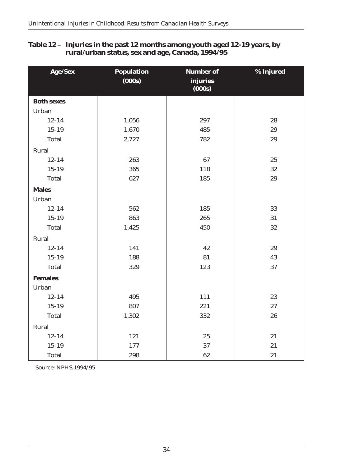| Age/Sex           | <b>Population</b> | <b>Number of</b>   | % Injured |
|-------------------|-------------------|--------------------|-----------|
|                   | (000s)            | injuries<br>(000s) |           |
| <b>Both sexes</b> |                   |                    |           |
| Urban             |                   |                    |           |
| $12 - 14$         | 1,056             | 297                | 28        |
| $15 - 19$         | 1,670             | 485                | 29        |
| <b>Total</b>      | 2,727             | 782                | 29        |
| Rural             |                   |                    |           |
| $12 - 14$         | 263               | 67                 | 25        |
| $15 - 19$         | 365               | 118                | 32        |
| <b>Total</b>      | 627               | 185                | 29        |
| <b>Males</b>      |                   |                    |           |
| Urban             |                   |                    |           |
| $12 - 14$         | 562               | 185                | 33        |
| $15 - 19$         | 863               | 265                | 31        |
| <b>Total</b>      | 1,425             | 450                | 32        |
| Rural             |                   |                    |           |
| $12 - 14$         | 141               | 42                 | 29        |
| $15 - 19$         | 188               | 81                 | 43        |
| <b>Total</b>      | 329               | 123                | 37        |
| <b>Females</b>    |                   |                    |           |
| Urban             |                   |                    |           |
| $12 - 14$         | 495               | 111                | 23        |
| $15 - 19$         | 807               | 221                | 27        |
| <b>Total</b>      | 1,302             | 332                | 26        |
| Rural             |                   |                    |           |
| $12 - 14$         | 121               | 25                 | 21        |
| $15 - 19$         | 177               | 37                 | 21        |
| <b>Total</b>      | 298               | 62                 | 21        |

### **Table 12 – Injuries in the past 12 months among youth aged 12-19 years, by rural/urban status, sex and age, Canada, 1994/95**

Source: NPHS,1994/95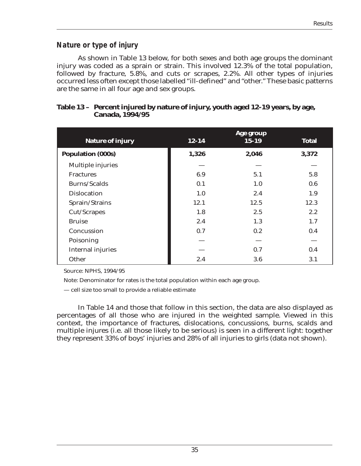## *Nature or type of injury*

As shown in Table 13 below, for both sexes and both age groups the dominant injury was coded as a sprain or strain. This involved 12.3% of the total population, followed by fracture, 5.8%, and cuts or scrapes, 2.2%. All other types of injuries occurred less often except those labelled "ill-defined" and "other." These basic patterns are the same in all four age and sex groups.

| <b>Nature of injury</b>  | $12 - 14$ | Age group<br>$15 - 19$ | <b>Total</b> |
|--------------------------|-----------|------------------------|--------------|
| <b>Population (000s)</b> | 1,326     | 2,046                  | 3,372        |
| Multiple injuries        |           |                        |              |
| <b>Fractures</b>         | 6.9       | 5.1                    | 5.8          |
| Burns/Scalds             | 0.1       | 1.0                    | 0.6          |
| <b>Dislocation</b>       | 1.0       | 2.4                    | 1.9          |
| Sprain/Strains           | 12.1      | 12.5                   | 12.3         |
| Cut/Scrapes              | 1.8       | 2.5                    | 2.2          |
| <b>Bruise</b>            | 2.4       | 1.3                    | 1.7          |
| Concussion               | 0.7       | 0.2                    | 0.4          |
| Poisoning                |           |                        |              |
| <b>Internal injuries</b> |           | 0.7                    | 0.4          |
| Other                    | 2.4       | 3.6                    | 3.1          |

### **Table 13 – Percent injured by nature of injury, youth aged 12-19 years, by age, Canada, 1994/95**

Source: NPHS, 1994/95

Note: Denominator for rates is the total population within each age group.

— cell size too small to provide a reliable estimate

In Table 14 and those that follow in this section, the data are also displayed as percentages of all those who are injured in the weighted sample. Viewed in this context, the importance of fractures, dislocations, concussions, burns, scalds and multiple injures (i.e. all those likely to be serious) is seen in a different light: together they represent 33% of boys' injuries and 28% of all injuries to girls (data not shown).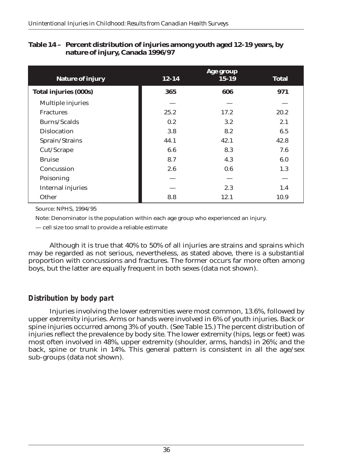| <b>Nature of injury</b>      | $12 - 14$ | Age group<br>$15 - 19$ | <b>Total</b> |
|------------------------------|-----------|------------------------|--------------|
| <b>Total injuries (000s)</b> | 365       | 606                    | 971          |
| Multiple injuries            |           |                        |              |
| <b>Fractures</b>             | 25.2      | 17.2                   | 20.2         |
| Burns/Scalds                 | 0.2       | 3.2                    | 2.1          |
| <b>Dislocation</b>           | 3.8       | 8.2                    | 6.5          |
| Sprain/Strains               | 44.1      | 42.1                   | 42.8         |
| Cut/Scrape                   | 6.6       | 8.3                    | 7.6          |
| <b>Bruise</b>                | 8.7       | 4.3                    | 6.0          |
| Concussion                   | 2.6       | 0.6                    | 1.3          |
| Poisoning                    |           |                        |              |
| <b>Internal injuries</b>     |           | 2.3                    | 1.4          |
| Other                        | 8.8       | 12.1                   | 10.9         |

### **Table 14 – Percent distribution of injuries among youth aged 12-19 years, by nature of injury, Canada 1996/97**

Source: NPHS, 1994/95

Note: Denominator is the population within each age group who experienced an injury.

— cell size too small to provide a reliable estimate

Although it is true that 40% to 50% of all injuries are strains and sprains which may be regarded as not serious, nevertheless, as stated above, there is a substantial proportion with concussions and fractures. The former occurs far more often among boys, but the latter are equally frequent in both sexes (data not shown).

# *Distribution by body part*

Injuries involving the lower extremities were most common, 13.6%, followed by upper extremity injuries. Arms or hands were involved in 6% of youth injuries. Back or spine injuries occurred among 3% of youth. (See Table 15.) The percent distribution of injuries reflect the prevalence by body site. The lower extremity (hips, legs or feet) was most often involved in 48%, upper extremity (shoulder, arms, hands) in 26%; and the back, spine or trunk in 14%. This general pattern is consistent in all the age/sex sub-groups (data not shown).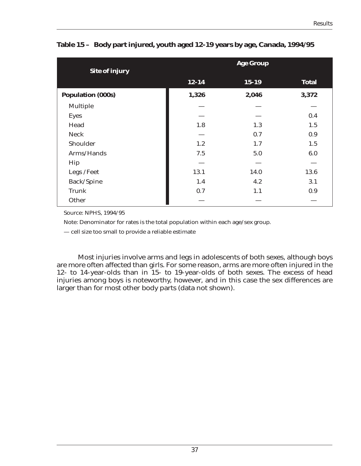| <b>Site of injury</b>    | <b>Age Group</b> |           |              |  |
|--------------------------|------------------|-----------|--------------|--|
|                          | $12 - 14$        | $15 - 19$ | <b>Total</b> |  |
| <b>Population (000s)</b> | 1,326            | 2,046     | 3,372        |  |
| <b>Multiple</b>          |                  |           |              |  |
| <b>Eyes</b>              |                  |           | 0.4          |  |
| Head                     | 1.8              | 1.3       | 1.5          |  |
| <b>Neck</b>              |                  | 0.7       | 0.9          |  |
| Shoulder                 | 1.2              | 1.7       | 1.5          |  |
| Arms/Hands               | 7.5              | 5.0       | 6.0          |  |
| Hip                      |                  |           |              |  |
| Legs /Feet               | 13.1             | 14.0      | 13.6         |  |
| Back/Spine               | 1.4              | 4.2       | 3.1          |  |
| <b>Trunk</b>             | 0.7              | 1.1       | 0.9          |  |
| Other                    |                  |           |              |  |

**Table 15 – Body part injured, youth aged 12-19 years by age, Canada, 1994/95**

Source: NPHS, 1994/95

Note: Denominator for rates is the total population within each age/sex group.

— cell size too small to provide a reliable estimate

Most injuries involve arms and legs in adolescents of both sexes, although boys are more often affected than girls. For some reason, arms are more often injured in the 12- to 14-year-olds than in 15- to 19-year-olds of both sexes. The excess of head injuries among boys is noteworthy, however, and in this case the sex differences are larger than for most other body parts (data not shown).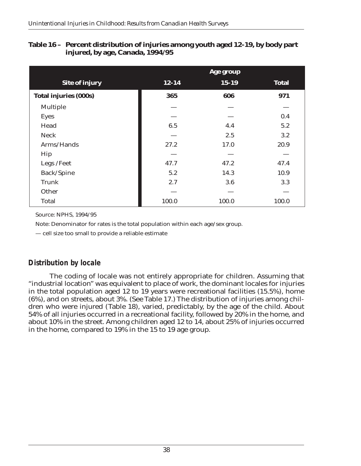|                              | Age group |           |              |
|------------------------------|-----------|-----------|--------------|
| <b>Site of injury</b>        | $12 - 14$ | $15 - 19$ | <b>Total</b> |
| <b>Total injuries (000s)</b> | 365       | 606       | 971          |
| <b>Multiple</b>              |           |           |              |
| <b>Eyes</b>                  |           |           | 0.4          |
| Head                         | 6.5       | 4.4       | 5.2          |
| <b>Neck</b>                  |           | 2.5       | 3.2          |
| Arms/Hands                   | 27.2      | 17.0      | 20.9         |
| Hip                          |           |           |              |
| Legs /Feet                   | 47.7      | 47.2      | 47.4         |
| Back/Spine                   | 5.2       | 14.3      | 10.9         |
| <b>Trunk</b>                 | 2.7       | 3.6       | 3.3          |
| Other                        |           |           |              |
| <b>Total</b>                 | 100.0     | 100.0     | 100.0        |

### **Table 16 – Percent distribution of injuries among youth aged 12-19, by body part injured, by age, Canada, 1994/95**

Source: NPHS, 1994/95

Note: Denominator for rates is the total population within each age/sex group.

— cell size too small to provide a reliable estimate

# *Distribution by locale*

The coding of locale was not entirely appropriate for children. Assuming that "industrial location" was equivalent to place of work, the dominant locales for injuries in the total population aged 12 to 19 years were recreational facilities (15.5%), home (6%), and on streets, about 3%. (See Table 17.) The distribution of injuries among children who were injured (Table 18), varied, predictably, by the age of the child. About 54% of all injuries occurred in a recreational facility, followed by 20% in the home, and about 10% in the street. Among children aged 12 to 14, about 25% of injuries occurred in the home, compared to 19% in the 15 to 19 age group.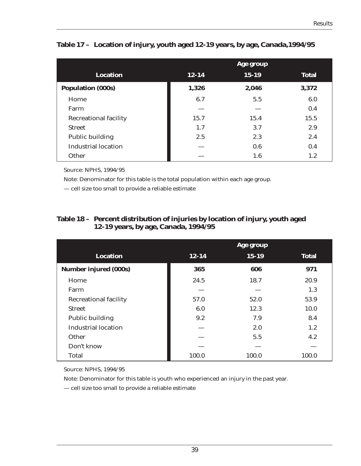|                              | Age group |           |              |
|------------------------------|-----------|-----------|--------------|
| <b>Location</b>              | $12 - 14$ | $15 - 19$ | <b>Total</b> |
| <b>Population (000s)</b>     | 1,326     | 2,046     | 3,372        |
| Home                         | 6.7       | 5.5       | 6.0          |
| Farm                         |           |           | 0.4          |
| <b>Recreational facility</b> | 15.7      | 15.4      | 15.5         |
| <b>Street</b>                | 1.7       | 3.7       | 2.9          |
| <b>Public building</b>       | 2.5       | 2.3       | 2.4          |
| <b>Industrial location</b>   |           | 0.6       | 0.4          |
| <b>Other</b>                 |           | 1.6       | 1.2          |

**Table 17 – Location of injury, youth aged 12-19 years, by age, Canada,1994/95**

Source: NPHS, 1994/95

Note: Denominator for this table is the total population within each age group.

— cell size too small to provide a reliable estimate

| Table 18 - Percent distribution of injuries by location of injury, youth aged |
|-------------------------------------------------------------------------------|
| <b>12-19 years, by age, Canada, 1994/95</b>                                   |

|                              | Age group |           |              |
|------------------------------|-----------|-----------|--------------|
| <b>Location</b>              | $12 - 14$ | $15 - 19$ | <b>Total</b> |
| <b>Number injured (000s)</b> | 365       | 606       | 971          |
| Home                         | 24.5      | 18.7      | 20.9         |
| Farm                         |           |           | 1.3          |
| <b>Recreational facility</b> | 57.0      | 52.0      | 53.9         |
| <b>Street</b>                | 6.0       | 12.3      | 10.0         |
| <b>Public building</b>       | 9.2       | 7.9       | 8.4          |
| <b>Industrial location</b>   |           | 2.0       | 1.2          |
| Other                        |           | 5.5       | 4.2          |
| Don't know                   |           |           |              |
| <b>Total</b>                 | 100.0     | 100.0     | 100.0        |

Source: NPHS, 1994/95

Note: Denominator for this table is youth who experienced an injury in the past year.

— cell size too small to provide a reliable estimate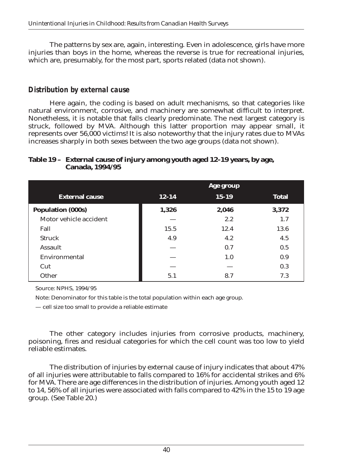The patterns by sex are, again, interesting. Even in adolescence, girls have more injuries than boys in the home, whereas the reverse is true for recreational injuries, which are, presumably, for the most part, sports related (data not shown).

### *Distribution by external cause*

Here again, the coding is based on adult mechanisms, so that categories like natural environment, corrosive, and machinery are somewhat difficult to interpret. Nonetheless, it is notable that falls clearly predominate. The next largest category is struck, followed by MVA. Although this latter proportion may appear small, it represents over 56,000 victims! It is also noteworthy that the injury rates due to MVAs increases sharply in both sexes between the two age groups (data not shown).

### **Table 19 – External cause of injury among youth aged 12-19 years, by age, Canada, 1994/95**

|                          | Age group |           |              |
|--------------------------|-----------|-----------|--------------|
| <b>External cause</b>    | $12 - 14$ | $15 - 19$ | <b>Total</b> |
| <b>Population (000s)</b> | 1,326     | 2,046     | 3,372        |
| Motor vehicle accident   |           | 2.2       | 1.7          |
| Fall                     | 15.5      | 12.4      | 13.6         |
| <b>Struck</b>            | 4.9       | 4.2       | 4.5          |
| <b>Assault</b>           |           | 0.7       | 0.5          |
| Environmental            |           | 1.0       | 0.9          |
| Cut                      |           |           | 0.3          |
| Other                    | 5.1       | 8.7       | 7.3          |

Source: NPHS, 1994/95

Note: Denominator for this table is the total population within each age group.

— cell size too small to provide a reliable estimate

The other category includes injuries from corrosive products, machinery, poisoning, fires and residual categories for which the cell count was too low to yield reliable estimates.

The distribution of injuries by external cause of injury indicates that about 47% of all injuries were attributable to falls compared to 16% for accidental strikes and 6% for MVA. There are age differences in the distribution of injuries. Among youth aged 12 to 14, 56% of all injuries were associated with falls compared to 42% in the 15 to 19 age group. (See Table 20.)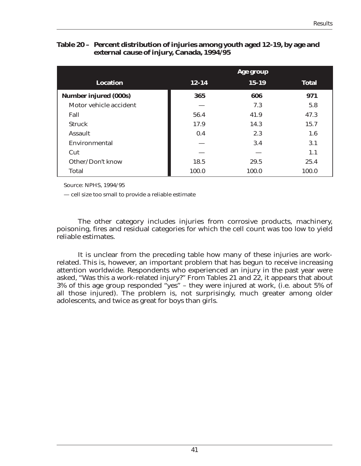#### **Table 20 – Percent distribution of injuries among youth aged 12-19, by age and external cause of injury, Canada, 1994/95**

|                              | Age group |           |              |
|------------------------------|-----------|-----------|--------------|
| <b>Location</b>              | $12 - 14$ | $15 - 19$ | <b>Total</b> |
| <b>Number injured (000s)</b> | 365       | 606       | 971          |
| Motor vehicle accident       |           | 7.3       | 5.8          |
| Fall                         | 56.4      | 41.9      | 47.3         |
| <b>Struck</b>                | 17.9      | 14.3      | 15.7         |
| <b>Assault</b>               | 0.4       | 2.3       | 1.6          |
| Environmental                |           | 3.4       | 3.1          |
| Cut                          |           |           | 1.1          |
| Other/Don't know             | 18.5      | 29.5      | 25.4         |
| <b>Total</b>                 | 100.0     | 100.0     | 100.0        |

Source: NPHS, 1994/95

— cell size too small to provide a reliable estimate

The other category includes injuries from corrosive products, machinery, poisoning, fires and residual categories for which the cell count was too low to yield reliable estimates.

It is unclear from the preceding table how many of these injuries are workrelated. This is, however, an important problem that has begun to receive increasing attention worldwide. Respondents who experienced an injury in the past year were asked, "Was this a work-related injury?" From Tables 21 and 22, it appears that about 3% of this age group responded "yes" – they were injured at work, (i.e. about 5% of all those injured). The problem is, not surprisingly, much greater among older adolescents, and twice as great for boys than girls.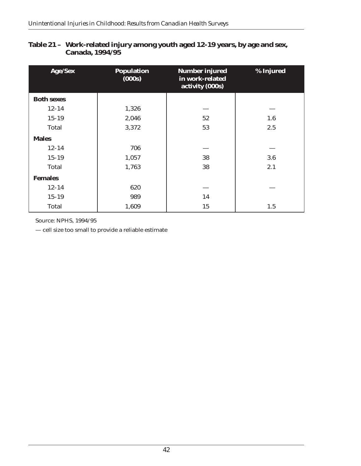| Age/Sex           | <b>Population</b><br>(000s) | <b>Number injured</b><br>in work-related<br>activity (000s) | % Injured |
|-------------------|-----------------------------|-------------------------------------------------------------|-----------|
| <b>Both sexes</b> |                             |                                                             |           |
| $12 - 14$         | 1,326                       |                                                             |           |
| $15 - 19$         | 2,046                       | 52                                                          | 1.6       |
| <b>Total</b>      | 3,372                       | 53                                                          | 2.5       |
| <b>Males</b>      |                             |                                                             |           |
| $12 - 14$         | 706                         |                                                             |           |
| $15 - 19$         | 1,057                       | 38                                                          | 3.6       |
| <b>Total</b>      | 1,763                       | 38                                                          | 2.1       |
| <b>Females</b>    |                             |                                                             |           |
| $12 - 14$         | 620                         |                                                             |           |
| $15 - 19$         | 989                         | 14                                                          |           |
| <b>Total</b>      | 1,609                       | 15                                                          | 1.5       |

### **Table 21 – Work-related injury among youth aged 12-19 years, by age and sex, Canada, 1994/95**

Source: NPHS, 1994/95

— cell size too small to provide a reliable estimate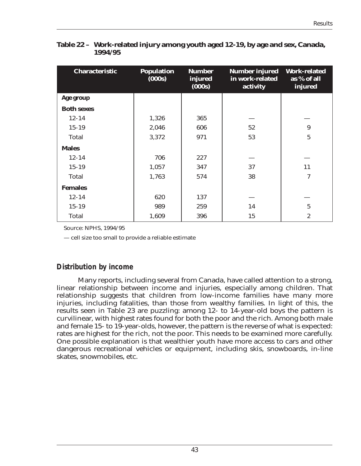| <b>Characteristic</b> | <b>Population</b><br>(000s) | <b>Number</b><br>injured<br>(000s) | <b>Number injured</b><br>in work-related<br>activity | <b>Work-related</b><br>as % of all<br>injured |
|-----------------------|-----------------------------|------------------------------------|------------------------------------------------------|-----------------------------------------------|
| Age group             |                             |                                    |                                                      |                                               |
| <b>Both sexes</b>     |                             |                                    |                                                      |                                               |
| $12 - 14$             | 1,326                       | 365                                |                                                      |                                               |
| $15 - 19$             | 2,046                       | 606                                | 52                                                   | $\boldsymbol{9}$                              |
| <b>Total</b>          | 3,372                       | 971                                | 53                                                   | $\overline{5}$                                |
| <b>Males</b>          |                             |                                    |                                                      |                                               |
| $12 - 14$             | 706                         | 227                                |                                                      |                                               |
| $15 - 19$             | 1,057                       | 347                                | 37                                                   | 11                                            |
| <b>Total</b>          | 1,763                       | 574                                | 38                                                   | 7                                             |
| <b>Females</b>        |                             |                                    |                                                      |                                               |
| $12 - 14$             | 620                         | 137                                |                                                      |                                               |
| $15 - 19$             | 989                         | 259                                | 14                                                   | $\overline{5}$                                |
| <b>Total</b>          | 1,609                       | 396                                | 15                                                   | $\boldsymbol{2}$                              |

**Table 22 – Work-related injury among youth aged 12-19, by age and sex, Canada, 1994/95**

Source: NPHS, 1994/95

— cell size too small to provide a reliable estimate

### *Distribution by income*

Many reports, including several from Canada, have called attention to a strong, linear relationship between income and injuries, especially among children. That relationship suggests that children from low-income families have many more injuries, including fatalities, than those from wealthy families. In light of this, the results seen in Table 23 are puzzling: among 12- to 14-year-old boys the pattern is curvilinear, with highest rates found for both the poor and the rich. Among both male and female 15- to 19-year-olds, however, the pattern is the reverse of what is expected: rates are highest for the rich, not the poor. This needs to be examined more carefully. One possible explanation is that wealthier youth have more access to cars and other dangerous recreational vehicles or equipment, including skis, snowboards, in-line skates, snowmobiles, etc.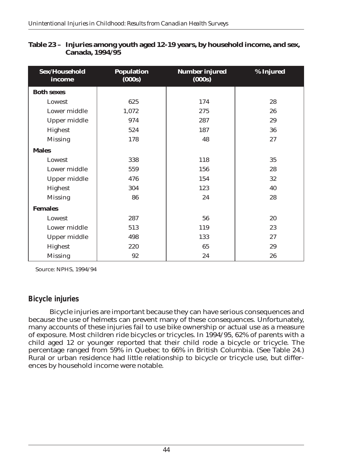| Sex/Household<br>income | <b>Population</b><br>(000s) | <b>Number injured</b><br>(000s) | % Injured |
|-------------------------|-----------------------------|---------------------------------|-----------|
| <b>Both sexes</b>       |                             |                                 |           |
| Lowest                  | 625                         | 174                             | 28        |
| Lower middle            | 1,072                       | 275                             | 26        |
| <b>Upper middle</b>     | 974                         | 287                             | 29        |
| Highest                 | 524                         | 187                             | 36        |
| <b>Missing</b>          | 178                         | 48                              | 27        |
| <b>Males</b>            |                             |                                 |           |
| Lowest                  | 338                         | 118                             | 35        |
| Lower middle            | 559                         | 156                             | 28        |
| <b>Upper middle</b>     | 476                         | 154                             | 32        |
| Highest                 | 304                         | 123                             | 40        |
| <b>Missing</b>          | 86                          | 24                              | 28        |
| <b>Females</b>          |                             |                                 |           |
| Lowest                  | 287                         | 56                              | 20        |
| Lower middle            | 513                         | 119                             | 23        |
| <b>Upper middle</b>     | 498                         | 133                             | 27        |
| Highest                 | 220                         | 65                              | 29        |
| <b>Missing</b>          | 92                          | 24                              | 26        |

#### **Table 23 – Injuries among youth aged 12-19 years, by household income, and sex, Canada, 1994/95**

Source: NPHS, 1994/94

# *Bicycle injuries*

Bicycle injuries are important because they can have serious consequences and because the use of helmets can prevent many of these consequences. Unfortunately, many accounts of these injuries fail to use bike ownership or actual use as a measure of exposure. Most children ride bicycles or tricycles. In 1994/95, 62% of parents with a child aged 12 or younger reported that their child rode a bicycle or tricycle. The percentage ranged from 59% in Quebec to 66% in British Columbia. (See Table 24.) Rural or urban residence had little relationship to bicycle or tricycle use, but differences by household income were notable.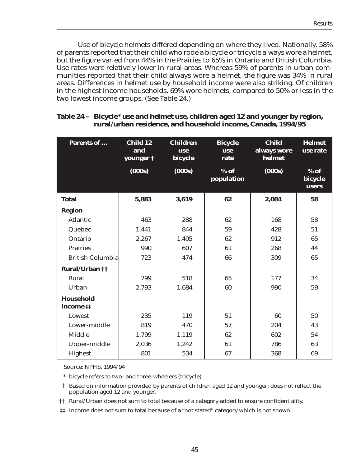Use of bicycle helmets differed depending on where they lived. Nationally, 58% of parents reported that their child who rode a bicycle or tricycle always wore a helmet, but the figure varied from 44% in the Prairies to 65% in Ontario and British Columbia. Use rates were relatively lower in rural areas. Whereas 59% of parents in urban communities reported that their child always wore a helmet, the figure was 34% in rural areas. Differences in helmet use by household income were also striking. Of children in the highest income households, 69% wore helmets, compared to 50% or less in the two lowest income groups. (See Table 24.)

| <b>Parents of </b>           | Child 12<br>and<br>younger $\dagger$ | <b>Children</b><br><b>use</b><br>bicycle | <b>Bicycle</b><br>use<br>rate | <b>Child</b><br>always wore<br>helmet | <b>Helmet</b><br>use rate  |
|------------------------------|--------------------------------------|------------------------------------------|-------------------------------|---------------------------------------|----------------------------|
|                              | (000s)                               | (000s)                                   | $%$ of<br>population          | (000s)                                | $%$ of<br>bicycle<br>users |
| <b>Total</b>                 | 5,883                                | 3,619                                    | 62                            | 2,084                                 | 58                         |
| <b>Region</b>                |                                      |                                          |                               |                                       |                            |
| <b>Atlantic</b>              | 463                                  | 288                                      | 62                            | 168                                   | 58                         |
| Quebec                       | 1,441                                | 844                                      | 59                            | 428                                   | 51                         |
| Ontario                      | 2,267                                | 1,405                                    | 62                            | 912                                   | 65                         |
| <b>Prairies</b>              | 990                                  | 607                                      | 61                            | 268                                   | 44                         |
| <b>British Columbia</b>      | 723                                  | 474                                      | 66                            | 309                                   | 65                         |
| <b>Rural/Urban ††</b>        |                                      |                                          |                               |                                       |                            |
| Rural                        | 799                                  | 518                                      | 65                            | 177                                   | 34                         |
| Urban                        | 2,793                                | 1,684                                    | 60                            | 990                                   | 59                         |
| <b>Household</b><br>income # |                                      |                                          |                               |                                       |                            |
| Lowest                       | 235                                  | 119                                      | 51                            | 60                                    | 50                         |
| Lower-middle                 | 819                                  | 470                                      | 57                            | 204                                   | 43                         |
| <b>Middle</b>                | 1,799                                | 1,119                                    | 62                            | 602                                   | 54                         |
| Upper-middle                 | 2,036                                | 1,242                                    | 61                            | 786                                   | 63                         |
| <b>Highest</b>               | 801                                  | 534                                      | 67                            | 368                                   | 69                         |

#### **Table 24 – Bicycle\* use and helmet use, children aged 12 and younger by region, rural/urban residence, and household income, Canada, 1994/95**

Source: NPHS, 1994/94

\* bicycle refers to two- and three-wheelers (tricycle)

† Based on information provided by parents of children aged 12 and younger; does not reflect the population aged 12 and younger.

†† Rural/Urban does not sum to total because of a category added to ensure confidentiality.

‡‡ Income does not sum to total because of a "not stated" category which is not shown.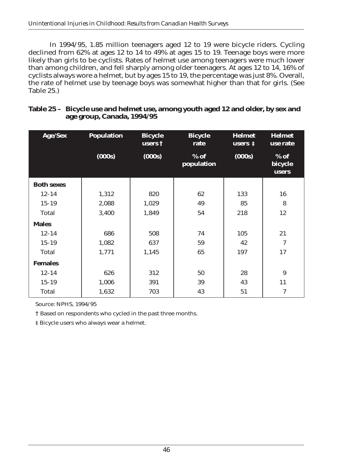In 1994/95, 1.85 million teenagers aged 12 to 19 were bicycle riders. Cycling declined from 62% at ages 12 to 14 to 49% at ages 15 to 19. Teenage boys were more likely than girls to be cyclists. Rates of helmet use among teenagers were much lower than among children, and fell sharply among older teenagers. At ages 12 to 14, 16% of cyclists always wore a helmet, but by ages 15 to 19, the percentage was just 8%. Overall, the rate of helmet use by teenage boys was somewhat higher than that for girls. (See Table 25.)

| <b>Age/Sex</b>    | <b>Population</b> | <b>Bicycle</b><br>users $\dagger$ | <b>Bicycle</b><br>rate | <b>Helmet</b><br>users $\ddagger$ | <b>Helmet</b><br>use rate         |
|-------------------|-------------------|-----------------------------------|------------------------|-----------------------------------|-----------------------------------|
|                   | (000s)            | (000s)                            | $%$ of<br>population   | (000s)                            | $%$ of<br>bicycle<br><b>users</b> |
| <b>Both sexes</b> |                   |                                   |                        |                                   |                                   |
| $12 - 14$         | 1,312             | 820                               | 62                     | 133                               | 16                                |
| $15 - 19$         | 2,088             | 1,029                             | 49                     | 85                                | 8                                 |
| <b>Total</b>      | 3,400             | 1,849                             | 54                     | 218                               | 12                                |
| <b>Males</b>      |                   |                                   |                        |                                   |                                   |
| $12 - 14$         | 686               | 508                               | 74                     | 105                               | 21                                |
| $15 - 19$         | 1,082             | 637                               | 59                     | 42                                | 7                                 |
| <b>Total</b>      | 1,771             | 1,145                             | 65                     | 197                               | 17                                |
| <b>Females</b>    |                   |                                   |                        |                                   |                                   |
| $12 - 14$         | 626               | 312                               | 50                     | 28                                | 9                                 |
| $15 - 19$         | 1,006             | 391                               | 39                     | 43                                | 11                                |
| <b>Total</b>      | 1,632             | 703                               | 43                     | 51                                | $\overline{7}$                    |

### **Table 25 – Bicycle use and helmet use, among youth aged 12 and older, by sex and age group, Canada, 1994/95**

Source: NPHS, 1994/95

† Based on respondents who cycled in the past three months.

‡ Bicycle users who always wear a helmet.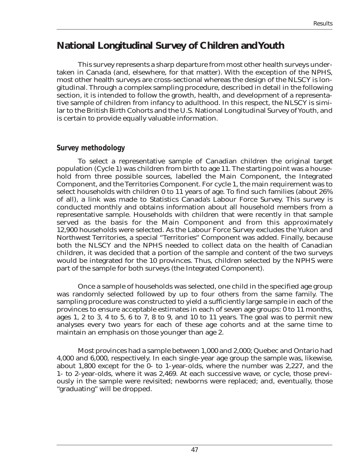# **National Longitudinal Survey of Children and Youth**

This survey represents a sharp departure from most other health surveys undertaken in Canada (and, elsewhere, for that matter). With the exception of the NPHS, most other health surveys are cross-sectional whereas the design of the NLSCY is longitudinal. Through a complex sampling procedure, described in detail in the following section, it is intended to follow the growth, health, and development of a representative sample of children from infancy to adulthood. In this respect, the NLSCY is similar to the British Birth Cohorts and the U.S. National Longitudinal Survey of Youth, and is certain to provide equally valuable information.

### *Survey methodology*

To select a representative sample of Canadian children the original target population (Cycle 1) was children from birth to age 11. The starting point was a household from three possible sources, labelled the Main Component, the Integrated Component, and the Territories Component. For cycle 1, the main requirement was to select households with children 0 to 11 years of age. To find such families (about 26% of all), a link was made to Statistics Canada's Labour Force Survey. This survey is conducted monthly and obtains information about all household members from a representative sample. Households with children that were recently in that sample served as the basis for the Main Component and from this approximately 12,900 households were selected. As the Labour Force Survey excludes the Yukon and Northwest Territories, a special "Territories" Component was added. Finally, because both the NLSCY and the NPHS needed to collect data on the health of Canadian children, it was decided that a portion of the sample and content of the two surveys would be integrated for the 10 provinces. Thus, children selected by the NPHS were part of the sample for both surveys (the Integrated Component).

Once a sample of households was selected, one child in the specified age group was randomly selected followed by up to four others from the same family. The sampling procedure was constructed to yield a sufficiently large sample in each of the provinces to ensure acceptable estimates in each of seven age groups: 0 to 11 months, ages 1, 2 to 3, 4 to 5, 6 to 7, 8 to 9, and 10 to 11 years. The goal was to permit new analyses every two years for each of these age cohorts and at the same time to maintain an emphasis on those younger than age 2.

Most provinces had a sample between 1,000 and 2,000; Quebec and Ontario had 4,000 and 6,000, respectively. In each single-year age group the sample was, likewise, about 1,800 except for the 0- to 1-year-olds, where the number was 2,227, and the 1- to 2-year-olds, where it was 2,469. At each successive wave, or cycle, those previously in the sample were revisited; newborns were replaced; and, eventually, those "graduating" will be dropped.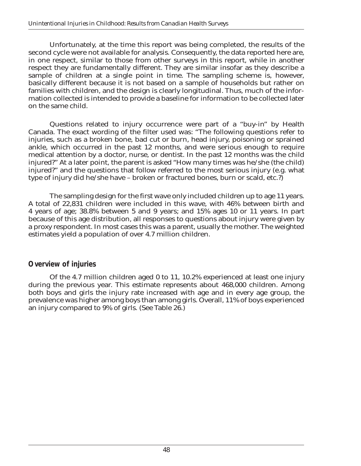Unfortunately, at the time this report was being completed, the results of the second cycle were not available for analysis. Consequently, the data reported here are, in one respect, similar to those from other surveys in this report, while in another respect they are fundamentally different. They are similar insofar as they describe a sample of children at a single point in time. The sampling scheme is, however, basically different because it is not based on a sample of households but rather on families with children, and the design is clearly longitudinal. Thus, much of the information collected is intended to provide a baseline for information to be collected later on the same child.

Questions related to injury occurrence were part of a "buy-in" by Health Canada. The exact wording of the filter used was: "The following questions refer to injuries, such as a broken bone, bad cut or burn, head injury, poisoning or sprained ankle, which occurred in the past 12 months, and were serious enough to require medical attention by a doctor, nurse, or dentist. In the past 12 months was the child injured?" At a later point, the parent is asked "How many times was he/she (the child) injured?" and the questions that follow referred to the most serious injury (e.g. what type of injury did he/she have – broken or fractured bones, burn or scald, etc.?)

The sampling design for the first wave only included children up to age 11 years. A total of 22,831 children were included in this wave, with 46% between birth and 4 years of age; 38.8% between 5 and 9 years; and 15% ages 10 or 11 years. In part because of this age distribution, all responses to questions about injury were given by a proxy respondent. In most cases this was a parent, usually the mother. The weighted estimates yield a population of over 4.7 million children.

### *Overview of injuries*

Of the 4.7 million children aged 0 to 11, 10.2% experienced at least one injury during the previous year. This estimate represents about 468,000 children. Among both boys and girls the injury rate increased with age and in every age group, the prevalence was higher among boys than among girls. Overall, 11% of boys experienced an injury compared to 9% of girls. (See Table 26.)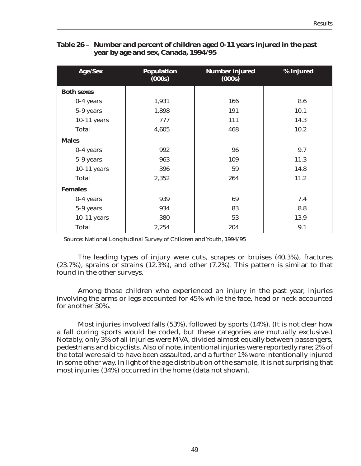| Age/Sex           | <b>Population</b><br>(000s) | <b>Number injured</b><br>(000s) | % Injured |
|-------------------|-----------------------------|---------------------------------|-----------|
| <b>Both sexes</b> |                             |                                 |           |
| $0-4$ years       | 1,931                       | 166                             | 8.6       |
| 5-9 years         | 1,898                       | 191                             | 10.1      |
| $10-11$ years     | 777                         | 111                             | 14.3      |
| <b>Total</b>      | 4,605                       | 468                             | 10.2      |
| <b>Males</b>      |                             |                                 |           |
| 0-4 years         | 992                         | 96                              | 9.7       |
| 5-9 years         | 963                         | 109                             | 11.3      |
| $10-11$ years     | 396                         | 59                              | 14.8      |
| <b>Total</b>      | 2,352                       | 264                             | 11.2      |
| <b>Females</b>    |                             |                                 |           |
| $0-4$ years       | 939                         | 69                              | 7.4       |
| 5-9 years         | 934                         | 83                              | 8.8       |
| $10-11$ years     | 380                         | 53                              | 13.9      |
| <b>Total</b>      | 2,254                       | 204                             | 9.1       |

#### **Table 26 – Number and percent of children aged 0-11 years injured in the past year by age and sex, Canada, 1994/95**

Source: National Longitudinal Survey of Children and Youth, 1994/95

The leading types of injury were cuts, scrapes or bruises (40.3%), fractures (23.7%), sprains or strains (12.3%), and other (7.2%). This pattern is similar to that found in the other surveys.

Among those children who experienced an injury in the past year, injuries involving the arms or legs accounted for 45% while the face, head or neck accounted for another 30%.

Most injuries involved falls (53%), followed by sports (14%). (It is not clear how a fall during sports would be coded, but these categories are mutually exclusive.) Notably, only 3% of all injuries were MVA, divided almost equally between passengers, pedestrians and bicyclists. Also of note, intentional injuries were reportedly rare; 2% of the total were said to have been assaulted, and a further 1% were intentionally injured in some other way. In light of the age distribution of the sample, it is not surprising that most injuries (34%) occurred in the home (data not shown).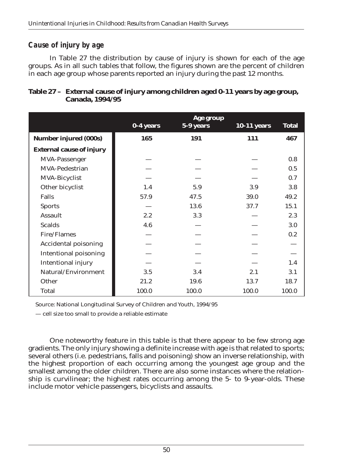### *Cause of injury by age*

In Table 27 the distribution by cause of injury is shown for each of the age groups. As in all such tables that follow, the figures shown are the percent of children in each age group whose parents reported an injury during the past 12 months.

|                                 | 0-4 years | Age group<br>5-9 years | <b>10-11 years</b> | <b>Total</b> |
|---------------------------------|-----------|------------------------|--------------------|--------------|
|                                 |           |                        |                    |              |
| <b>Number injured (000s)</b>    | 165       | 191                    | 111                | 467          |
| <b>External cause of injury</b> |           |                        |                    |              |
| MVA-Passenger                   |           |                        |                    | 0.8          |
| <b>MVA-Pedestrian</b>           |           |                        |                    | 0.5          |
| <b>MVA-Bicyclist</b>            |           |                        |                    | 0.7          |
| Other bicyclist                 | 1.4       | 5.9                    | 3.9                | 3.8          |
| <b>Falls</b>                    | 57.9      | 47.5                   | 39.0               | 49.2         |
| <b>Sports</b>                   |           | 13.6                   | 37.7               | 15.1         |
| <b>Assault</b>                  | 2.2       | 3.3                    |                    | 2.3          |
| <b>Scalds</b>                   | 4.6       |                        |                    | 3.0          |
| Fire/Flames                     |           |                        |                    | 0.2          |
| <b>Accidental poisoning</b>     |           |                        |                    |              |
| <b>Intentional poisoning</b>    |           |                        |                    |              |
| <b>Intentional injury</b>       |           |                        |                    | 1.4          |
| Natural/Environment             | 3.5       | 3.4                    | 2.1                | 3.1          |
| Other                           | 21.2      | 19.6                   | 13.7               | 18.7         |
| <b>Total</b>                    | 100.0     | 100.0                  | 100.0              | 100.0        |

### **Table 27 – External cause of injury among children aged 0-11 years by age group, Canada, 1994/95**

Source: National Longitudinal Survey of Children and Youth, 1994/95

— cell size too small to provide a reliable estimate

One noteworthy feature in this table is that there appear to be few strong age gradients. The only injury showing a definite increase with age is that related to sports; several others (i.e. pedestrians, falls and poisoning) show an inverse relationship, with the highest proportion of each occurring among the youngest age group and the smallest among the older children. There are also some instances where the relationship is curvilinear; the highest rates occurring among the 5- to 9-year-olds. These include motor vehicle passengers, bicyclists and assaults.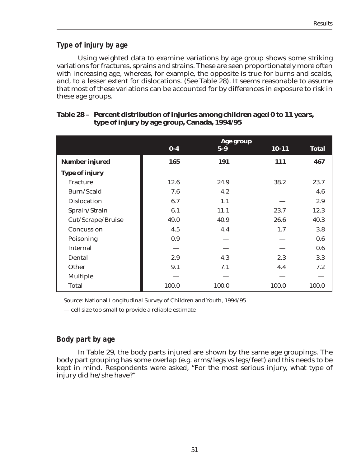# *Type of injury by age*

Using weighted data to examine variations by age group shows some striking variations for fractures, sprains and strains. These are seen proportionately more often with increasing age, whereas, for example, the opposite is true for burns and scalds, and, to a lesser extent for dislocations. (See Table 28). It seems reasonable to assume that most of these variations can be accounted for by differences in exposure to risk in these age groups.

|                       |       | Age group |           |              |
|-----------------------|-------|-----------|-----------|--------------|
|                       | $0-4$ | $5-9$     | $10 - 11$ | <b>Total</b> |
| <b>Number injured</b> | 165   | 191       | 111       | 467          |
| <b>Type of injury</b> |       |           |           |              |
| <b>Fracture</b>       | 12.6  | 24.9      | 38.2      | 23.7         |
| Burn/Scald            | 7.6   | 4.2       |           | 4.6          |
| <b>Dislocation</b>    | 6.7   | 1.1       |           | 2.9          |
| Sprain/Strain         | 6.1   | 11.1      | 23.7      | 12.3         |
| Cut/Scrape/Bruise     | 49.0  | 40.9      | 26.6      | 40.3         |
| Concussion            | 4.5   | 4.4       | 1.7       | 3.8          |
| Poisoning             | 0.9   |           |           | 0.6          |
| <b>Internal</b>       |       |           |           | 0.6          |
| Dental                | 2.9   | 4.3       | 2.3       | 3.3          |
| Other                 | 9.1   | 7.1       | 4.4       | 7.2          |
| <b>Multiple</b>       |       |           |           |              |
| <b>Total</b>          | 100.0 | 100.0     | 100.0     | 100.0        |

### **Table 28 – Percent distribution of injuries among children aged 0 to 11 years, type of injury by age group, Canada, 1994/95**

Source: National Longitudinal Survey of Children and Youth, 1994/95

— cell size too small to provide a reliable estimate

# *Body part by age*

In Table 29, the body parts injured are shown by the same age groupings. The body part grouping has some overlap (e.g. arms/legs vs legs/feet) and this needs to be kept in mind. Respondents were asked, "For the most serious injury, what type of injury did he/she have?"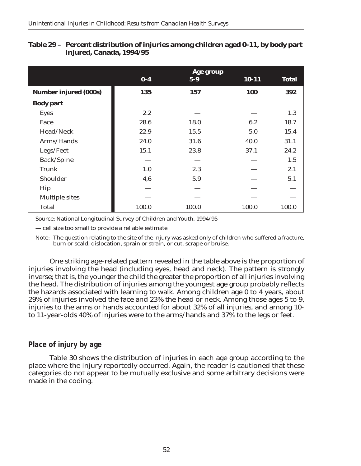|                              |       | Age group |           |              |
|------------------------------|-------|-----------|-----------|--------------|
|                              | $0-4$ | $5-9$     | $10 - 11$ | <b>Total</b> |
| <b>Number injured (000s)</b> | 135   | 157       | 100       | 392          |
| <b>Body part</b>             |       |           |           |              |
| <b>Eyes</b>                  | 2.2   |           |           | 1.3          |
| Face                         | 28.6  | 18.0      | 6.2       | 18.7         |
| Head/Neck                    | 22.9  | 15.5      | 5.0       | 15.4         |
| Arms/Hands                   | 24.0  | 31.6      | 40.0      | 31.1         |
| Legs/Feet                    | 15.1  | 23.8      | 37.1      | 24.2         |
| Back/Spine                   |       |           |           | 1.5          |
| <b>Trunk</b>                 | 1.0   | 2.3       |           | 2.1          |
| Shoulder                     | 4,6   | 5.9       |           | 5.1          |
| Hip                          |       |           |           |              |
| <b>Multiple sites</b>        |       |           |           |              |
| <b>Total</b>                 | 100.0 | 100.0     | 100.0     | 100.0        |

#### **Table 29 – Percent distribution of injuries among children aged 0-11, by body part injured, Canada, 1994/95**

Source: National Longitudinal Survey of Children and Youth, 1994/95

— cell size too small to provide a reliable estimate

Note: The question relating to the site of the injury was asked only of children who suffered a fracture, burn or scald, dislocation, sprain or strain, or cut, scrape or bruise.

One striking age-related pattern revealed in the table above is the proportion of injuries involving the head (including eyes, head and neck). The pattern is strongly inverse; that is, the younger the child the greater the proportion of all injuries involving the head. The distribution of injuries among the youngest age group probably reflects the hazards associated with learning to walk. Among children age 0 to 4 years, about 29% of injuries involved the face and 23% the head or neck. Among those ages 5 to 9, injuries to the arms or hands accounted for about 32% of all injuries, and among 10 to 11-year-olds 40% of injuries were to the arms/hands and 37% to the legs or feet.

### *Place of injury by age*

Table 30 shows the distribution of injuries in each age group according to the place where the injury reportedly occurred. Again, the reader is cautioned that these categories do not appear to be mutually exclusive and some arbitrary decisions were made in the coding.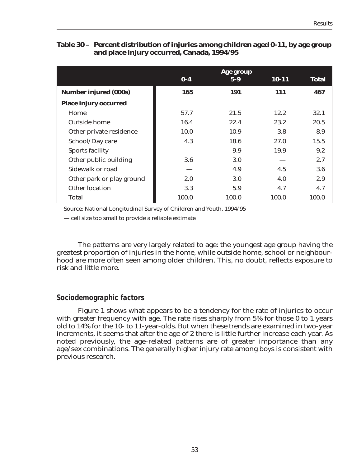#### **Table 30 – Percent distribution of injuries among children aged 0-11, by age group and place injury occurred, Canada, 1994/95**

|                              |         | Age group |            |              |
|------------------------------|---------|-----------|------------|--------------|
|                              | $0 - 4$ | $5-9$     | $10 - 11$  | <b>Total</b> |
| <b>Number injured (000s)</b> | 165     | 191       | <b>111</b> | 467          |
| <b>Place injury occurred</b> |         |           |            |              |
| Home                         | 57.7    | 21.5      | 12.2       | 32.1         |
| <b>Outside home</b>          | 16.4    | 22.4      | 23.2       | 20.5         |
| Other private residence      | 10.0    | 10.9      | 3.8        | 8.9          |
| School/Day care              | 4.3     | 18.6      | 27.0       | 15.5         |
| <b>Sports facility</b>       |         | 9.9       | 19.9       | 9.2          |
| Other public building        | 3.6     | 3.0       |            | 2.7          |
| Sidewalk or road             |         | 4.9       | 4.5        | 3.6          |
| Other park or play ground    | 2.0     | 3.0       | 4.0        | 2.9          |
| Other location               | 3.3     | 5.9       | 4.7        | 4.7          |
| Total                        | 100.0   | 100.0     | 100.0      | 100.0        |

Source: National Longitudinal Survey of Children and Youth, 1994/95

— cell size too small to provide a reliable estimate

The patterns are very largely related to age: the youngest age group having the greatest proportion of injuries in the home, while outside home, school or neighbourhood are more often seen among older children. This, no doubt, reflects exposure to risk and little more.

### *Sociodemographic factors*

Figure 1 shows what appears to be a tendency for the rate of injuries to occur with greater frequency with age. The rate rises sharply from 5% for those 0 to 1 years old to 14% for the 10- to 11-year-olds. But when these trends are examined in two-year increments, it seems that after the age of 2 there is little further increase each year. As noted previously, the age-related patterns are of greater importance than any age/sex combinations. The generally higher injury rate among boys is consistent with previous research.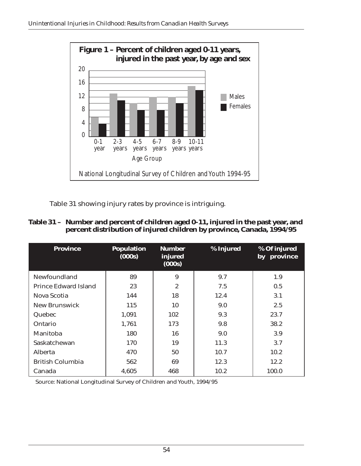

Table 31 showing injury rates by province is intriguing.

### **Table 31 – Number and percent of children aged 0-11, injured in the past year, and percent distribution of injured children by province, Canada, 1994/95**

| <b>Province</b>         | <b>Population</b><br>(000s) | <b>Number</b><br>injured<br>(000s) | % Injured | % Of injured<br>by province |
|-------------------------|-----------------------------|------------------------------------|-----------|-----------------------------|
| Newfoundland            | 89                          | 9                                  | 9.7       | 1.9                         |
| Prince Edward Island    | 23                          | $\overline{2}$                     | 7.5       | 0.5                         |
| Nova Scotia             | 144                         | 18                                 | 12.4      | 3.1                         |
| New Brunswick           | 115                         | 10                                 | 9.0       | 2.5                         |
| Quebec                  | 1,091                       | 102                                | 9.3       | 23.7                        |
| Ontario                 | 1,761                       | 173                                | 9.8       | 38.2                        |
| Manitoba                | 180                         | 16                                 | 9.0       | 3.9                         |
| Saskatchewan            | 170                         | 19                                 | 11.3      | 3.7                         |
| Alberta                 | 470                         | 50                                 | 10.7      | 10.2                        |
| <b>British Columbia</b> | 562                         | 69                                 | 12.3      | 12.2                        |
| Canada                  | 4,605                       | 468                                | 10.2      | 100.0                       |

Source: National Longitudinal Survey of Children and Youth, 1994/95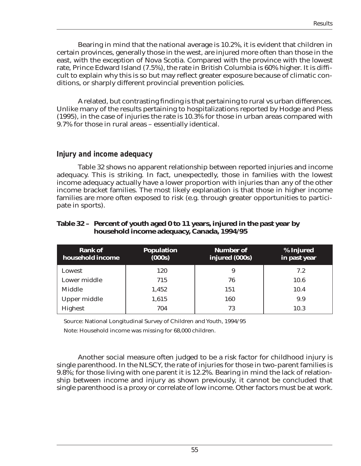Bearing in mind that the national average is 10.2%, it is evident that children in certain provinces, generally those in the west, are injured more often than those in the east, with the exception of Nova Scotia. Compared with the province with the lowest rate, Prince Edward Island (7.5%), the rate in British Columbia is 60% higher. It is difficult to explain why this is so but may reflect greater exposure because of climatic conditions, or sharply different provincial prevention policies.

A related, but contrasting finding is that pertaining to rural vs urban differences. Unlike many of the results pertaining to hospitalizations reported by Hodge and Pless (1995), in the case of injuries the rate is 10.3% for those in urban areas compared with 9.7% for those in rural areas – essentially identical.

#### *Injury and income adequacy*

Table 32 shows no apparent relationship between reported injuries and income adequacy. This is striking. In fact, unexpectedly, those in families with the lowest income adequacy actually have a lower proportion with injuries than any of the other income bracket families. The most likely explanation is that those in higher income families are more often exposed to risk (e.g. through greater opportunities to participate in sports).

#### **Table 32 – Percent of youth aged 0 to 11 years, injured in the past year by household income adequacy, Canada, 1994/95**

| <b>Rank of</b><br>household income | <b>Population</b><br>(000s) | <b>Number of</b><br>injured (000s) | % Injured<br>in past year |
|------------------------------------|-----------------------------|------------------------------------|---------------------------|
| Lowest                             | 120                         | 9                                  | 7.2                       |
| Lower middle                       | 715                         | 76                                 | 10.6                      |
| <b>Middle</b>                      | 1.452                       | 151                                | 10.4                      |
| <b>Upper middle</b>                | 1,615                       | 160                                | 9.9                       |
| <b>Highest</b>                     | 704                         | 73                                 | 10.3                      |

Source: National Longitudinal Survey of Children and Youth, 1994/95

Note: Household income was missing for 68,000 children.

Another social measure often judged to be a risk factor for childhood injury is single parenthood. In the NLSCY, the rate of injuries for those in two-parent families is 9.8%; for those living with one parent it is 12.2%. Bearing in mind the lack of relationship between income and injury as shown previously, it cannot be concluded that single parenthood is a proxy or correlate of low income. Other factors must be at work.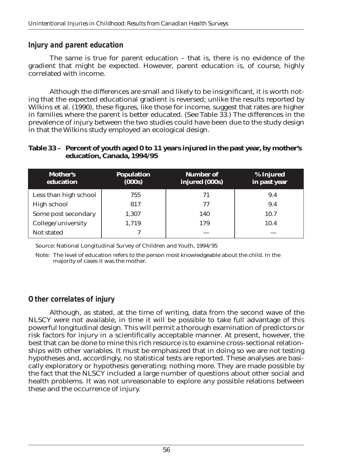### *Injury and parent education*

The same is true for parent education – that is, there is no evidence of the gradient that might be expected. However, parent education is, of course, highly correlated with income.

Although the differences are small and likely to be insignificant, it is worth noting that the expected educational gradient is reversed; unlike the results reported by Wilkins et al. (1990), these figures, like those for income, suggest that rates are higher in families where the parent is better educated. (See Table 33.) The differences in the prevalence of injury between the two studies could have been due to the study design in that the Wilkins study employed an ecological design.

#### **Table 33 – Percent of youth aged 0 to 11 years injured in the past year, by mother's education, Canada, 1994/95**

| <b>Mother's</b><br>education | <b>Population</b><br>(000s) | <b>Number of</b><br>injured (000s) | % Injured<br>in past year |
|------------------------------|-----------------------------|------------------------------------|---------------------------|
| Less than high school        | 755                         | 71                                 | 9.4                       |
| High school                  | 817                         | 77                                 | 9.4                       |
| Some post secondary          | 1,307                       | 140                                | 10.7                      |
| College/university           | 1,719                       | 179                                | 10.4                      |
| Not stated                   |                             |                                    |                           |

Source: National Longitudinal Survey of Children and Youth, 1994/95

Note: The level of education refers to the person most knowledgeable about the child. In the majority of cases it was the mother.

# *Other correlates of injury*

Although, as stated, at the time of writing, data from the second wave of the NLSCY were not available, in time it will be possible to take full advantage of this powerful longitudinal design. This will permit a thorough examination of predictors or risk factors for injury in a scientifically acceptable manner. At present, however, the best that can be done to mine this rich resource is to examine cross-sectional relationships with other variables. It must be emphasized that in doing so we are not testing hypotheses and, accordingly, no statistical tests are reported. These analyses are basically exploratory or hypothesis generating; nothing more. They are made possible by the fact that the NLSCY included a large number of questions about other social and health problems. It was not unreasonable to explore any possible relations between these and the occurrence of injury.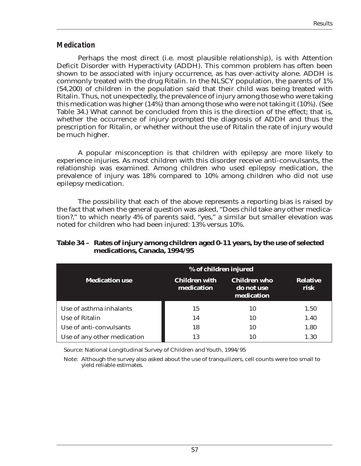### *Medication*

Perhaps the most direct (i.e. most plausible relationship), is with Attention Deficit Disorder with Hyperactivity (ADDH). This common problem has often been shown to be associated with injury occurrence, as has over-activity alone. ADDH is commonly treated with the drug Ritalin. In the NLSCY population, the parents of 1% (54,200) of children in the population said that their child was being treated with Ritalin. Thus, not unexpectedly, the prevalence of injury among those who were taking this medication was higher (14%) than among those who were not taking it (10%). (See Table 34.) What cannot be concluded from this is the direction of the effect; that is, whether the occurrence of injury prompted the diagnosis of ADDH and thus the prescription for Ritalin, or whether without the use of Ritalin the rate of injury would be much higher.

A popular misconception is that children with epilepsy are more likely to experience injuries. As most children with this disorder receive anti-convulsants, the relationship was examined. Among children who used epilepsy medication, the prevalence of injury was 18% compared to 10% among children who did not use epilepsy medication.

The possibility that each of the above represents a reporting bias is raised by the fact that when the general question was asked, "Does child take any other medication?," to which nearly 4% of parents said, "yes," a similar but smaller elevation was noted for children who had been injured: 13% versus 10%.

#### **Table 34 – Rates of injury among children aged 0-11 years, by the use of selected medications, Canada, 1994/95**

|                             | % of children injured              |                                                 |                         |  |
|-----------------------------|------------------------------------|-------------------------------------------------|-------------------------|--|
| <b>Medication use</b>       | <b>Children with</b><br>medication | <b>Children</b> who<br>do not use<br>medication | <b>Relative</b><br>risk |  |
| Use of asthma inhalants     | 15                                 | 10                                              | 1.50                    |  |
| Use of Ritalin              | 14                                 | 10                                              | 1.40                    |  |
| Use of anti-convulsants     | 18                                 | 10                                              | 1.80                    |  |
| Use of any other medication | 13                                 |                                                 | 1.30                    |  |

Source: National Longitudinal Survey of Children and Youth, 1994/95

Note: Although the survey also asked about the use of tranquilizers, cell counts were too small to yield reliable estimates.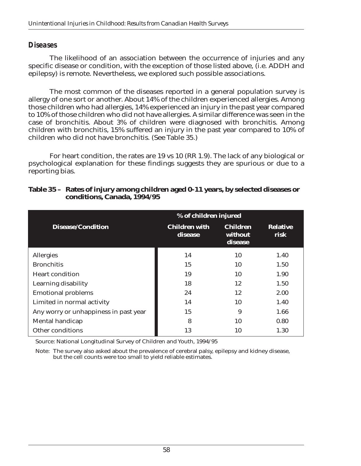### *Diseases*

The likelihood of an association between the occurrence of injuries and any specific disease or condition, with the exception of those listed above, (i.e. ADDH and epilepsy) is remote. Nevertheless, we explored such possible associations.

The most common of the diseases reported in a general population survey is allergy of one sort or another. About 14% of the children experienced allergies. Among those children who had allergies, 14% experienced an injury in the past year compared to 10% of those children who did not have allergies. A similar difference was seen in the case of bronchitis. About 3% of children were diagnosed with bronchitis. Among children with bronchitis, 15% suffered an injury in the past year compared to 10% of children who did not have bronchitis. (See Table 35.)

For heart condition, the rates are 19 vs 10 (RR 1.9). The lack of any biological or psychological explanation for these findings suggests they are spurious or due to a reporting bias.

|                                       | % of children injured           |                                       |                         |  |
|---------------------------------------|---------------------------------|---------------------------------------|-------------------------|--|
| <b>Disease/Condition</b>              | <b>Children with</b><br>disease | <b>Children</b><br>without<br>disease | <b>Relative</b><br>risk |  |
| Allergies                             | 14                              | 10                                    | 1.40                    |  |
| <b>Bronchitis</b>                     | 15                              | 10                                    | 1.50                    |  |
| <b>Heart condition</b>                | 19                              | 10                                    | 1.90                    |  |
| <b>Learning disability</b>            | 18                              | 12                                    | 1.50                    |  |
| <b>Emotional problems</b>             | 24                              | 12                                    | 2.00                    |  |
| Limited in normal activity            | 14                              | 10                                    | 1.40                    |  |
| Any worry or unhappiness in past year | 15                              | 9                                     | 1.66                    |  |
| Mental handicap                       | 8                               | 10                                    | 0.80                    |  |
| <b>Other conditions</b>               | 13                              | 10                                    | 1.30                    |  |

### **Table 35 – Rates of injury among children aged 0-11 years, by selected diseases or conditions, Canada, 1994/95**

Source: National Longitudinal Survey of Children and Youth, 1994/95

Note: The survey also asked about the prevalence of cerebral palsy, epilepsy and kidney disease, but the cell counts were too small to yield reliable estimates.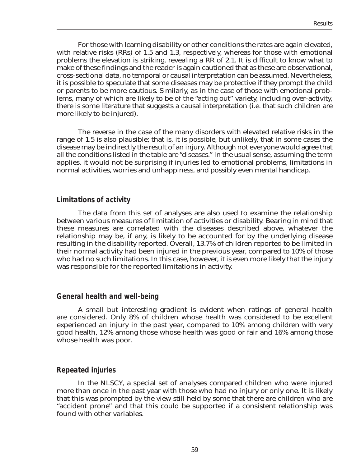For those with learning disability or other conditions the rates are again elevated, with relative risks (RRs) of 1.5 and 1.3, respectively, whereas for those with emotional problems the elevation is striking, revealing a RR of 2.1. It is difficult to know what to make of these findings and the reader is again cautioned that as these are observational, cross-sectional data, no temporal or causal interpretation can be assumed. Nevertheless, it is possible to speculate that some diseases may be protective if they prompt the child or parents to be more cautious. Similarly, as in the case of those with emotional problems, many of which are likely to be of the "acting out" variety, including over-activity, there is some literature that suggests a causal interpretation (i.e. that such children are more likely to be injured).

The reverse in the case of the many disorders with elevated relative risks in the range of 1.5 is also plausible; that is, it is possible, but unlikely, that in some cases the disease may be indirectly the result of an injury. Although not everyone would agree that all the conditions listed in the table are "diseases." In the usual sense, assuming the term applies, it would not be surprising if injuries led to emotional problems, limitations in normal activities, worries and unhappiness, and possibly even mental handicap.

### *Limitations of activity*

The data from this set of analyses are also used to examine the relationship between various measures of limitation of activities or disability. Bearing in mind that these measures are correlated with the diseases described above, whatever the relationship may be, if any, is likely to be accounted for by the underlying disease resulting in the disability reported. Overall, 13.7% of children reported to be limited in their normal activity had been injured in the previous year, compared to 10% of those who had no such limitations. In this case, however, it is even more likely that the injury was responsible for the reported limitations in activity.

### *General health and well-being*

A small but interesting gradient is evident when ratings of general health are considered. Only 8% of children whose health was considered to be excellent experienced an injury in the past year, compared to 10% among children with very good health, 12% among those whose health was good or fair and 16% among those whose health was poor.

### *Repeated injuries*

In the NLSCY, a special set of analyses compared children who were injured more than once in the past year with those who had no injury or only one. It is likely that this was prompted by the view still held by some that there are children who are "accident prone" and that this could be supported if a consistent relationship was found with other variables.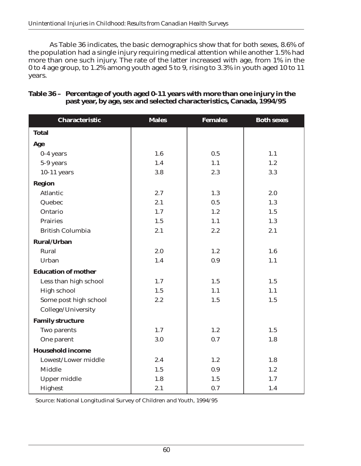As Table 36 indicates, the basic demographics show that for both sexes, 8.6% of the population had a single injury requiring medical attention while another 1.5% had more than one such injury. The rate of the latter increased with age, from 1% in the 0 to 4 age group, to 1.2% among youth aged 5 to 9, rising to 3.3% in youth aged 10 to 11 years.

| <b>Characteristic</b>      | <b>Males</b> | <b>Females</b> | <b>Both sexes</b> |
|----------------------------|--------------|----------------|-------------------|
| <b>Total</b>               |              |                |                   |
| Age                        |              |                |                   |
| 0-4 years                  | 1.6          | 0.5            | 1.1               |
| 5-9 years                  | 1.4          | 1.1            | 1.2               |
| $10-11$ years              | 3.8          | 2.3            | 3.3               |
| <b>Region</b>              |              |                |                   |
| <b>Atlantic</b>            | 2.7          | 1.3            | 2.0               |
| Quebec                     | 2.1          | 0.5            | 1.3               |
| Ontario                    | 1.7          | 1.2            | 1.5               |
| <b>Prairies</b>            | 1.5          | 1.1            | 1.3               |
| <b>British Columbia</b>    | 2.1          | 2.2            | 2.1               |
| <b>Rural/Urban</b>         |              |                |                   |
| Rural                      | 2.0          | 1.2            | 1.6               |
| Urban                      | 1.4          | 0.9            | 1.1               |
| <b>Education of mother</b> |              |                |                   |
| Less than high school      | 1.7          | 1.5            | 1.5               |
| <b>High school</b>         | 1.5          | 1.1            | 1.1               |
| Some post high school      | 2.2          | 1.5            | 1.5               |
| College/University         |              |                |                   |
| <b>Family structure</b>    |              |                |                   |
| Two parents                | 1.7          | 1.2            | 1.5               |
| One parent                 | 3.0          | 0.7            | 1.8               |
| <b>Household income</b>    |              |                |                   |
| Lowest/Lower middle        | 2.4          | 1.2            | 1.8               |
| <b>Middle</b>              | 1.5          | 0.9            | 1.2               |
| <b>Upper middle</b>        | 1.8          | 1.5            | 1.7               |
| Highest                    | 2.1          | 0.7            | 1.4               |

### **Table 36 – Percentage of youth aged 0-11 years with more than one injury in the past year, by age, sex and selected characteristics, Canada, 1994/95**

Source: National Longitudinal Survey of Children and Youth, 1994/95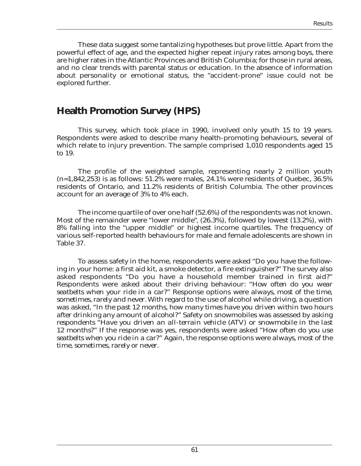These data suggest some tantalizing hypotheses but prove little. Apart from the powerful effect of age, and the expected higher repeat injury rates among boys, there are higher rates in the Atlantic Provinces and British Columbia; for those in rural areas, and no clear trends with parental status or education. In the absence of information about personality or emotional status, the "accident-prone" issue could not be explored further.

# **Health Promotion Survey (HPS)**

This survey, which took place in 1990, involved only youth 15 to 19 years. Respondents were asked to describe many health-promoting behaviours, several of which relate to injury prevention. The sample comprised 1,010 respondents aged 15 to 19.

The profile of the weighted sample, representing nearly 2 million youth  $(n=1,842,253)$  is as follows: 51.2% were males, 24.1% were residents of Quebec, 36.5% residents of Ontario, and 11.2% residents of British Columbia. The other provinces account for an average of 3% to 4% each.

The income quartile of over one half (52.6%) of the respondents was not known. Most of the remainder were "lower middle", (26.3%), followed by lowest (13.2%), with 8% falling into the "upper middle" or highest income quartiles. The frequency of various self-reported health behaviours for male and female adolescents are shown in Table 37.

To assess safety in the home, respondents were asked "Do you have the following in your home: a first aid kit, a smoke detector, a fire extinguisher?" The survey also asked respondents "Do you have a household member trained in first aid?" Respondents were asked about their driving behaviour: "*How often do you wear seatbelts when your ride in a car?*" Response options were *always, most of the time, sometimes, rarely and never*. With regard to the use of alcohol while driving, a question was asked, "*In the past 12 months, how many times have you driven within two hours after drinking any amount of alcohol?*" Safety on snowmobiles was assessed by asking *respondents* "*Have you driven an all-terrain vehicle (ATV) or snowmobile in the last 12 months?*" If the response was yes, respondents were asked "*How often do you use seatbelts when you ride in a car?*" Again, the response options were *always, most of the time, sometimes, rarely or never*.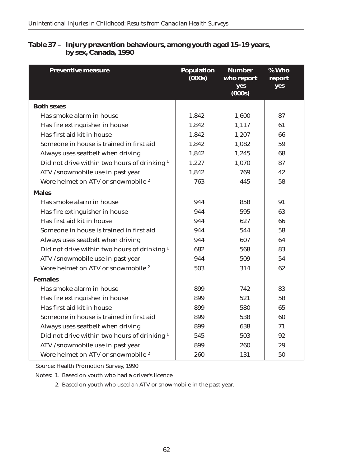| <b>Preventive measure</b>                               | <b>Population</b><br>(000s) | <b>Number</b><br>who report<br>yes<br>(000s) | % Who<br>report<br>yes |
|---------------------------------------------------------|-----------------------------|----------------------------------------------|------------------------|
| <b>Both sexes</b>                                       |                             |                                              |                        |
| Has smoke alarm in house                                | 1,842                       | 1,600                                        | 87                     |
| Has fire extinguisher in house                          | 1,842                       | 1,117                                        | 61                     |
| Has first aid kit in house                              | 1,842                       | 1,207                                        | 66                     |
| Someone in house is trained in first aid                | 1,842                       | 1,082                                        | 59                     |
| Always uses seatbelt when driving                       | 1,842                       | 1,245                                        | 68                     |
| Did not drive within two hours of drinking <sup>1</sup> | 1,227                       | 1,070                                        | 87                     |
| ATV /snowmobile use in past year                        | 1,842                       | 769                                          | 42                     |
| Wore helmet on ATV or snowmobile <sup>2</sup>           | 763                         | 445                                          | 58                     |
| <b>Males</b>                                            |                             |                                              |                        |
| Has smoke alarm in house                                | 944                         | 858                                          | 91                     |
| Has fire extinguisher in house                          | 944                         | 595                                          | 63                     |
| Has first aid kit in house                              | 944                         | 627                                          | 66                     |
| Someone in house is trained in first aid                | 944                         | 544                                          | 58                     |
| Always uses seatbelt when driving                       | 944                         | 607                                          | 64                     |
| Did not drive within two hours of drinking <sup>1</sup> | 682                         | 568                                          | 83                     |
| ATV /snowmobile use in past year                        | 944                         | 509                                          | 54                     |
| Wore helmet on ATV or snowmobile <sup>2</sup>           | 503                         | 314                                          | 62                     |
| <b>Females</b>                                          |                             |                                              |                        |
| Has smoke alarm in house                                | 899                         | 742                                          | 83                     |
| Has fire extinguisher in house                          | 899                         | 521                                          | 58                     |
| Has first aid kit in house                              | 899                         | 580                                          | 65                     |
| Someone in house is trained in first aid                | 899                         | 538                                          | 60                     |
| Always uses seatbelt when driving                       | 899                         | 638                                          | 71                     |
| Did not drive within two hours of drinking <sup>1</sup> | 545                         | 503                                          | 92                     |
| ATV /snowmobile use in past year                        | 899                         | 260                                          | 29                     |
| Wore helmet on ATV or snowmobile <sup>2</sup>           | 260                         | 131                                          | 50                     |

### **Table 37 – Injury prevention behaviours, among youth aged 15-19 years, by sex, Canada, 1990**

Source: Health Promotion Survey, 1990

Notes: 1. Based on youth who had a driver's licence

2. Based on youth who used an ATV or snowmobile in the past year.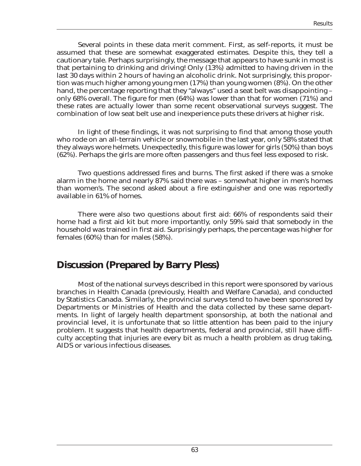Several points in these data merit comment. First, as self-reports, it must be assumed that these are somewhat exaggerated estimates. Despite this, they tell a cautionary tale. Perhaps surprisingly, the message that appears to have sunk in most is that pertaining to drinking and driving! Only (13%) admitted to having driven in the last 30 days within 2 hours of having an alcoholic drink. Not surprisingly, this proportion was much higher among young men (17%) than young women (8%). On the other hand, the percentage reporting that they "always" used a seat belt was disappointing – only 68% overall. The figure for men (64%) was lower than that for women (71%) and these rates are actually lower than some recent observational surveys suggest. The combination of low seat belt use and inexperience puts these drivers at higher risk.

In light of these findings, it was not surprising to find that among those youth who rode on an all-terrain vehicle or snowmobile in the last year, only 58% stated that they always wore helmets. Unexpectedly, this figure was lower for girls (50%) than boys (62%). Perhaps the girls are more often passengers and thus feel less exposed to risk.

Two questions addressed fires and burns. The first asked if there was a smoke alarm in the home and nearly 87% said there was – somewhat higher in men's homes than women's. The second asked about a fire extinguisher and one was reportedly available in 61% of homes.

There were also two questions about first aid: 66% of respondents said their home had a first aid kit but more importantly, only 59% said that somebody in the household was trained in first aid. Surprisingly perhaps, the percentage was higher for females (60%) than for males (58%).

# **Discussion (Prepared by Barry Pless)**

Most of the national surveys described in this report were sponsored by various branches in Health Canada (previously, Health and Welfare Canada), and conducted by Statistics Canada. Similarly, the provincial surveys tend to have been sponsored by Departments or Ministries of Health and the data collected by these same departments. In light of largely health department sponsorship, at both the national and provincial level, it is unfortunate that so little attention has been paid to the injury problem. It suggests that health departments, federal and provincial, still have difficulty accepting that injuries are every bit as much a health problem as drug taking, AIDS or various infectious diseases.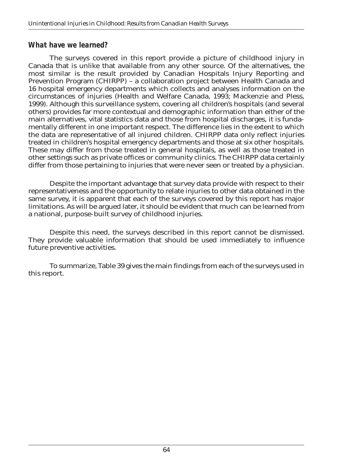### *What have we learned?*

The surveys covered in this report provide a picture of childhood injury in Canada that is unlike that available from any other source. Of the alternatives, the most similar is the result provided by Canadian Hospitals Injury Reporting and Prevention Program (CHIRPP) – a collaboration project between Health Canada and 16 hospital emergency departments which collects and analyses information on the circumstances of injuries (Health and Welfare Canada, 1993; Mackenzie and Pless, 1999). Although this surveillance system, covering all children's hospitals (and several others) provides far more contextual and demographic information than either of the main alternatives, vital statistics data and those from hospital discharges, it is fundamentally different in one important respect. The difference lies in the extent to which the data are representative of all injured children. CHIRPP data only reflect injuries treated in children's hospital emergency departments and those at six other hospitals. These may differ from those treated in general hospitals, as well as those treated in other settings such as private offices or community clinics. The CHIRPP data certainly differ from those pertaining to injuries that were never seen or treated by a physician.

Despite the important advantage that survey data provide with respect to their representativeness and the opportunity to relate injuries to other data obtained in the same survey, it is apparent that each of the surveys covered by this report has major limitations. As will be argued later, it should be evident that much can be learned from a national, purpose-built survey of childhood injuries.

Despite this need, the surveys described in this report cannot be dismissed. They provide valuable information that should be used immediately to influence future preventive activities.

To summarize, Table 39 gives the main findings from each of the surveys used in this report.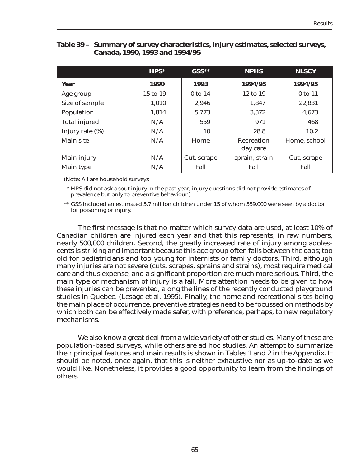|                      | $HPS^*$      | $GSS**$     | <b>NPHS</b>                   | <b>NLSCY</b> |
|----------------------|--------------|-------------|-------------------------------|--------------|
| Year                 | 1990         | 1993        | 1994/95                       | 1994/95      |
| Age group            | $15$ to $19$ | 0 to 14     | 12 to 19                      | 0 to 11      |
| Size of sample       | 1,010        | 2,946       | 1,847                         | 22,831       |
| Population           | 1,814        | 5,773       | 3,372                         | 4,673        |
| <b>Total injured</b> | N/A          | 559         | 971                           | 468          |
| Injury rate $(\%)$   | N/A          | 10          | 28.8                          | 10.2         |
| Main site            | N/A          | Home        | <b>Recreation</b><br>day care | Home, school |
| Main injury          | N/A          | Cut, scrape | sprain, strain                | Cut, scrape  |
| Main type            | N/A          | Fall        | Fall                          | Fall         |

#### **Table 39 – Summary of survey characteristics, injury estimates, selected surveys, Canada, 1990, 1993 and 1994/95**

(Note: All are household surveys

\* HPS did not ask about injury in the past year; injury questions did not provide estimates of prevalence but only to preventive behaviour.)

GSS included an estimated 5.7 million children under 15 of whom 559,000 were seen by a doctor for poisoning or injury.

The first message is that no matter which survey data are used, at least 10% of Canadian children are injured each year and that this represents, in raw numbers, nearly 500,000 children. Second, the greatly increased rate of injury among adolescents is striking and important because this age group often falls between the gaps; too old for pediatricians and too young for internists or family doctors. Third, although many injuries are not severe (cuts, scrapes, sprains and strains), most require medical care and thus expense, and a significant proportion are much more serious. Third, the main type or mechanism of injury is a fall. More attention needs to be given to how these injuries can be prevented, along the lines of the recently conducted playground studies in Quebec. (Lesage et al. 1995). Finally, the home and recreational sites being the main place of occurrence, preventive strategies need to be focussed on methods by which both can be effectively made safer, with preference, perhaps, to new regulatory mechanisms.

We also know a great deal from a wide variety of other studies. Many of these are population-based surveys, while others are ad hoc studies. An attempt to summarize their principal features and main results is shown in Tables 1 and 2 in the Appendix. It should be noted, once again, that this is neither exhaustive nor as up-to-date as we would like. Nonetheless, it provides a good opportunity to learn from the findings of others.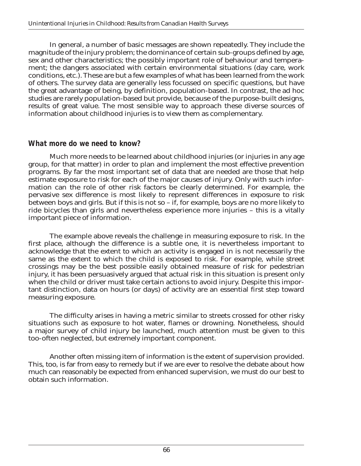In general, a number of basic messages are shown repeatedly. They include the magnitude of the injury problem; the dominance of certain sub-groups defined by age, sex and other characteristics; the possibly important role of behaviour and temperament; the dangers associated with certain environmental situations (day care, work conditions, etc.). These are but a few examples of what has been learned from the work of others. The survey data are generally less focussed on specific questions, but have the great advantage of being, by definition, population-based. In contrast, the ad hoc studies are rarely population-based but provide, because of the purpose-built designs, results of great value. The most sensible way to approach these diverse sources of information about childhood injuries is to view them as complementary.

### *What more do we need to know?*

Much more needs to be learned about childhood injuries (or injuries in any age group, for that matter) in order to plan and implement the most effective prevention programs. By far the most important set of data that are needed are those that help estimate exposure to risk for each of the major causes of injury. Only with such information can the role of other risk factors be clearly determined. For example, the pervasive sex difference is most likely to represent differences in exposure to risk between boys and girls. But if this is not so – if, for example, boys are no more likely to ride bicycles than girls and nevertheless experience more injuries – this is a vitally important piece of information.

The example above reveals the challenge in measuring exposure to risk. In the first place, although the difference is a subtle one, it is nevertheless important to acknowledge that the extent to which an activity is engaged in is not necessarily the same as the extent to which the child is exposed to risk. For example, while street crossings may be the best possible easily obtained measure of risk for pedestrian injury, it has been persuasively argued that actual risk in this situation is present only when the child or driver must take certain actions to avoid injury. Despite this important distinction, data on hours (or days) of activity are an essential first step toward measuring exposure.

The difficulty arises in having a metric similar to streets crossed for other risky situations such as exposure to hot water, flames or drowning. Nonetheless, should a major survey of child injury be launched, much attention must be given to this too-often neglected, but extremely important component.

Another often missing item of information is the extent of supervision provided. This, too, is far from easy to remedy but if we are ever to resolve the debate about how much can reasonably be expected from enhanced supervision, we must do our best to obtain such information.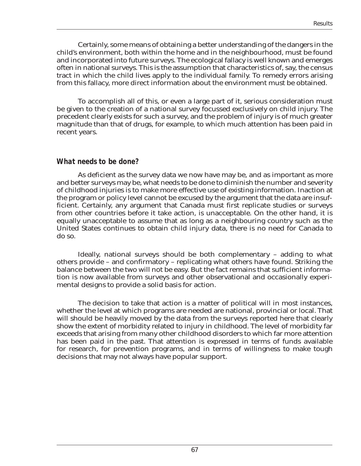Certainly, some means of obtaining a better understanding of the dangers in the child's environment, both within the home and in the neighbourhood, must be found and incorporated into future surveys. The ecological fallacy is well known and emerges often in national surveys. This is the assumption that characteristics of, say, the census tract in which the child lives apply to the individual family. To remedy errors arising from this fallacy, more direct information about the environment must be obtained.

To accomplish all of this, or even a large part of it, serious consideration must be given to the creation of a national survey focussed exclusively on child injury. The precedent clearly exists for such a survey, and the problem of injury is of much greater magnitude than that of drugs, for example, to which much attention has been paid in recent years.

### *What needs to be done?*

As deficient as the survey data we now have may be, and as important as more and better surveys may be, what needs to be done to diminish the number and severity of childhood injuries is to make more effective use of existing information. Inaction at the program or policy level cannot be excused by the argument that the data are insufficient. Certainly, any argument that Canada must first replicate studies or surveys from other countries before it take action, is unacceptable. On the other hand, it is equally unacceptable to assume that as long as a neighbouring country such as the United States continues to obtain child injury data, there is no need for Canada to do so.

Ideally, national surveys should be both complementary – adding to what others provide – and confirmatory – replicating what others have found. Striking the balance between the two will not be easy. But the fact remains that sufficient information is now available from surveys and other observational and occasionally experimental designs to provide a solid basis for action.

The decision to take that action is a matter of political will in most instances, whether the level at which programs are needed are national, provincial or local. That will should be heavily moved by the data from the surveys reported here that clearly show the extent of morbidity related to injury in childhood. The level of morbidity far exceeds that arising from many other childhood disorders to which far more attention has been paid in the past. That attention is expressed in terms of funds available for research, for prevention programs, and in terms of willingness to make tough decisions that may not always have popular support.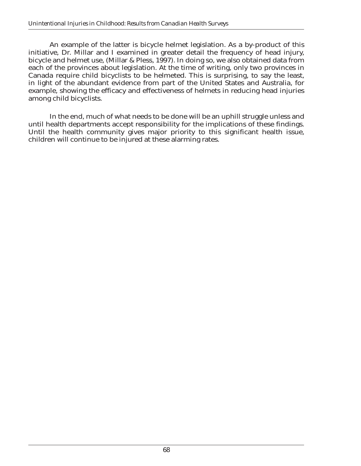An example of the latter is bicycle helmet legislation. As a by-product of this initiative, Dr. Millar and I examined in greater detail the frequency of head injury, bicycle and helmet use, (Millar & Pless, 1997). In doing so, we also obtained data from each of the provinces about legislation. At the time of writing, only two provinces in Canada require child bicyclists to be helmeted. This is surprising, to say the least, in light of the abundant evidence from part of the United States and Australia, for example, showing the efficacy and effectiveness of helmets in reducing head injuries among child bicyclists.

In the end, much of what needs to be done will be an uphill struggle unless and until health departments accept responsibility for the implications of these findings. Until the health community gives major priority to this significant health issue, children will continue to be injured at these alarming rates.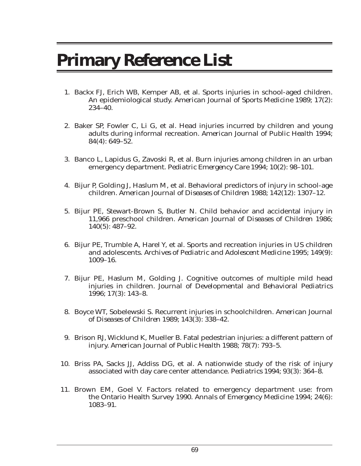## **Primary Reference List**

- 1. Backx FJ, Erich WB, Kemper AB, et al. Sports injuries in school-aged children. An epidemiological study. *American Journal of Sports Medicine* 1989; 17(2): 234–40.
- 2. Baker SP, Fowler C, Li G, et al. Head injuries incurred by children and young adults during informal recreation. *American Journal of Public Health* 1994; 84(4): 649–52.
- 3. Banco L, Lapidus G, Zavoski R, et al. Burn injuries among children in an urban emergency department. *Pediatric Emergency Care* 1994; 10(2): 98–101.
- 4. Bijur P, Golding J, Haslum M, et al. Behavioral predictors of injury in school-age children. *American Journal of Diseases of Children* 1988; 142(12): 1307–12.
- 5. Bijur PE, Stewart-Brown S, Butler N. Child behavior and accidental injury in 11,966 preschool children. *American Journal of Diseases of Children* 1986; 140(5): 487–92.
- 6. Bijur PE, Trumble A, Harel Y, et al. Sports and recreation injuries in US children and adolescents. *Archives of Pediatric and Adolescent Medicine* 1995; 149(9): 1009–16.
- 7. Bijur PE, Haslum M, Golding J. Cognitive outcomes of multiple mild head injuries in children. *Journal of Developmental and Behavioral Pediatrics* 1996; 17(3): 143–8.
- 8. Boyce WT, Sobelewski S. Recurrent injuries in schoolchildren. *American Journal of Diseases of Children* 1989; 143(3): 338–42.
- 9. Brison RJ, Wicklund K, Mueller B. Fatal pedestrian injuries: a different pattern of injury. *American Journal of Public Health* 1988; 78(7): 793–5.
- 10. Briss PA, Sacks JJ, Addiss DG, et al. A nationwide study of the risk of injury associated with day care center attendance. *Pediatrics* 1994; 93(3): 364–8.
- 11. Brown EM, Goel V. Factors related to emergency department use: from the Ontario Health Survey 1990. *Annals of Emergency Medicine* 1994; 24(6): 1083–91.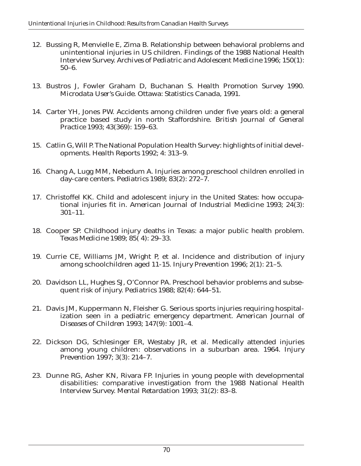- 12. Bussing R, Menvielle E, Zima B. Relationship between behavioral problems and unintentional injuries in US children. Findings of the 1988 National Health Interview Survey. *Archives of Pediatric and Adolescent Medicine* 1996; 150(1): 50–6.
- 13. Bustros J, Fowler Graham D, Buchanan S. *Health Promotion Survey 1990. Microdata User's Guide*. Ottawa: Statistics Canada, 1991.
- 14. Carter YH, Jones PW. Accidents among children under five years old: a general practice based study in north Staffordshire. *British Journal of General Practice* 1993; 43(369): 159–63.
- 15. Catlin G, Will P. The National Population Health Survey: highlights of initial developments. *Health Reports* 1992; 4: 313–9.
- 16. Chang A, Lugg MM, Nebedum A. Injuries among preschool children enrolled in day-care centers. *Pediatrics* 1989; 83(2): 272–7.
- 17. Christoffel KK. Child and adolescent injury in the United States: how occupational injuries fit in. *American Journal of Industrial Medicine* 1993; 24(3): 301–11.
- 18. Cooper SP. Childhood injury deaths in Texas: a major public health problem. *Texas Medicine* 1989; 85( 4): 29–33.
- 19. Currie CE, Williams JM, Wright P, et al. Incidence and distribution of injury among schoolchildren aged 11-15. *Injury Prevention* 1996; 2(1): 21–5.
- 20. Davidson LL, Hughes SJ, O'Connor PA. Preschool behavior problems and subsequent risk of injury. *Pediatrics* 1988; 82(4): 644–51.
- 21. Davis JM, Kuppermann N, Fleisher G. Serious sports injuries requiring hospitalization seen in a pediatric emergency department. *American Journal of Diseases of Children* 1993; 147(9): 1001–4.
- 22. Dickson DG, Schlesinger ER, Westaby JR, et al. Medically attended injuries among young children: observations in a suburban area. 1964. *Injury Prevention* 1997; 3(3): 214–7.
- 23. Dunne RG, Asher KN, Rivara FP. Injuries in young people with developmental disabilities: comparative investigation from the 1988 National Health Interview Survey. *Mental Retardation* 1993; 31(2): 83–8.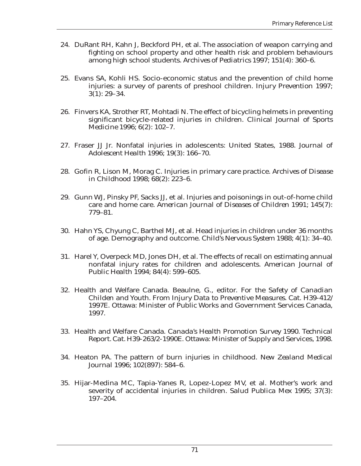- 24. DuRant RH, Kahn J, Beckford PH, et al. The association of weapon carrying and fighting on school property and other health risk and problem behaviours among high school students. *Archives of Pediatrics* 1997; 151(4): 360–6.
- 25. Evans SA, Kohli HS. Socio-economic status and the prevention of child home injuries: a survey of parents of preshool children. *Injury Prevention* 1997; 3(1): 29–34.
- 26. Finvers KA, Strother RT, Mohtadi N. The effect of bicycling helmets in preventing significant bicycle-related injuries in children. *Clinical Journal of Sports Medicine* 1996; 6(2): 102–7.
- 27. Fraser JJ Jr. Nonfatal injuries in adolescents: United States, 1988. *Journal of Adolescent Health* 1996; 19(3): 166–70.
- 28. Gofin R, Lison M, Morag C. Injuries in primary care practice. *Archives of Disease in Childhood* 1998; 68(2): 223–6.
- 29. Gunn WJ, Pinsky PF, Sacks JJ, et al. Injuries and poisonings in out-of-home child care and home care. *American Journal of Diseases of Children* 1991; 145(7): 779–81.
- 30. Hahn YS, Chyung C, Barthel MJ, et al. Head injuries in children under 36 months of age. Demography and outcome. *Child's Nervous System* 1988; 4(1): 34–40.
- 31. Harel Y, Overpeck MD, Jones DH, et al. The effects of recall on estimating annual nonfatal injury rates for children and adolescents. *American Journal of Public Health* 1994; 84(4): 599–605.
- 32. Health and Welfare Canada. Beaulne, G., editor. *For the Safety of Canadian Childen and Youth. From Injury Data to Preventive Measures. Cat. H39-412/ 1997E.* Ottawa: Minister of Public Works and Government Services Canada, 1997.
- 33. Health and Welfare Canada. *Canada's Health Promotion Survey 1990. Technical Report. Cat. H39-263/2-1990E.* Ottawa: Minister of Supply and Services, 1998.
- 34. Heaton PA. The pattern of burn injuries in childhood. *New Zealand Medical Journal* 1996; 102(897): 584–6.
- 35. Hijar-Medina MC, Tapia-Yanes R, Lopez-Lopez MV, et al. Mother's work and severity of accidental injuries in children. *Salud Publica Mex* 1995; 37(3): 197–204.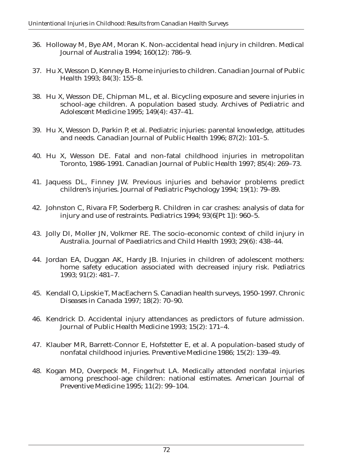- 36. Holloway M, Bye AM, Moran K. Non-accidental head injury in children. *Medical Journal of Australia* 1994; 160(12): 786–9.
- 37. Hu X, Wesson D, Kenney B. Home injuries to children. *Canadian Journal of Public Health* 1993; 84(3): 155–8.
- 38. Hu X, Wesson DE, Chipman ML, et al. Bicycling exposure and severe injuries in school-age children. A population based study. *Archives of Pediatric and Adolescent Medicine* 1995; 149(4): 437–41.
- 39. Hu X, Wesson D, Parkin P, et al. Pediatric injuries: parental knowledge, attitudes and needs. *Canadian Journal of Public Health* 1996; 87(2): 101–5.
- 40. Hu X, Wesson DE. Fatal and non-fatal childhood injuries in metropolitan Toronto, 1986-1991. *Canadian Journal of Public Health* 1997; 85(4): 269–73.
- 41. Jaquess DL, Finney JW. Previous injuries and behavior problems predict children's injuries. *Journal of Pediatric Psychology* 1994; 19(1): 79–89.
- 42. Johnston C, Rivara FP, Soderberg R. Children in car crashes: analysis of data for injury and use of restraints. *Pediatrics* 1994; 93(6[Pt 1]): 960–5.
- 43. Jolly DI, Moller JN, Volkmer RE. The socio-economic context of child injury in Australia. *Journal of Paediatrics and Child Health* 1993; 29(6): 438–44.
- 44. Jordan EA, Duggan AK, Hardy JB. Injuries in children of adolescent mothers: home safety education associated with decreased injury risk. *Pediatrics* 1993; 91(2): 481–7.
- 45. Kendall O, Lipskie T, MacEachern S. Canadian health surveys, 1950-1997. *Chronic Diseases in Canada* 1997; 18(2): 70–90.
- 46. Kendrick D. Accidental injury attendances as predictors of future admission. *Journal of Public Health Medicine* 1993; 15(2): 171–4.
- 47. Klauber MR, Barrett-Connor E, Hofstetter E, et al. A population-based study of nonfatal childhood injuries. *Preventive Medicine* 1986; 15(2): 139–49.
- 48. Kogan MD, Overpeck M, Fingerhut LA. Medically attended nonfatal injuries among preschool-age children: national estimates. *American Journal of Preventive Medicine* 1995; 11(2): 99–104.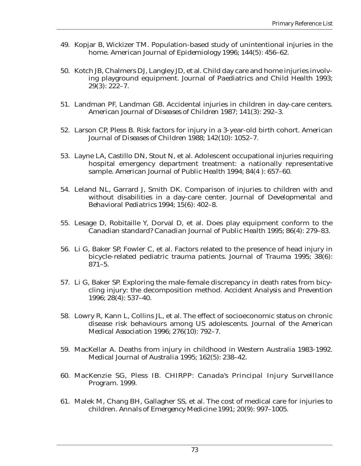- 49. Kopjar B, Wickizer TM. Population-based study of unintentional injuries in the home. *American Journal of Epidemiology* 1996; 144(5): 456–62.
- 50. Kotch JB, Chalmers DJ, Langley JD, et al. Child day care and home injuries involving playground equipment. *Journal of Paediatrics and Child Health* 1993; 29(3): 222–7.
- 51. Landman PF, Landman GB. Accidental injuries in children in day-care centers. *American Journal of Diseases of Children* 1987; 141(3): 292–3.
- 52. Larson CP, Pless B. Risk factors for injury in a 3-year-old birth cohort. *American Journal of Diseases of Children* 1988; 142(10): 1052–7.
- 53. Layne LA, Castillo DN, Stout N, et al. Adolescent occupational injuries requiring hospital emergency department treatment: a nationally representative sample. *American Journal of Public Health* 1994; 84(4 ): 657–60.
- 54. Leland NL, Garrard J, Smith DK. Comparison of injuries to children with and without disabilities in a day-care center. *Journal of Developmental and Behavioral Pediatrics* 1994; 15(6): 402–8.
- 55. Lesage D, Robitaille Y, Dorval D, et al. Does play equipment conform to the Canadian standard? *Canadian Journal of Public Health* 1995; 86(4): 279–83.
- 56. Li G, Baker SP, Fowler C, et al. Factors related to the presence of head injury in bicycle-related pediatric trauma patients. *Journal of Trauma* 1995; 38(6): 871–5.
- 57. Li G, Baker SP. Exploring the male-female discrepancy in death rates from bicycling injury: the decomposition method. *Accident Analysis and Prevention* 1996; 28(4): 537–40.
- 58. Lowry R, Kann L, Collins JL, et al. The effect of socioeconomic status on chronic disease risk behaviours among US adolescents. *Journal of the American Medical Association* 1996; 276(10): 792–7.
- 59. MacKellar A. Deaths from injury in childhood in Western Australia 1983-1992. *Medical Journal of Australia* 1995; 162(5): 238–42.
- 60. MacKenzie SG, Pless IB. *CHIRPP: Canada's Principal Injury Surveillance Program.* 1999.
- 61. Malek M, Chang BH, Gallagher SS, et al. The cost of medical care for injuries to children. *Annals of Emergency Medicine* 1991; 20(9): 997–1005.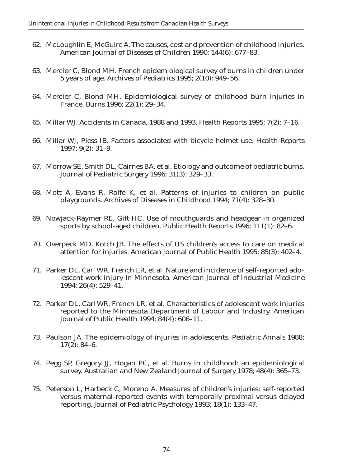- 62. McLoughlin E, McGuire A. The causes, cost and prevention of childhood injuries. *American Journal of Diseases of Children* 1990; 144(6): 677–83.
- 63. Mercier C, Blond MH. French epidemiological survey of burns in children under 5 years of age. *Archives of Pediatrics* 1995; 2(10): 949–56.
- 64. Mercier C, Blond MH. Epidemiological survey of childhood burn injuries in France. *Burns* 1996; 22(1): 29–34.
- 65. Millar WJ. Accidents in Canada, 1988 and 1993. *Health Reports* 1995; 7(2): 7–16.
- 66. Millar WJ, Pless IB. Factors associated with bicycle helmet use. *Health Reports* 1997; 9(2): 31–9.
- 67. Morrow SE, Smith DL, Cairnes BA, et al. Etiology and outcome of pediatric burns. *Journal of Pediatric Surgery* 1996; 31(3): 329–33.
- 68. Mott A, Evans R, Rolfe K, et al. Patterns of injuries to children on public playgrounds. *Archives of Diseases in Childhood* 1994; 71(4): 328–30.
- 69. Nowjack-Raymer RE, Gift HC. Use of mouthguards and headgear in organized sports by school-aged children. *Public Health Reports* 1996; 111(1): 82–6.
- 70. Overpeck MD, Kotch JB. The effects of US children's access to care on medical attention for injuries. *American Journal of Public Health* 1995; 85(3): 402–4.
- 71. Parker DL, Carl WR, French LR, et al. Nature and incidence of self-reported adolescent work injury in Minnesota. *American Journal of Industrial Medicine* 1994; 26(4): 529–41.
- 72. Parker DL, Carl WR, French LR, et al. Characteristics of adolescent work injuries reported to the Minnesota Department of Labour and Industry. *American Journal of Public Health* 1994; 84(4): 606–11.
- 73. Paulson JA. The epidemiology of injuries in adolescents. *Pediatric Annals* 1988; 17(2): 84–6.
- 74. Pegg SP, Gregory JJ, Hogan PC, et al. Burns in childhood: an epidemiological survey. *Australian and New Zealand Journal of Surgery* 1978; 48(4): 365–73.
- 75. Peterson L, Harbeck C, Moreno A. Measures of children's injuries: self-reported versus maternal-reported events with temporally proximal versus delayed reporting. *Journal of Pediatric Psychology* 1993; 18(1): 133–47.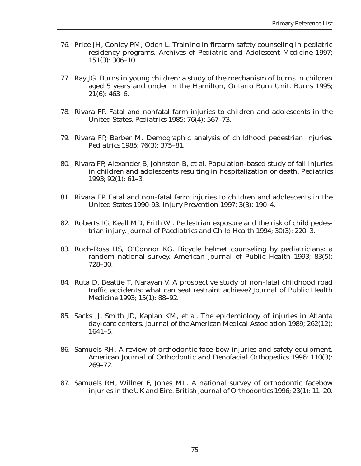- 76. Price JH, Conley PM, Oden L. Training in firearm safety counseling in pediatric residency programs. *Archives of Pediatric and Adolescent Medicine* 1997; 151(3): 306–10.
- 77. Ray JG. Burns in young children: a study of the mechanism of burns in children aged 5 years and under in the Hamilton, Ontario Burn Unit. *Burns* 1995; 21(6): 463–6.
- 78. Rivara FP. Fatal and nonfatal farm injuries to children and adolescents in the United States. *Pediatrics* 1985; 76(4): 567–73.
- 79. Rivara FP, Barber M. Demographic analysis of childhood pedestrian injuries. *Pediatrics* 1985; 76(3): 375–81.
- 80. Rivara FP, Alexander B, Johnston B, et al. Population-based study of fall injuries in children and adolescents resulting in hospitalization or death. *Pediatrics* 1993; 92(1): 61–3.
- 81. Rivara FP. Fatal and non-fatal farm injuries to children and adolescents in the United States 1990-93. *Injury Prevention* 1997; 3(3): 190–4.
- 82. Roberts IG, Keall MD, Frith WJ. Pedestrian exposure and the risk of child pedestrian injury. *Journal of Paediatrics and Child Health* 1994; 30(3): 220–3.
- 83. Ruch-Ross HS, O'Connor KG. Bicycle helmet counseling by pediatricians: a random national survey. *American Journal of Public Health* 1993; 83(5): 728–30.
- 84. Ruta D, Beattie T, Narayan V. A prospective study of non-fatal childhood road traffic accidents: what can seat restraint achieve? *Journal of Public Health Medicine* 1993; 15(1): 88–92.
- 85. Sacks JJ, Smith JD, Kaplan KM, et al. The epidemiology of injuries in Atlanta day-care centers. *Journal of the American Medical Association* 1989; 262(12):  $1641 - 5$ .
- 86. Samuels RH. A review of orthodontic face-bow injuries and safety equipment. *American Journal of Orthodontic and Denofacial Orthopedics* 1996; 110(3): 269–72.
- 87. Samuels RH, Willner F, Jones ML. A national survey of orthodontic facebow injuries in the UK and Eire. *British Journal of Orthodontics* 1996; 23(1): 11–20.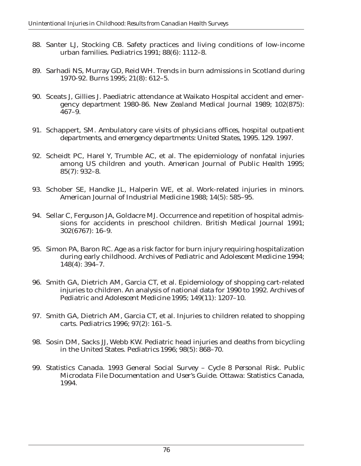- 88. Santer LJ, Stocking CB. Safety practices and living conditions of low-income urban families. *Pediatrics* 1991; 88(6): 1112–8.
- 89. Sarhadi NS, Murray GD, Reid WH. Trends in burn admissions in Scotland during 1970-92. *Burns* 1995; 21(8): 612–5.
- 90. Sceats J, Gillies J. Paediatric attendance at Waikato Hospital accident and emergency department 1980-86. *New Zealand Medical Journal* 1989; 102(875): 467–9.
- 91. Schappert, SM. *Ambulatory care visits of physicians offices, hospital outpatient departments, and emergency departments: United States, 1995. 129.* 1997.
- 92. Scheidt PC, Harel Y, Trumble AC, et al. The epidemiology of nonfatal injuries among US children and youth. *American Journal of Public Health* 1995; 85(7): 932–8.
- 93. Schober SE, Handke JL, Halperin WE, et al. Work-related injuries in minors. *American Journal of Industrial Medicine* 1988; 14(5): 585–95.
- 94. Sellar C, Ferguson JA, Goldacre MJ. Occurrence and repetition of hospital admissions for accidents in preschool children. *British Medical Journal* 1991; 302(6767): 16–9.
- 95. Simon PA, Baron RC. Age as a risk factor for burn injury requiring hospitalization during early childhood. *Archives of Pediatric and Adolescent Medicine* 1994; 148(4): 394–7.
- 96. Smith GA, Dietrich AM, Garcia CT, et al. Epidemiology of shopping cart-related injuries to children. An analysis of national data for 1990 to 1992. *Archives of Pediatric and Adolescent Medicine* 1995; 149(11): 1207–10.
- 97. Smith GA, Dietrich AM, Garcia CT, et al. Injuries to children related to shopping carts. *Pediatrics* 1996; 97(2): 161–5.
- 98. Sosin DM, Sacks JJ, Webb KW. Pediatric head injuries and deaths from bicycling in the United States. *Pediatrics* 1996; 98(5): 868–70.
- 99. Statistics Canada. *1993 General Social Survey Cycle 8 Personal Risk. Public Microdata File Documentation and User's Guide*. Ottawa: Statistics Canada, 1994.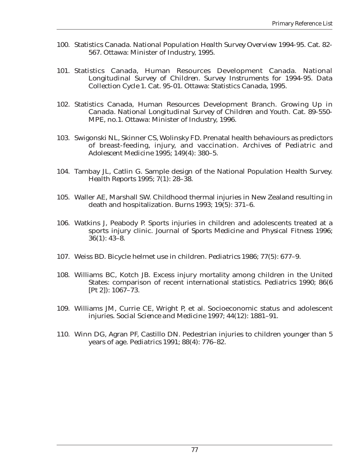- 100. Statistics Canada. *National Population Health Survey Overview 1994-95*. Cat. 82- 567. Ottawa: Minister of Industry, 1995.
- 101. Statistics Canada, Human Resources Development Canada. *National Longitudinal Survey of Children. Survey Instruments for 1994-95. Data Collection Cycle 1*. Cat. 95-01. Ottawa: Statistics Canada, 1995.
- 102. Statistics Canada, Human Resources Development Branch. *Growing Up in Canada. National Longitudinal Survey of Children and Youth*. Cat. 89-550- MPE, no.1. Ottawa: Minister of Industry, 1996.
- 103. Swigonski NL, Skinner CS, Wolinsky FD. Prenatal health behaviours as predictors of breast-feeding, injury, and vaccination. *Archives of Pediatric and Adolescent Medicine* 1995; 149(4): 380–5.
- 104. Tambay JL, Catlin G. Sample design of the National Population Health Survey. *Health Reports* 1995; 7(1): 28–38.
- 105. Waller AE, Marshall SW. Childhood thermal injuries in New Zealand resulting in death and hospitalization. *Burns* 1993; 19(5): 371–6.
- 106. Watkins J, Peabody P. Sports injuries in children and adolescents treated at a sports injury clinic. *Journal of Sports Medicine and Physical Fitness* 1996; 36(1): 43–8.
- 107. Weiss BD. Bicycle helmet use in children. *Pediatrics* 1986; 77(5): 677–9.
- 108. Williams BC, Kotch JB. Excess injury mortality among children in the United States: comparison of recent international statistics. *Pediatrics* 1990; 86(6 [Pt 2]): 1067–73.
- 109. Williams JM, Currie CE, Wright P, et al. Socioeconomic status and adolescent injuries. *Social Science and Medicine* 1997; 44(12): 1881–91.
- 110. Winn DG, Agran PF, Castillo DN. Pedestrian injuries to children younger than 5 years of age. *Pediatrics* 1991; 88(4): 776–82.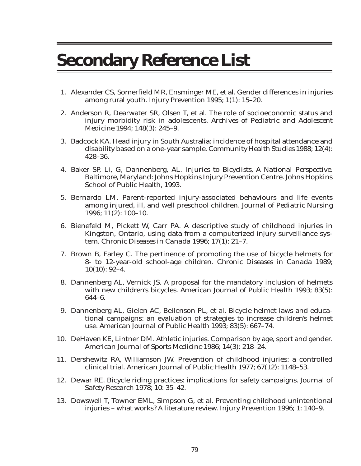## **Secondary Reference List**

- 1. Alexander CS, Somerfield MR, Ensminger ME, et al. Gender differences in injuries among rural youth. *Injury Prevention* 1995; 1(1): 15–20.
- 2. Anderson R, Dearwater SR, Olsen T, et al. The role of socioeconomic status and injury morbidity risk in adolescents. *Archives of Pediatric and Adolescent Medicine* 1994; 148(3): 245–9.
- 3. Badcock KA. Head injury in South Australia: incidence of hospital attendance and disability based on a one-year sample. *Community Health Studies* 1988; 12(4): 428–36.
- 4. Baker SP, Li, G, Dannenberg, AL. *Injuries to Bicyclists, A National Perspective*. Baltimore, Maryland: Johns Hopkins Injury Prevention Centre. Johns Hopkins School of Public Health, 1993.
- 5. Bernardo LM. Parent-reported injury-associated behaviours and life events among injured, ill, and well preschool children. *Journal of Pediatric Nursing* 1996; 11(2): 100–10.
- 6. Bienefeld M, Pickett W, Carr PA. A descriptive study of childhood injuries in Kingston, Ontario, using data from a computerized injury surveillance system. *Chronic Diseases in Canada* 1996; 17(1): 21–7.
- 7. Brown B, Farley C. The pertinence of promoting the use of bicycle helmets for 8- to 12-year-old school-age children. *Chronic Diseases in Canada* 1989; 10(10): 92–4.
- 8. Dannenberg AL, Vernick JS. A proposal for the mandatory inclusion of helmets with new children's bicycles. *American Journal of Public Health* 1993; 83(5): 644–6.
- 9. Dannenberg AL, Gielen AC, Beilenson PL, et al. Bicycle helmet laws and educational campaigns: an evaluation of strategies to increase children's helmet use. *American Journal of Public Health* 1993; 83(5): 667–74.
- 10. DeHaven KE, Lintner DM. Athletic injuries. Comparison by age, sport and gender. *American Journal of Sports Medicine* 1986; 14(3): 218–24.
- 11. Dershewitz RA, Williamson JW. Prevention of childhood injuries: a controlled clinical trial. *American Journal of Public Health* 1977; 67(12): 1148–53.
- 12. Dewar RE. Bicycle riding practices: implications for safety campaigns. *Journal of Safety Research* 1978; 10: 35–42.
- 13. Dowswell T, Towner EML, Simpson G, et al. Preventing childhood unintentional injuries – what works? A literature review. *Injury Prevention* 1996; 1: 140–9.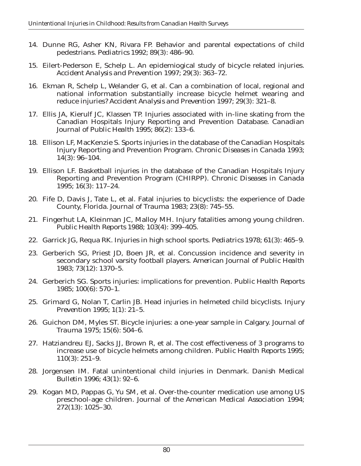- 14. Dunne RG, Asher KN, Rivara FP. Behavior and parental expectations of child pedestrians. *Pediatrics* 1992; 89(3): 486–90.
- 15. Eilert-Pederson E, Schelp L. An epidemiogical study of bicycle related injuries. *Accident Analysis and Prevention* 1997; 29(3): 363–72.
- 16. Ekman R, Schelp L, Welander G, et al. Can a combination of local, regional and national information substantially increase bicycle helmet wearing and reduce injuries? *Accident Analysis and Prevention* 1997; 29(3): 321–8.
- 17. Ellis JA, Kierulf JC, Klassen TP. Injuries associated with in-line skating from the Canadian Hospitals Injury Reporting and Prevention Database. *Canadian Journal of Public Health* 1995; 86(2): 133–6.
- 18. Ellison LF, MacKenzie S. Sports injuries in the database of the Canadian Hospitals Injury Reporting and Prevention Program. *Chronic Diseases in Canada* 1993; 14(3): 96–104.
- 19. Ellison LF. Basketball injuries in the database of the Canadian Hospitals Injury Reporting and Prevention Program (CHIRPP). *Chronic Diseases in Canada* 1995; 16(3): 117–24.
- 20. Fife D, Davis J, Tate L, et al. Fatal injuries to bicyclists: the experience of Dade County, Florida. *Journal of Trauma* 1983; 23(8): 745–55.
- 21. Fingerhut LA, Kleinman JC, Malloy MH. Injury fatalities among young children. *Public Health Reports* 1988; 103(4): 399–405.
- 22. Garrick JG, Requa RK. Injuries in high school sports. *Pediatrics* 1978; 61(3): 465–9.
- 23. Gerberich SG, Priest JD, Boen JR, et al. Concussion incidence and severity in secondary school varsity football players. *American Journal of Public Health* 1983; 73(12): 1370–5.
- 24. Gerberich SG. Sports injuries: implications for prevention. *Public Health Reports* 1985; 100(6): 570–1.
- 25. Grimard G, Nolan T, Carlin JB. Head injuries in helmeted child bicyclists. *Injury Prevention* 1995; 1(1): 21–5.
- 26. Guichon DM, Myles ST. Bicycle injuries: a one-year sample in Calgary. *Journal of Trauma* 1975; 15(6): 504–6.
- 27. Hatziandreu EJ, Sacks JJ, Brown R, et al. The cost effectiveness of 3 programs to increase use of bicycle helmets among children. *Public Health Reports* 1995; 110(3): 251–9.
- 28. Jorgensen IM. Fatal unintentional child injuries in Denmark. *Danish Medical Bulletin* 1996; 43(1): 92–6.
- 29. Kogan MD, Pappas G, Yu SM, et al. Over-the-counter medication use among US preschool-age children. *Journal of the American Medical Association* 1994; 272(13): 1025–30.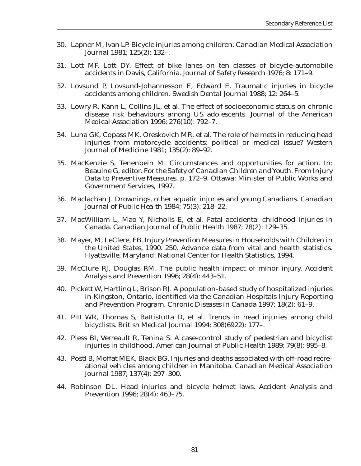- 30. Lapner M, Ivan LP. Bicycle injuries among children. *Canadian Medical Association Journal* 1981; 125(2): 132–.
- 31. Lott MF, Lott DY. Effect of bike lanes on ten classes of bicycle-automobile accidents in Davis, California. *Journal of Safety Research* 1976; 8: 171–9.
- 32. Lovsund P, Lovsund-Johannesson E, Edward E. Traumatic injuries in bicycle accidents among children. *Swedish Dental Journal* 1988; 12: 264–5.
- 33. Lowry R, Kann L, Collins JL, et al. The effect of socioeconomic status on chronic disease risk behaviours among US adolescents. *Journal of the American Medical Association* 1996; 276(10): 792–7.
- 34. Luna GK, Copass MK, Oreskovich MR, et al. The role of helmets in reducing head injuries from motorcycle accidents: political or medical issue? *Western Journal of Medicine* 1981; 135(2): 89–92.
- 35. MacKenzie S, Tenenbein M. Circumstances and opportunities for action. In: Beaulne G, editor. *For the Safety of Canadian Children and Youth. From Injury Data to Preventive Measures*. p. 172–9. Ottawa: Minister of Public Works and Government Services, 1997.
- 36. Maclachan J. Drownings, other aquatic injuries and young Canadians. *Canadian Journal of Public Health* 1984; 75(3): 218–22.
- 37. MacWilliam L, Mao Y, Nicholls E, et al. Fatal accidental childhood injuries in Canada. *Canadian Journal of Public Health* 1987; 78(2): 129–35.
- 38. Mayer, M, LeClere, FB. *Injury Prevention Measures in Households with Children in the United States, 1990. 250*. Advance data from vital and health statistics. Hyattsville, Maryland: National Center for Health Statistics, 1994.
- 39. McClure RJ, Douglas RM. The public health impact of minor injury. *Accident Analysis and Prevention* 1996; 28(4): 443–51.
- 40. Pickett W, Hartling L, Brison RJ. A population-based study of hospitalized injuries in Kingston, Ontario, identified via the Canadian Hospitals Injury Reporting and Prevention Program. *Chronic Diseases in Canada* 1997; 18(2): 61–9.
- 41. Pitt WR, Thomas S, Battistutta D, et al. Trends in head injuries among child bicyclists. *British Medical Journal* 1994; 308(6922): 177–.
- 42. Pless BI, Verreault R, Tenina S. A case-control study of pedestrian and bicyclist injuries in childhood. *American Journal of Public Health* 1989; 79(8): 995–8.
- 43. Postl B, Moffat MEK, Black BG. Injuries and deaths associated with off-road recreational vehicles among children in Manitoba. *Canadian Medical Association Journal* 1987; 137(4): 297–300.
- 44. Robinson DL. Head injuries and bicycle helmet laws. *Accident Analysis and Prevention* 1996; 28(4): 463–75.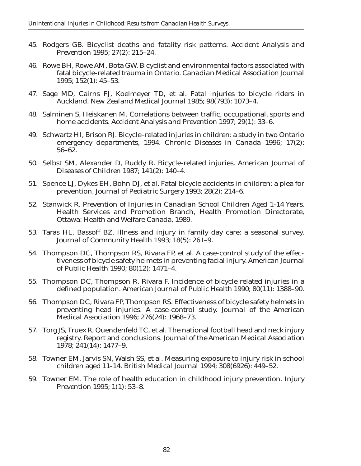- 45. Rodgers GB. Bicyclist deaths and fatality risk patterns. *Accident Analysis and Prevention* 1995; 27(2): 215–24.
- 46. Rowe BH, Rowe AM, Bota GW. Bicyclist and environmental factors associated with fatal bicycle-related trauma in Ontario. *Canadian Medical Association Journal* 1995; 152(1): 45–53.
- 47. Sage MD, Cairns FJ, Koelmeyer TD, et al. Fatal injuries to bicycle riders in Auckland. *New Zealand Medical Journal* 1985; 98(793): 1073–4.
- 48. Salminen S, Heiskanen M. Correlations between traffic, occupational, sports and home accidents. *Accident Analysis and Prevention* 1997; 29(1): 33–6.
- 49. Schwartz HI, Brison RJ. Bicycle–related injuries in children: a study in two Ontario emergency departments, 1994. *Chronic Diseases in Canada* 1996; 17(2): 56–62.
- 50. Selbst SM, Alexander D, Ruddy R. Bicycle-related injuries. *American Journal of Diseases of Children* 1987; 141(2): 140–4.
- 51. Spence LJ, Dykes EH, Bohn DJ, et al. Fatal bicycle accidents in children: a plea for prevention. *Journal of Pediatric Surgery* 1993; 28(2): 214–6.
- 52. Stanwick R. *Prevention of Injuries in Canadian School Children Aged 1-14 Years*. Health Services and Promotion Branch, Health Promotion Directorate, Ottawa: Health and Welfare Canada, 1989.
- 53. Taras HL, Bassoff BZ. Illness and injury in family day care: a seasonal survey. *Journal of Community Health* 1993; 18(5): 261–9.
- 54. Thompson DC, Thompson RS, Rivara FP, et al. A case-control study of the effectiveness of bicycle safety helmets in preventing facial injury. *American Journal of Public Health* 1990; 80(12): 1471–4.
- 55. Thompson DC, Thompson R, Rivara F. Incidence of bicycle related injuries in a defined population. *American Journal of Public Health* 1990; 80(11): 1388–90.
- 56. Thompson DC, Rivara FP, Thompson RS. Effectiveness of bicycle safety helmets in preventing head injuries. A case-control study. *Journal of the American Medical Association* 1996; 276(24): 1968–73.
- 57. Torg JS, Truex R, Quendenfeld TC, et al. The national football head and neck injury registry. Report and conclusions. *Journal of the American Medical Association* 1978; 241(14): 1477–9.
- 58. Towner EM, Jarvis SN, Walsh SS, et al. Measuring exposure to injury risk in school children aged 11-14. *British Medical Journal* 1994; 308(6926): 449–52.
- 59. Towner EM. The role of health education in childhood injury prevention. *Injury Prevention* 1995; 1(1): 53–8.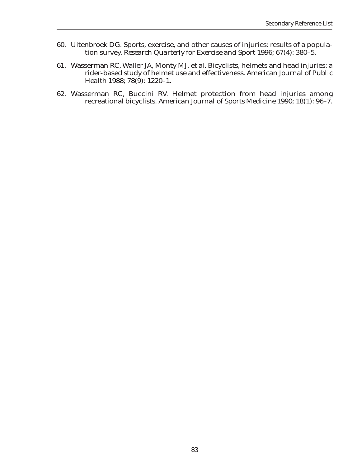- 60. Uitenbroek DG. Sports, exercise, and other causes of injuries: results of a population survey. *Research Quarterly for Exercise and Sport* 1996; 67(4): 380–5.
- 61. Wasserman RC, Waller JA, Monty MJ, et al. Bicyclists, helmets and head injuries: a rider-based study of helmet use and effectiveness. *American Journal of Public Health* 1988; 78(9): 1220–1.
- 62. Wasserman RC, Buccini RV. Helmet protection from head injuries among recreational bicyclists. *American Journal of Sports Medicine* 1990; 18(1): 96–7.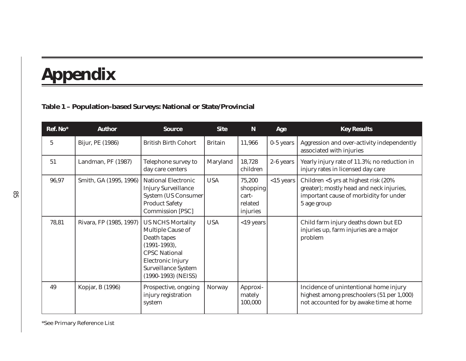# **Appendix**

### **Table 1 – Population-based Surveys: National or State/Provincial**

| Ref. No*        | <b>Author</b>           | <b>Source</b>                                                                                                                                                                           | <b>Site</b>    | N                                                  | Age          | <b>Key Results</b>                                                                                                                         |
|-----------------|-------------------------|-----------------------------------------------------------------------------------------------------------------------------------------------------------------------------------------|----------------|----------------------------------------------------|--------------|--------------------------------------------------------------------------------------------------------------------------------------------|
| $5\phantom{.0}$ | Bijur, PE (1986)        | <b>British Birth Cohort</b>                                                                                                                                                             | <b>Britain</b> | 11,966                                             | $0-5$ years  | Aggression and over-activity independently<br>associated with injuries                                                                     |
| 51              | Landman, PF (1987)      | Telephone survey to<br>day care centers                                                                                                                                                 | Maryland       | 18,728<br>children                                 | 2-6 years    | Yearly injury rate of 11.3%; no reduction in<br>injury rates in licensed day care                                                          |
| 96,97           | Smith, GA (1995, 1996)  | National Electronic<br><b>Injury Surveillance</b><br><b>System (US Consumer</b><br><b>Product Safety</b><br><b>Commission [PSC]</b>                                                     | <b>USA</b>     | 75,200<br>shopping<br>cart-<br>related<br>injuries | $<$ 15 years | Children <5 yrs at highest risk (20%)<br>greater); mostly head and neck injuries,<br>important cause of morbidity for under<br>5 age group |
| 78,81           | Rivara, FP (1985, 1997) | <b>US NCHS Mortality</b><br>Multiple Cause of<br>Death tapes<br>$(1991-1993),$<br><b>CPSC National</b><br><b>Electronic Injury</b><br><b>Surveillance System</b><br>(1990-1993) (NEISS) | <b>USA</b>     | $<$ 19 years                                       |              | Child farm injury deaths down but ED<br>injuries up, farm injuries are a major<br>problem                                                  |
| 49              | Kopjar, B (1996)        | Prospective, ongoing<br>injury registration<br>system                                                                                                                                   | <b>Norway</b>  | Approxi-<br>mately<br>100,000                      |              | Incidence of unintentional home injury<br>highest among preschoolers (51 per 1,000)<br>not accounted for by awake time at home             |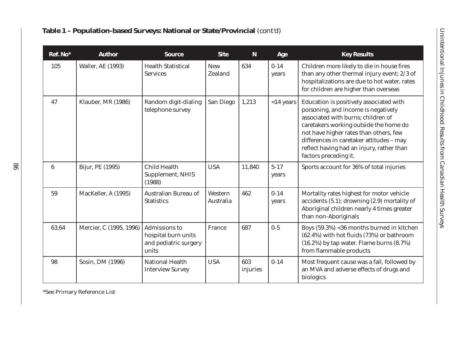| Ref. No*        | <b>Author</b>            | <b>Source</b>                                                          | <b>Site</b>                  | ${\bf N}$       | Age               | <b>Key Results</b>                                                                                                                                                                                                                                                                                                         |
|-----------------|--------------------------|------------------------------------------------------------------------|------------------------------|-----------------|-------------------|----------------------------------------------------------------------------------------------------------------------------------------------------------------------------------------------------------------------------------------------------------------------------------------------------------------------------|
| 105             | <b>Waller, AE (1993)</b> | <b>Health Statistical</b><br><b>Services</b>                           | <b>New</b><br><b>Zealand</b> | 634             | $0 - 14$<br>years | Children more likely to die in house fires<br>than any other thermal injury event; 2/3 of<br>hospitalizations are due to hot water, rates<br>for children are higher than overseas                                                                                                                                         |
| 47              | Klauber, MR (1986)       | Random digit-dialing<br>telephone survey                               | San Diego                    | 1,213           | $<$ 14 years      | Education is positively associated with<br>poisoning, and income is negatively<br>associated with burns; children of<br>caretakers working outside the home do<br>not have higher rates than others, few<br>differences in caretaker attitudes - may<br>reflect having had an injury, rather than<br>factors preceding it. |
| $6\phantom{.}6$ | Bijur, PE (1995)         | <b>Child Health</b><br>Supplement, NHIS<br>(1988)                      | <b>USA</b>                   | 11,840          | $5 - 17$<br>years | Sports account for 36% of total injuries                                                                                                                                                                                                                                                                                   |
| 59              | MacKeller, A (1995)      | Australian Bureau of<br><b>Statistics</b>                              | Western<br>Australia         | 462             | $0 - 14$<br>years | Mortality rates highest for motor vehicle<br>accidents (5.1); drowning (2.9) mortality of<br>Aboriginal children nearly 4 times greater<br>than non-Aboriginals                                                                                                                                                            |
| 63,64           | Mercier, C (1995, 1996)  | Admissions to<br>hospital burn units<br>and pediatric surgery<br>units | France                       | 687             | $0 - 5$           | Boys (59.3%) <36 months burned in kitchen<br>(62.4%) with hot fluids (73%) or bathroom<br>(16.2%) by tap water. Flame burns (8.7%)<br>from flammable products                                                                                                                                                              |
| 98              | Sosin, DM (1996)         | <b>National Health</b><br><b>Interview Survey</b>                      | <b>USA</b>                   | 603<br>injuries | $0 - 14$          | Most frequent cause was a fall, followed by<br>an MVA and adverse effects of drugs and<br>biologics                                                                                                                                                                                                                        |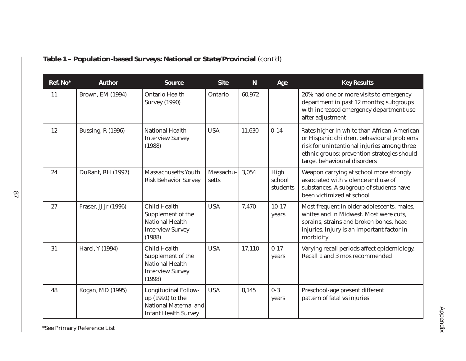| Ref. No* | <b>Author</b>            | <b>Source</b>                                                                                           | <b>Site</b>       | $\mathbf N$ | Age                        | <b>Key Results</b>                                                                                                                                                                                                      |
|----------|--------------------------|---------------------------------------------------------------------------------------------------------|-------------------|-------------|----------------------------|-------------------------------------------------------------------------------------------------------------------------------------------------------------------------------------------------------------------------|
| 11       | Brown, EM (1994)         | <b>Ontario Health</b><br><b>Survey (1990)</b>                                                           | Ontario           | 60,972      |                            | 20% had one or more visits to emergency<br>department in past 12 months; subgroups<br>with increased emergency department use<br>after adjustment                                                                       |
| 12       | <b>Bussing, R (1996)</b> | <b>National Health</b><br><b>Interview Survey</b><br>(1988)                                             | <b>USA</b>        | 11,630      | $0 - 14$                   | Rates higher in white than African-American<br>or Hispanic children, behavioural problems<br>risk for unintentional injuries among three<br>ethnic groups; prevention strategies should<br>target behavioural disorders |
| 24       | DuRant, RH (1997)        | <b>Massachusetts Youth</b><br><b>Risk Behavior Survey</b>                                               | Massachu<br>setts | 3,054       | High<br>school<br>students | Weapon carrying at school more strongly<br>associated with violence and use of<br>substances. A subgroup of students have<br>been victimized at school                                                                  |
| 27       | Fraser, JJ Jr (1996)     | <b>Child Health</b><br>Supplement of the<br><b>National Health</b><br><b>Interview Survey</b><br>(1988) | <b>USA</b>        | 7,470       | $10 - 17$<br>years         | Most frequent in older adolescents, males,<br>whites and in Midwest. Most were cuts,<br>sprains, strains and broken bones, head<br>injuries. Injury is an important factor in<br>morbidity                              |
| 31       | Harel, Y (1994)          | <b>Child Health</b><br>Supplement of the<br><b>National Health</b><br><b>Interview Survey</b><br>(1998) | <b>USA</b>        | 17,110      | $0 - 17$<br>years          | Varying recall periods affect epidemiology.<br>Recall 1 and 3 mos recommended                                                                                                                                           |
| 48       | Kogan, MD (1995)         | <b>Longitudinal Follow-</b><br>up (1991) to the<br>National Maternal and<br><b>Infant Health Survey</b> | <b>USA</b>        | 8,145       | $0-3$<br>years             | Preschool-age present different<br>pattern of fatal vs injuries                                                                                                                                                         |

### **Table 1 – Population-based Surveys: National or State/Provincial** *(cont'd)*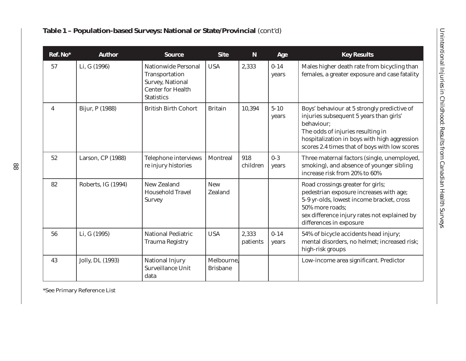|  | <b>Fable 1 – Population-based Surveys: National or State/Provincial (cont'd)</b> |  |  |  |  |  |
|--|----------------------------------------------------------------------------------|--|--|--|--|--|
|--|----------------------------------------------------------------------------------|--|--|--|--|--|

| Ref. No* | <b>Author</b>      | <b>Source</b>                                                                                                     | <b>Site</b>                   | ${\bf N}$         | Age               | <b>Key Results</b>                                                                                                                                                                                                                         |
|----------|--------------------|-------------------------------------------------------------------------------------------------------------------|-------------------------------|-------------------|-------------------|--------------------------------------------------------------------------------------------------------------------------------------------------------------------------------------------------------------------------------------------|
| 57       | Li, G (1996)       | <b>Nationwide Personal</b><br>Transportation<br>Survey, National<br><b>Center for Health</b><br><b>Statistics</b> | <b>USA</b>                    | 2,333             | $0 - 14$<br>years | Males higher death rate from bicycling than<br>females, a greater exposure and case fatality                                                                                                                                               |
| 4        | Bijur, P (1988)    | <b>British Birth Cohort</b>                                                                                       | <b>Britain</b>                | 10,394            | $5 - 10$<br>years | Boys' behaviour at 5 strongly predictive of<br>injuries subsequent 5 years than girls'<br>behaviour:<br>The odds of injuries resulting in<br>hospitalization in boys with high aggression<br>scores 2.4 times that of boys with low scores |
| 52       | Larson, CP (1988)  | <b>Telephone interviews</b><br>re injury histories                                                                | Montreal                      | 918<br>children   | $0 - 3$<br>years  | Three maternal factors (single, unemployed,<br>smoking), and absence of younger sibling<br>increase risk from 20% to 60%                                                                                                                   |
| 82       | Roberts, IG (1994) | <b>New Zealand</b><br><b>Household Travel</b><br><b>Survey</b>                                                    | <b>New</b><br><b>Zealand</b>  |                   |                   | Road crossings greater for girls;<br>pedestrian exposure increases with age;<br>5-9 yr-olds, lowest income bracket, cross<br>50% more roads;<br>sex difference injury rates not explained by<br>differences in exposure                    |
| 56       | Li, G (1995)       | <b>National Pediatric</b><br><b>Trauma Registry</b>                                                               | <b>USA</b>                    | 2,333<br>patients | $0 - 14$<br>years | 54% of bicycle accidents head injury;<br>mental disorders, no helmet; increased risk;<br>high-risk groups                                                                                                                                  |
| 43       | Jolly, DL (1993)   | <b>National Injury</b><br>Surveillance Unit<br>data                                                               | Melbourne,<br><b>Brisbane</b> |                   |                   | Low-income area significant. Predictor                                                                                                                                                                                                     |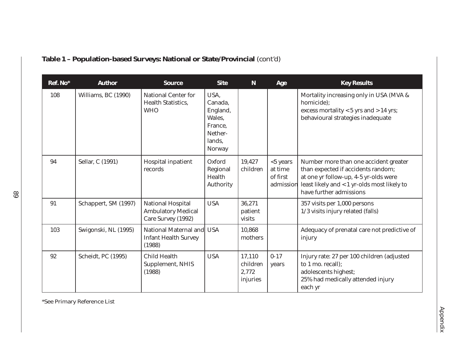| Ref. No* | <b>Author</b>              | <b>Source</b>                                                               | <b>Site</b>                                                                     | $\mathbf N$                             | Age                                             | <b>Key Results</b>                                                                                                                                                                             |
|----------|----------------------------|-----------------------------------------------------------------------------|---------------------------------------------------------------------------------|-----------------------------------------|-------------------------------------------------|------------------------------------------------------------------------------------------------------------------------------------------------------------------------------------------------|
| 108      | Williams, BC (1990)        | <b>National Center for</b><br><b>Health Statistics,</b><br><b>WHO</b>       | USA,<br>Canada,<br>England,<br>Wales,<br>France,<br>Nether-<br>lands.<br>Norway |                                         |                                                 | Mortality increasing only in USA (MVA &<br>homicide);<br>excess mortality $<$ 5 yrs and $>$ 14 yrs;<br>behavioural strategies inadequate                                                       |
| 94       | Sellar, C (1991)           | Hospital inpatient<br>records                                               | Oxford<br>Regional<br>Health<br>Authority                                       | 19,427<br>children                      | $<$ 5 years<br>at time<br>of first<br>admission | Number more than one accident greater<br>than expected if accidents random;<br>at one yr follow-up, 4-5 yr-olds were<br>least likely and < 1 yr-olds most likely to<br>have further admissions |
| 91       | Schappert, SM (1997)       | <b>National Hospital</b><br><b>Ambulatory Medical</b><br>Care Survey (1992) | <b>USA</b>                                                                      | 36,271<br>patient<br>visits             |                                                 | 357 visits per 1,000 persons<br>1/3 visits injury related (falls)                                                                                                                              |
| 103      | Swigonski, NL (1995)       | National Maternal and<br><b>Infant Health Survey</b><br>(1988)              | <b>USA</b>                                                                      | 10,868<br>mothers                       |                                                 | Adequacy of prenatal care not predictive of<br>injury                                                                                                                                          |
| 92       | <b>Scheidt</b> , PC (1995) | <b>Child Health</b><br>Supplement, NHIS<br>(1988)                           | <b>USA</b>                                                                      | 17,110<br>children<br>2,772<br>injuries | $0 - 17$<br>years                               | Injury rate: 27 per 100 children (adjusted<br>to 1 mo. recall);<br>adolescents highest;<br>25% had medically attended injury<br>each yr                                                        |

### **Table 1 – Population-based Surveys: National or State/Provincial** *(cont'd)*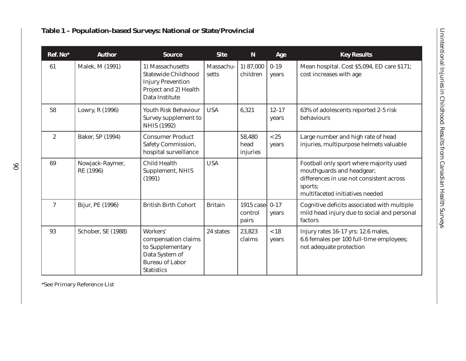| Ref. No*       | <b>Author</b>                | <b>Source</b>                                                                                                         | <b>Site</b>        | $\mathbf N$                   | Age                | <b>Key Results</b>                                                                                                                                             |
|----------------|------------------------------|-----------------------------------------------------------------------------------------------------------------------|--------------------|-------------------------------|--------------------|----------------------------------------------------------------------------------------------------------------------------------------------------------------|
| 61             | Malek, M (1991)              | 1) Massachusetts<br><b>Statewide Childhood</b><br><b>Injury Prevention</b><br>Project and 2) Health<br>Data Institute | Massachu-<br>setts | 1) 87,000<br>children         | $0 - 19$<br>years  | Mean hospital. Cost \$5,094, ED care \$171;<br>cost increases with age                                                                                         |
| 58             | Lowry, R (1996)              | Youth Risk Behaviour<br>Survey supplement to<br><b>NHIS (1992)</b>                                                    | <b>USA</b>         | 6,321                         | $12 - 17$<br>years | 63% of adolescents reported 2-5 risk<br>behaviours                                                                                                             |
| $\overline{2}$ | Baker, SP (1994)             | <b>Consumer Product</b><br><b>Safety Commission,</b><br>hospital surveillance                                         |                    | 58,480<br>head<br>injuries    | $<25$<br>years     | Large number and high rate of head<br>injuries, multipurpose helmets valuable                                                                                  |
| 69             | Nowjack-Raymer,<br>RE (1996) | <b>Child Health</b><br>Supplement, NHIS<br>(1991)                                                                     | <b>USA</b>         |                               |                    | Football only sport where majority used<br>mouthguards and headgear;<br>differences in use not consistent across<br>sports;<br>multifaceted initiatives needed |
| 7              | Bijur, PE (1996)             | <b>British Birth Cohort</b>                                                                                           | <b>Britain</b>     | 1915 case<br>control<br>pairs | $0 - 17$<br>years  | Cognitive deficits associated with multiple<br>mild head injury due to social and personal<br>factors                                                          |
| 93             | Schober, SE (1988)           | Workers'<br>compensation claims<br>to Supplementary<br>Data System of<br><b>Bureau of Labor</b><br><b>Statistics</b>  | 24 states          | 23,823<br>claims              | ~18<br>years       | Injury rates 16-17 yrs: 12.6 males,<br>6.6 females per 100 full-time employees;<br>not adequate protection                                                     |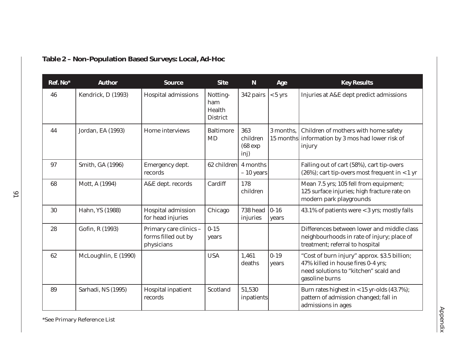| Ref. No* | <b>Author</b>        | <b>Source</b>                                               | <b>Site</b>                                  | N                                     | Age               | <b>Key Results</b>                                                                                                                            |
|----------|----------------------|-------------------------------------------------------------|----------------------------------------------|---------------------------------------|-------------------|-----------------------------------------------------------------------------------------------------------------------------------------------|
| 46       | Kendrick, D (1993)   | Hospital admissions                                         | Notting-<br>ham<br>Health<br><b>District</b> | 342 pairs                             | $< 5 \text{ yrs}$ | Injuries at A&E dept predict admissions                                                                                                       |
| 44       | Jordan, EA (1993)    | Home interviews                                             | <b>Baltimore</b><br>MD                       | 363<br>children<br>$(68 \exp$<br>inj) | 3 months,         | Children of mothers with home safety<br>15 months information by 3 mos had lower risk of<br>injury                                            |
| 97       | Smith, GA (1996)     | Emergency dept.<br>records                                  | 62 children 4 months                         | $-10$ years                           |                   | Falling out of cart (58%), cart tip-overs<br>$(26%)$ ; cart tip-overs most frequent in < 1 yr                                                 |
| 68       | Mott, A (1994)       | A&E dept. records                                           | Cardiff                                      | 178<br>children                       |                   | Mean 7.5 yrs; 105 fell from equipment;<br>125 surface injuries; high fracture rate on<br>modern park playgrounds                              |
| 30       | Hahn, YS (1988)      | Hospital admission<br>for head injuries                     | Chicago                                      | 738 head<br>injuries                  | $ 0-16 $<br>years | 43.1% of patients were < 3 yrs; mostly falls                                                                                                  |
| 28       | Gofin, R (1993)      | Primary care clinics -<br>forms filled out by<br>physicians | $0 - 15$<br>years                            |                                       |                   | Differences between lower and middle class<br>neighbourhoods in rate of injury; place of<br>treatment; referral to hospital                   |
| 62       | McLoughlin, E (1990) |                                                             | <b>USA</b>                                   | 1,461<br>deaths                       | $0 - 19$<br>vears | "Cost of burn injury" approx. \$3.5 billion;<br>47% killed in house fires 0-4 yrs;<br>need solutions to "kitchen" scald and<br>gasoline burns |
| 89       | Sarhadi, NS (1995)   | Hospital inpatient<br>records                               | Scotland                                     | 51,530<br>inpatients                  |                   | Burn rates highest in < 15 yr-olds (43.7%);<br>pattern of admission changed; fall in<br>admissions in ages                                    |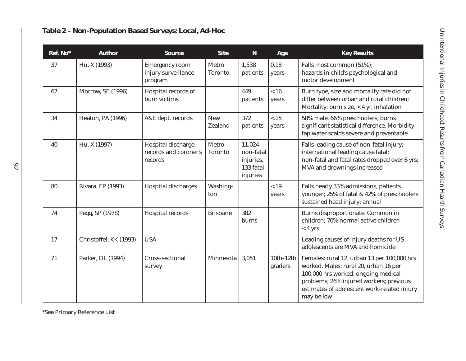| Ref. No* | <b>Author</b>            | <b>Source</b>                                           | <b>Site</b>                  | ${\bf N}$                                                 | Age                    | <b>Key Results</b>                                                                                                                                                                                                                  |
|----------|--------------------------|---------------------------------------------------------|------------------------------|-----------------------------------------------------------|------------------------|-------------------------------------------------------------------------------------------------------------------------------------------------------------------------------------------------------------------------------------|
| 37       | Hu, X (1993)             | <b>Emergency room</b><br>injury surveillance<br>program | Metro<br><b>Toronto</b>      | 1,538<br>patients                                         | 0.18<br>years          | Falls most common (51%);<br>hazards in child's psychological and<br>motor development                                                                                                                                               |
| 67       | <b>Morrow, SE (1996)</b> | Hospital records of<br>burn victims                     |                              | 449<br>patients                                           | ~16<br>years           | Burn type, size and mortality rate did not<br>differ between urban and rural children;<br>Mortality: burn size, < 4 yr, inhalation                                                                                                  |
| 34       | <b>Heaton, PA (1996)</b> | A&E dept. records                                       | <b>New</b><br><b>Zealand</b> | 372<br>patients                                           | < 15<br>years          | 58% male, 66% preschoolers; burns<br>significant statistical difference. Morbidity;<br>tap water scalds severe and preventable                                                                                                      |
| 40       | Hu, X (1997)             | Hospital discharge<br>records and coroner's<br>records  | Metro<br><b>Toronto</b>      | 11,024<br>non-fatal<br>injuries,<br>133 fatal<br>injuries |                        | Falls leading cause of non-fatal injury;<br>international leading cause fatal;<br>non-fatal and fatal rates dropped over 6 yrs;<br>MVA and drownings increased                                                                      |
| 80       | Rivara, FP (1993)        | Hospital discharges                                     | Washing-<br>ton              |                                                           | ~19<br>years           | Falls nearly 33% admissions, patients<br>younger; 25% of fatal & 42% of preschoolers<br>sustained head injury; annual                                                                                                               |
| 74       | Pegg, SP (1978)          | Hospital records                                        | <b>Brisbane</b>              | 382<br>burns                                              |                        | Burns disproportionate. Common in<br>children; 70% normal active children<br>$< 4$ yrs                                                                                                                                              |
| 17       | Christoffel, KK (1993)   | <b>USA</b>                                              |                              |                                                           |                        | Leading causes of injury deaths for US<br>adolescents are MVA and homicide                                                                                                                                                          |
| 71       | Parker, DL (1994)        | Cross-sectional<br>survey                               | Minnesota                    | 3,051                                                     | $10th-12th$<br>graders | Females: rural 12, urban 13 per 100,000 hrs<br>worked. Males: rural 20, urban 16 per<br>100,000 hrs worked; ongoing medical<br>problems; 26% injured workers; previous<br>estimates of adolescent work-related injury<br>may be low |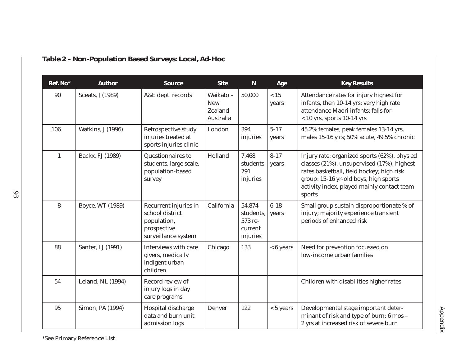| Ref. No*     | <b>Author</b>            | <b>Source</b>                                                                                 | <b>Site</b>                                                  | ${\bf N}$                                             | Age               | <b>Key Results</b>                                                                                                                                                                                                                       |
|--------------|--------------------------|-----------------------------------------------------------------------------------------------|--------------------------------------------------------------|-------------------------------------------------------|-------------------|------------------------------------------------------------------------------------------------------------------------------------------------------------------------------------------------------------------------------------------|
| 90           | Sceats, J (1989)         | A&E dept. records                                                                             | Waikato-<br><b>New</b><br><b>Zealand</b><br><b>Australia</b> | 50,000                                                | $<15$<br>years    | Attendance rates for injury highest for<br>infants, then 10-14 yrs; very high rate<br>attendance Maori infants; falls for<br>$<$ 10 yrs, sports 10-14 yrs                                                                                |
| 106          | <b>Watkins, J (1996)</b> | Retrospective study<br>injuries treated at<br>sports injuries clinic                          | London                                                       | 394<br>injuries                                       | $5 - 17$<br>years | 45.2% females, peak females 13-14 yrs,<br>males 15-16 y rs; 50% acute, 49.5% chronic                                                                                                                                                     |
| $\mathbf{1}$ | Backx, FJ (1989)         | Questionnaires to<br>students, large scale,<br>population-based<br>survey                     | Holland                                                      | 7,468<br>students<br>791<br>injuries                  | $8 - 17$<br>years | Injury rate: organized sports (62%), phys ed<br>classes (21%), unsupervised (17%); highest<br>rates basketball, field hockey; high risk<br>group: 15-16 yr-old boys, high sports<br>activity index, played mainly contact team<br>sports |
| 8            | Boyce, WT (1989)         | Recurrent injuries in<br>school district<br>population,<br>prospective<br>surveillance system | California                                                   | 54,874<br>students,<br>573 re-<br>current<br>injuries | $6 - 18$<br>years | Small group sustain disproportionate % of<br>injury; majority experience transient<br>periods of enhanced risk                                                                                                                           |
| 88           | Santer, LJ (1991)        | Interviews with care<br>givers, medically<br>indigent urban<br>children                       | Chicago                                                      | 133                                                   | $< 6$ years       | Need for prevention focussed on<br>low-income urban families                                                                                                                                                                             |
| 54           | Leland, NL (1994)        | Record review of<br>injury logs in day<br>care programs                                       |                                                              |                                                       |                   | Children with disabilities higher rates                                                                                                                                                                                                  |
| 95           | Simon, PA (1994)         | Hospital discharge<br>data and burn unit<br>admission logs                                    | Denver                                                       | 122                                                   | $< 5$ years       | Developmental stage important deter-<br>minant of risk and type of burn; 6 mos -<br>2 yrs at increased risk of severe burn                                                                                                               |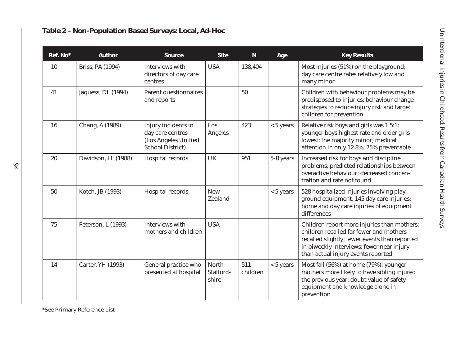| Ref. No* | <b>Author</b>            | <b>Source</b>                                                                              | <b>Site</b>                  | ${\bf N}$       | Age         | <b>Key Results</b>                                                                                                                                                                                                         |
|----------|--------------------------|--------------------------------------------------------------------------------------------|------------------------------|-----------------|-------------|----------------------------------------------------------------------------------------------------------------------------------------------------------------------------------------------------------------------------|
| 10       | Briss, PA (1994)         | Interviews with<br>directors of day care<br>centres                                        | <b>USA</b>                   | 138,404         |             | Most injuries (51%) on the playground;<br>day care centre rates relatively low and<br>many minor                                                                                                                           |
| 41       | Jaquess, DL (1994)       | <b>Parent questionnaires</b><br>and reports                                                |                              | 50              |             | Children with behaviour problems may be<br>predisposed to injuries; behaviour change<br>strategies to reduce injury risk and target<br>children for prevention                                                             |
| 16       | Chang, A (1989)          | Injury incidents in<br>day care centres<br>(Los Angeles Unified<br><b>School District)</b> | Los<br>Angeles               | 423             | $< 5$ years | Relative risk boys and girls was 1.5:1;<br>younger boys highest rate and older girls<br>lowest; the majority minor; medical<br>attention in only 12.8%; 75% preventable                                                    |
| 20       | Davidson, LL (1988)      | Hospital records                                                                           | <b>UK</b>                    | 951             | 5-8 years   | Increased risk for boys and discipline<br>problems; predicted relationships between<br>overactive behaviour; decreased concen-<br>tration and rate not found                                                               |
| 50       | Kotch, JB (1993)         | Hospital records                                                                           | <b>New</b><br><b>Zealand</b> |                 | $< 5$ years | 528 hospitalized injuries involving play-<br>ground equipment, 145 day care injuries;<br>home and day care injuries of equipment<br>differences                                                                            |
| 75       | Peterson, L (1993)       | Interviews with<br>mothers and children                                                    | <b>USA</b>                   |                 |             | Children report more injuries than mothers;<br>children recalled far fewer and mothers<br>recalled slightly; fewer events than reported<br>in biweekly interviews; fewer near injury<br>than actual injury events reported |
| 14       | <b>Carter, YH (1993)</b> | General practice who<br>presented at hospital                                              | North<br>Stafford-<br>shire  | 511<br>children | $< 5$ years | Most fall (56%) at home (79%); younger<br>mothers more likely to have sibling injured<br>the previous year; doubt value of safety<br>equipment and knowledge alone in<br>prevention                                        |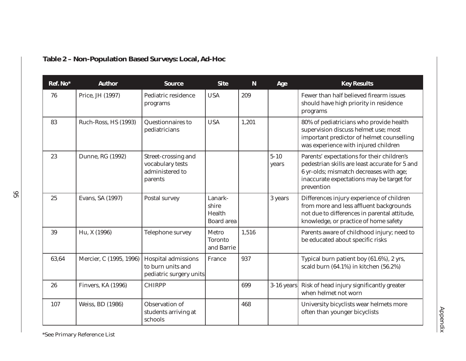| Ref. No* | <b>Author</b>             | <b>Source</b>                                                              | <b>Site</b>                                     | ${\bf N}$ | Age               | <b>Key Results</b>                                                                                                                                                                                 |
|----------|---------------------------|----------------------------------------------------------------------------|-------------------------------------------------|-----------|-------------------|----------------------------------------------------------------------------------------------------------------------------------------------------------------------------------------------------|
| 76       | Price, JH (1997)          | Pediatric residence<br>programs                                            | <b>USA</b>                                      | 209       |                   | Fewer than half believed firearm issues<br>should have high priority in residence<br>programs                                                                                                      |
| 83       | Ruch-Ross, HS (1993)      | Questionnaires to<br>pediatricians                                         | <b>USA</b>                                      | 1,201     |                   | 80% of pediatricians who provide health<br>supervision discuss helmet use; most<br>important predictor of helmet counselling<br>was experience with injured children                               |
| 23       | Dunne, RG (1992)          | Street-crossing and<br>vocabulary tests<br>administered to<br>parents      |                                                 |           | $5 - 10$<br>years | Parents' expectations for their children's<br>pedestrian skills are least accurate for 5 and<br>6 yr-olds; mismatch decreases with age;<br>inaccurate expectations may be target for<br>prevention |
| 25       | Evans, SA (1997)          | Postal survey                                                              | Lanark-<br>shire<br>Health<br><b>Board</b> area |           | 3 years           | Differences injury experience of children<br>from more and less affluent backgrounds<br>not due to differences in parental attitude,<br>knowledge, or practice of home safety                      |
| 39       | Hu, X (1996)              | Telephone survey                                                           | Metro<br><b>Toronto</b><br>and Barrie           | 1,516     |                   | Parents aware of childhood injury; need to<br>be educated about specific risks                                                                                                                     |
| 63,64    | Mercier, C (1995, 1996)   | <b>Hospital admissions</b><br>to burn units and<br>pediatric surgery units | France                                          | 937       |                   | Typical burn patient boy (61.6%), 2 yrs,<br>scald burn (64.1%) in kitchen (56.2%)                                                                                                                  |
| 26       | <b>Finvers, KA (1996)</b> | <b>CHIRPP</b>                                                              |                                                 | 699       | 3-16 years        | Risk of head injury significantly greater<br>when helmet not worn                                                                                                                                  |
| 107      | Weiss, BD (1986)          | Observation of<br>students arriving at<br>schools                          |                                                 | 468       |                   | University bicyclists wear helmets more<br>often than younger bicyclists                                                                                                                           |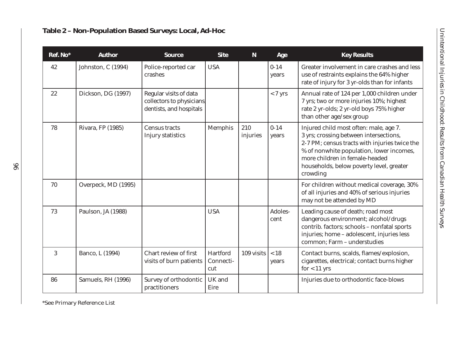| Ref. No* | <b>Author</b>       | <b>Source</b>                                                                  | <b>Site</b>                  | $\mathbf N$     | Age               | <b>Key Results</b>                                                                                                                                                                                                                                                      |
|----------|---------------------|--------------------------------------------------------------------------------|------------------------------|-----------------|-------------------|-------------------------------------------------------------------------------------------------------------------------------------------------------------------------------------------------------------------------------------------------------------------------|
| 42       | Johnston, C (1994)  | Police-reported car<br>crashes                                                 | <b>USA</b>                   |                 | $0 - 14$<br>years | Greater involvement in care crashes and less<br>use of restraints explains the 64% higher<br>rate of injury for 3 yr-olds than for infants                                                                                                                              |
| 22       | Dickson, DG (1997)  | Regular visits of data<br>collectors to physicians.<br>dentists, and hospitals |                              |                 | $< 7 \text{ yrs}$ | Annual rate of 124 per 1,000 children under<br>7 yrs; two or more injuries 10%; highest<br>rate 2 yr-olds; 2 yr-old boys 75% higher<br>than other age/sex group                                                                                                         |
| 78       | Rivara, FP (1985)   | <b>Census tracts</b><br>Injury statistics                                      | <b>Memphis</b>               | 210<br>injuries | $0 - 14$<br>years | Injured child most often: male, age 7.<br>3 yrs; crossing between intersections,<br>2-7 PM; census tracts with injuries twice the<br>% of nonwhite population, lower incomes,<br>more children in female-headed<br>households, below poverty level, greater<br>crowding |
| 70       | Overpeck, MD (1995) |                                                                                |                              |                 |                   | For children without medical coverage, 30%<br>of all injuries and 40% of serious injuries<br>may not be attended by MD                                                                                                                                                  |
| 73       | Paulson, JA (1988)  |                                                                                | <b>USA</b>                   |                 | Adoles-<br>cent   | Leading cause of death; road most<br>dangerous environment; alcohol/drugs<br>contrib. factors; schools - nonfatal sports<br>injuries; home - adolescent, injuries less<br>common; Farm - understudies                                                                   |
| 3        | Banco, L (1994)     | Chart review of first<br>visits of burn patients                               | Hartford<br>Connecti-<br>cut | 109 visits      | $<18$<br>years    | Contact burns, scalds, flames/explosion,<br>cigarettes, electrical; contact burns higher<br>$for < 11$ yrs                                                                                                                                                              |
| 86       | Samuels, RH (1996)  | Survey of orthodontic<br>practitioners                                         | UK and<br>Eire               |                 |                   | Injuries due to orthodontic face-blows                                                                                                                                                                                                                                  |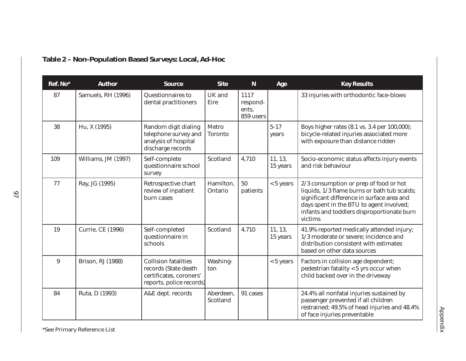| Ref. No* | <b>Author</b>            | <b>Source</b>                                                                                              | <b>Site</b>             | ${\bf N}$                              | Age                 | <b>Key Results</b>                                                                                                                                                                                                                        |
|----------|--------------------------|------------------------------------------------------------------------------------------------------------|-------------------------|----------------------------------------|---------------------|-------------------------------------------------------------------------------------------------------------------------------------------------------------------------------------------------------------------------------------------|
| 87       | Samuels, RH (1996)       | Questionnaires to<br>dental practitioners                                                                  | UK and<br>Eire          | 1117<br>respond-<br>ents,<br>859 users |                     | 33 injuries with orthodontic face-blows                                                                                                                                                                                                   |
| 38       | Hu, X (1995)             | Random digit dialing<br>telephone survey and<br>analysis of hospital<br>discharge records                  | Metro<br><b>Toronto</b> |                                        | $5 - 17$<br>years   | Boys higher rates (8.1 vs. 3.4 per 100,000);<br>bicycle-related injuries associated more<br>with exposure than distance ridden                                                                                                            |
| 109      | Williams, JM (1997)      | Self-complete<br>questionnaire school<br>survey                                                            | Scotland                | 4,710                                  | 11, 13,<br>15 years | Socio-economic status affects injury events<br>and risk behaviour                                                                                                                                                                         |
| 77       | Ray, JG (1995)           | Retrospective chart<br>review of inpatient<br>burn cases                                                   | Hamilton,<br>Ontario    | 50<br>patients                         | $< 5$ years         | 2/3 consumption or prep of food or hot<br>liquids, 1/3 flame burns or bath tub scalds;<br>significant difference in surface area and<br>days spent in the BTU to agent involved;<br>infants and toddlers disproportionate burn<br>victims |
| 19       | <b>Currie, CE (1996)</b> | Self-completed<br>questionnaire in<br>schools                                                              | Scotland                | 4,710                                  | 11, 13,<br>15 years | 41.9% reported medically attended injury;<br>1/3 moderate or severe; incidence and<br>distribution consistent with estimates<br>based on other data sources                                                                               |
| 9        | <b>Brison, RJ (1988)</b> | <b>Collision fatalities</b><br>records (State death<br>certificates, coroners'<br>reports, police records) | Washing-<br>ton         |                                        | $< 5$ years         | Factors in collision age dependent;<br>pedestrian fatality < 5 yrs occur when<br>child backed over in the driveway                                                                                                                        |
| 84       | Ruta, D (1993)           | A&E dept. records                                                                                          | Aberdeen,<br>Scotland   | 91 cases                               |                     | 24.4% all nonfatal injuries sustained by<br>passenger prevented if all children<br>restrained; 49.5% of head injuries and 48.4%<br>of face injuries preventable                                                                           |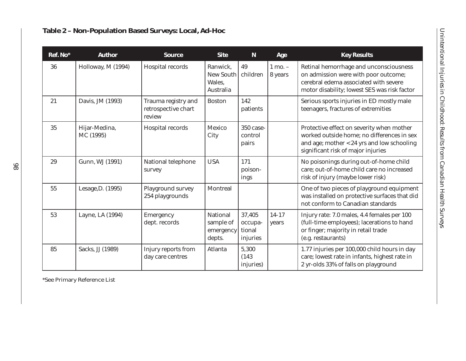| Ref. No* | <b>Author</b>              | <b>Source</b>                                        | <b>Site</b>                                         | ${\bf N}$                               | Age                    | <b>Key Results</b>                                                                                                                                                          |
|----------|----------------------------|------------------------------------------------------|-----------------------------------------------------|-----------------------------------------|------------------------|-----------------------------------------------------------------------------------------------------------------------------------------------------------------------------|
| 36       | Holloway, M (1994)         | Hospital records                                     | Ranwick,<br><b>New South</b><br>Wales,<br>Australia | 49<br>children                          | $1$ mo. $-$<br>8 years | Retinal hemorrhage and unconsciousness<br>on admission were with poor outcome;<br>cerebral edema associated with severe<br>motor disability; lowest SES was risk factor     |
| 21       | Davis, JM (1993)           | Trauma registry and<br>retrospective chart<br>review | <b>Boston</b>                                       | 142<br>patients                         |                        | Serious sports injuries in ED mostly male<br>teenagers, fractures of extremities                                                                                            |
| 35       | Hijar-Medina,<br>MC (1995) | Hospital records                                     | <b>Mexico</b><br>City                               | 350 case-<br>control<br>pairs           |                        | Protective effect on severity when mother<br>worked outside home; no differences in sex<br>and age; mother < 24 yrs and low schooling<br>significant risk of major injuries |
| 29       | Gunn, WJ (1991)            | National telephone<br>survey                         | <b>USA</b>                                          | 171<br>poison-<br>ings                  |                        | No poisonings during out-of-home child<br>care; out-of-home child care no increased<br>risk of injury (maybe lower risk)                                                    |
| 55       | Lesage, D. (1995)          | Playground survey<br>254 playgrounds                 | <b>Montreal</b>                                     |                                         |                        | One of two pieces of playground equipment<br>was installed on protective surfaces that did<br>not conform to Canadian standards                                             |
| 53       | Layne, LA (1994)           | Emergency<br>dept. records                           | <b>National</b><br>sample of<br>emergency<br>depts. | 37,405<br>occupa-<br>tional<br>injuries | $14 - 17$<br>years     | Injury rate: 7.0 males, 4.4 females per 100<br>(full-time employees); lacerations to hand<br>or finger; majority in retail trade<br>(e.g. restaurants)                      |
| 85       | Sacks, JJ (1989)           | Injury reports from<br>day care centres              | Atlanta                                             | 5,300<br>(143)<br>injuries)             |                        | 1.77 injuries per 100,000 child hours in day<br>care; lowest rate in infants, highest rate in<br>2 yr-olds 33% of falls on playground                                       |